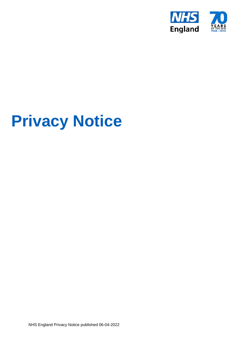

# **Privacy Notice**

NHS England Privacy Notice published 06-04-2022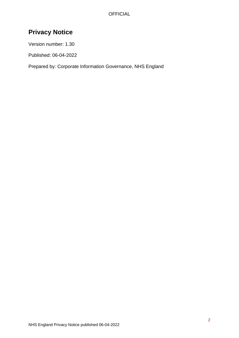# **Privacy Notice**

Version number: 1.30

Published: 06-04-2022

Prepared by: Corporate Information Governance, NHS England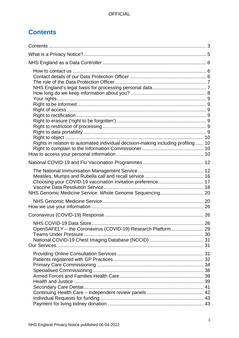# <span id="page-2-0"></span>**Contents**

| Rights in relation to automated individual decision-making including profiling  10 |  |
|------------------------------------------------------------------------------------|--|
|                                                                                    |  |
|                                                                                    |  |
|                                                                                    |  |
|                                                                                    |  |
| OpenSAFELY - the Coronavirus (COVID-19) Research Platform 29                       |  |
|                                                                                    |  |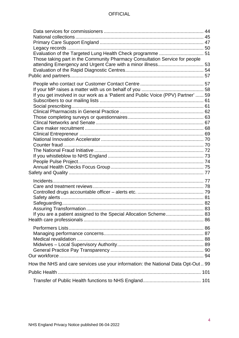| Evaluation of the Targeted Lung Health Check programme  51<br>Those taking part in the Community Pharmacy Consultation Service for people |  |
|-------------------------------------------------------------------------------------------------------------------------------------------|--|
|                                                                                                                                           |  |
|                                                                                                                                           |  |
| If you get involved in our work as a 'Patient and Public Voice (PPV) Partner'  59                                                         |  |
|                                                                                                                                           |  |
|                                                                                                                                           |  |
|                                                                                                                                           |  |
|                                                                                                                                           |  |
|                                                                                                                                           |  |
|                                                                                                                                           |  |
|                                                                                                                                           |  |
|                                                                                                                                           |  |
|                                                                                                                                           |  |
|                                                                                                                                           |  |
|                                                                                                                                           |  |
|                                                                                                                                           |  |
|                                                                                                                                           |  |
|                                                                                                                                           |  |
|                                                                                                                                           |  |
|                                                                                                                                           |  |
|                                                                                                                                           |  |
|                                                                                                                                           |  |
| If you are a patient assigned to the Special Allocation Scheme 83                                                                         |  |
|                                                                                                                                           |  |
|                                                                                                                                           |  |
|                                                                                                                                           |  |
|                                                                                                                                           |  |
|                                                                                                                                           |  |
|                                                                                                                                           |  |
|                                                                                                                                           |  |
| How the NHS and care services use your information: the National Data Opt-Out 99                                                          |  |
|                                                                                                                                           |  |
|                                                                                                                                           |  |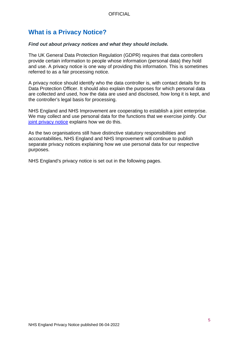# <span id="page-4-0"></span>**What is a Privacy Notice?**

### *Find out about privacy notices and what they should include.*

The UK General Data Protection Regulation (GDPR) requires that data controllers provide certain information to people whose information (personal data) they hold and use. A privacy notice is one way of providing this information. This is sometimes referred to as a fair processing notice.

A privacy notice should identify who the data controller is, with contact details for its Data Protection Officer. It should also explain the purposes for which personal data are collected and used, how the data are used and disclosed, how long it is kept, and the controller's legal basis for processing.

NHS England and NHS Improvement are cooperating to establish a joint enterprise. We may collect and use personal data for the functions that we exercise jointly. Our [joint privacy notice](https://www.england.nhs.uk/nhse-nhsi-privacy-notice/joint/) explains how we do this.

As the two organisations still have distinctive statutory responsibilities and accountabilities, NHS England and NHS Improvement will continue to publish separate privacy notices explaining how we use personal data for our respective purposes.

NHS England's privacy notice is set out in the following pages.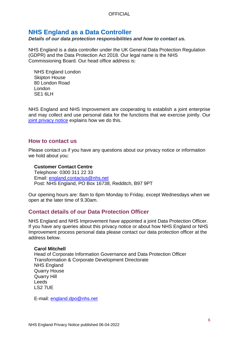# <span id="page-5-0"></span>**NHS England as a Data Controller**

*Details of our data protection responsibilities and how to contact us.*

NHS England is a data controller under the UK General Data Protection Regulation (GDPR) and the Data Protection Act 2018. Our legal name is the NHS Commissioning Board. Our head office address is:

NHS England London Skipton House 80 London Road London SF<sub>1</sub> 6LH

<span id="page-5-3"></span>NHS England and NHS Improvement are cooperating to establish a joint enterprise and may collect and use personal data for the functions that we exercise jointly. Our [joint privacy notice](https://www.england.nhs.uk/nhse-nhsi-joint-privacy-notice/) explains how we do this.

### <span id="page-5-1"></span>**How to contact us**

Please contact us if you have any questions about our privacy notice or information we hold about you:

### **Customer Contact Centre**

Telephone: 0300 311 22 33 Email: [england.contactus@nhs.net](mailto:england.contactus@nhs.net) Post: NHS England, PO Box 16738, Redditch, B97 9PT

Our opening hours are: 8am to 6pm Monday to Friday, except Wednesdays when we open at the later time of 9.30am.

# <span id="page-5-2"></span>**Contact details of our Data Protection Officer**

NHS England and NHS Improvement have appointed a joint Data Protection Officer. If you have any queries about this privacy notice or about how NHS England or NHS Improvement process personal data please contact our data protection officer at the address below.

### **Carol Mitchell**

Head of Corporate Information Governance and Data Protection Officer Transformation & Corporate Development Directorate NHS England Quarry House Quarry Hill Leeds LS2 7UE

E-mail: [england.dpo@nhs.net](mailto:england.dpo@nhs.net)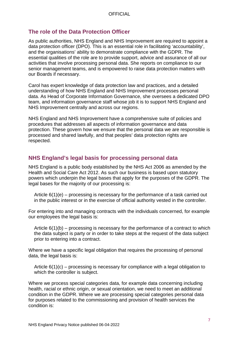# <span id="page-6-0"></span>**The role of the Data Protection Officer**

As public authorities, NHS England and NHS Improvement are required to appoint a data protection officer (DPO). This is an essential role in facilitating 'accountability', and the organisations' ability to demonstrate compliance with the GDPR. The essential qualities of the role are to provide support, advice and assurance of all our activities that involve processing personal data. She reports on compliance to our senior management teams, and is empowered to raise data protection matters with our Boards if necessary.

Carol has expert knowledge of data protection law and practices, and a detailed understanding of how NHS England and NHS Improvement processes personal data. As Head of Corporate Information Governance, she oversees a dedicated DPO team, and information governance staff whose job it is to support NHS England and NHS Improvement centrally and across our regions.

NHS England and NHS Improvement have a comprehensive suite of policies and procedures that addresses all aspects of information governance and data protection. These govern how we ensure that the personal data we are responsible is processed and shared lawfully, and that peoples' data protection rights are respected.

# <span id="page-6-1"></span>**NHS England's legal basis for processing personal data**

NHS England is a public body established by the NHS Act 2006 as amended by the Health and Social Care Act 2012. As such our business is based upon statutory powers which underpin the legal bases that apply for the purposes of the GDPR. The legal bases for the majority of our processing is:

Article  $6(1)(e)$  – processing is necessary for the performance of a task carried out in the public interest or in the exercise of official authority vested in the controller.

For entering into and managing contracts with the individuals concerned, for example our employees the legal basis is:

Article  $6(1)(b)$  – processing is necessary for the performance of a contract to which the data subject is party or in order to take steps at the request of the data subject prior to entering into a contract.

Where we have a specific legal obligation that requires the processing of personal data, the legal basis is:

Article 6(1)(c) – processing is necessary for compliance with a legal obligation to which the controller is subject.

Where we process special categories data, for example data concerning including health, racial or ethnic origin, or sexual orientation, we need to meet an additional condition in the GDPR. Where we are processing special categories personal data for purposes related to the commissioning and provision of health services the condition is: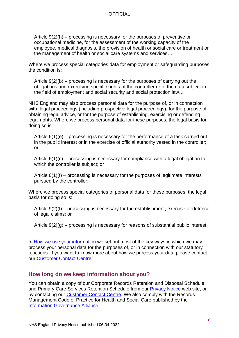Article 9(2)(h) – processing is necessary for the purposes of preventive or occupational medicine, for the assessment of the working capacity of the employee, medical diagnosis, the provision of health or social care or treatment or the management of health or social care systems and services…

Where we process special categories data for employment or safeguarding purposes the condition is:

Article 9(2)(b) – processing is necessary for the purposes of carrying out the obligations and exercising specific rights of the controller or of the data subject in the field of employment and social security and social protection law…

NHS England may also process personal data for the purpose of, or in connection with, legal proceedings (including prospective legal proceedings), for the purpose of obtaining legal advice, or for the purpose of establishing, exercising or defending legal rights. Where we process personal data for these purposes, the legal basis for doing so is:

Article  $6(1)(e)$  – processing is necessary for the performance of a task carried out in the public interest or in the exercise of official authority vested in the controller; or

Article 6(1)(c) – processing is necessary for compliance with a legal obligation to which the controller is subject; or

Article 6(1)(f) – processing is necessary for the purposes of legitimate interests pursued by the controller.

Where we process special categories of personal data for these purposes, the legal basis for doing so is:

Article 9(2)(f) – processing is necessary for the establishment, exercise or defence of legal claims; or

Article  $9(2)(q)$  – processing is necessary for reasons of substantial public interest.

In [How we use your information](#page-10-0) we set out most of the key ways in which we may process your personal data for the purposes of, or in connection with our statutory functions. If you want to know more about how we process your data please contact our [Customer Contact Centre.](#page-5-3)

# <span id="page-7-0"></span>**How long do we keep information about you?**

You can obtain a copy of our Corporate Records Retention and Disposal Schedule, and Primary Care Services Retention Schedule from our [Privacy Notice](https://www.england.nhs.uk/contact-us/privacy/privacy-notice/) web site, or by contacting our [Customer Contact Centre.](#page-5-3) We also comply with the Records Management Code of Practice for Health and Social Care published by the [Information Governance Alliance.](https://digital.nhs.uk/data-and-information/looking-after-information/data-security-and-information-governance/information-governance-alliance-iga)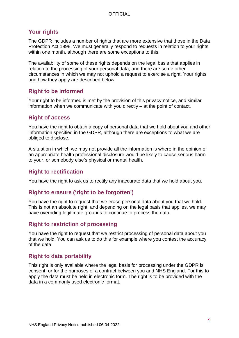# <span id="page-8-0"></span>**Your rights**

The GDPR includes a number of rights that are more extensive that those in the Data Protection Act 1998. We must generally respond to requests in relation to your rights within one month, although there are some exceptions to this.

The availability of some of these rights depends on the legal basis that applies in relation to the processing of your personal data, and there are some other circumstances in which we may not uphold a request to exercise a right. Your rights and how they apply are described below.

# <span id="page-8-1"></span>**Right to be informed**

Your right to be informed is met by the provision of this privacy notice, and similar information when we communicate with you directly – at the point of contact.

# <span id="page-8-2"></span>**Right of access**

You have the right to obtain a copy of personal data that we hold about you and other information specified in the GDPR, although there are exceptions to what we are obliged to disclose.

A situation in which we may not provide all the information is where in the opinion of an appropriate health professional disclosure would be likely to cause serious harm to your, or somebody else's physical or mental health.

# <span id="page-8-3"></span>**Right to rectification**

You have the right to ask us to rectify any inaccurate data that we hold about you.

# <span id="page-8-4"></span>**Right to erasure ('right to be forgotten')**

You have the right to request that we erase personal data about you that we hold. This is not an absolute right, and depending on the legal basis that applies, we may have overriding legitimate grounds to continue to process the data.

# <span id="page-8-5"></span>**Right to restriction of processing**

You have the right to request that we restrict processing of personal data about you that we hold. You can ask us to do this for example where you contest the accuracy of the data.

# <span id="page-8-6"></span>**Right to data portability**

This right is only available where the legal basis for processing under the GDPR is consent, or for the purposes of a contract between you and NHS England. For this to apply the data must be held in electronic form. The right is to be provided with the data in a commonly used electronic format.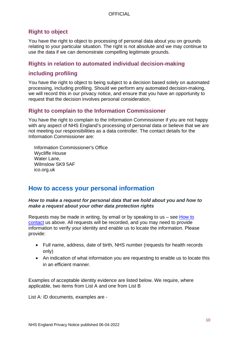# <span id="page-9-0"></span>**Right to object**

You have the right to object to processing of personal data about you on grounds relating to your particular situation. The right is not absolute and we may continue to use the data if we can demonstrate compelling legitimate grounds.

# <span id="page-9-1"></span>**Rights in relation to automated individual decision-making**

# **including profiling**

You have the right to object to being subject to a decision based solely on automated processing, including profiling. Should we perform any automated decision-making, we will record this in our privacy notice, and ensure that you have an opportunity to request that the decision involves personal consideration.

# <span id="page-9-2"></span>**Right to complain to the Information Commissioner**

You have the right to complain to the Information Commissioner if you are not happy with any aspect of NHS England's processing of personal data or believe that we are not meeting our responsibilities as a data controller. The contact details for the Information Commissioner are:

Information Commissioner's Office Wycliffe House Water Lane, Wilmslow SK9 5AF ico.org.uk

# <span id="page-9-3"></span>**How to access your personal information**

### *How to make a request for personal data that we hold about you and how to make a request about your other data protection rights*

Requests may be made in writing, by email or by speaking to us – see [How to](#page-5-3)  [contact](#page-5-3) us above. All requests will be recorded, and you may need to provide information to verify your identity and enable us to locate the information. Please provide:

- Full name, address, date of birth, NHS number (requests for health records only)
- An indication of what information you are requesting to enable us to locate this in an efficient manner.

Examples of acceptable identity evidence are listed below. We require, where applicable, two items from List A and one from List B

List A: ID documents, examples are -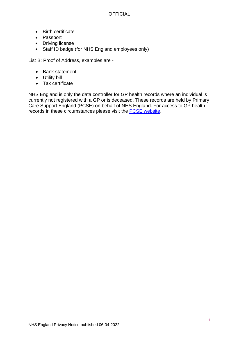- Birth certificate
- Passport
- Driving license
- Staff ID badge (for NHS England employees only)

List B: Proof of Address, examples are -

- Bank statement
- Utility bill
- Tax certificate

<span id="page-10-0"></span>NHS England is only the data controller for GP health records where an individual is currently not registered with a GP or is deceased. These records are held by Primary Care Support England (PCSE) on behalf of NHS England. For access to GP health records in these circumstances please visit the [PCSE website.](https://pcse.england.nhs.uk/organisations/public/)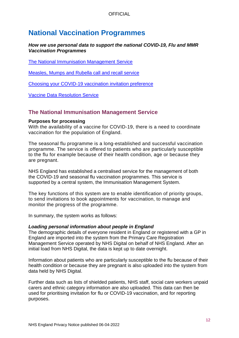# <span id="page-11-0"></span>**National Vaccination Programmes**

### *How we use personal data to support the national COVID-19, Flu and MMR Vaccination Programmes*

[The National Immunisation Management Service](#page-11-1)

[Measles, Mumps and Rubella call and recall service](#page-15-0)

[Choosing your COVID-19 vaccination invitation preference](#page-16-0)

[Vaccine Data Resolution Service](#page-17-0)

# <span id="page-11-1"></span>**The National Immunisation Management Service**

### **Purposes for processing**

With the availability of a vaccine for COVID-19, there is a need to coordinate vaccination for the population of England.

The seasonal flu programme is a long-established and successful vaccination programme. The service is offered to patients who are particularly susceptible to the flu for example because of their health condition, age or because they are pregnant.

NHS England has established a centralised service for the management of both the COVID-19 and seasonal flu vaccination programmes. This service is supported by a central system, the Immunisation Management System.

The key functions of this system are to enable identification of priority groups, to send invitations to book appointments for vaccination, to manage and monitor the progress of the programme.

In summary, the system works as follows:

### *Loading personal information about people in England*

The demographic details of everyone resident in England or registered with a GP in England are imported into the system from the Primary Care Registration Management Service operated by NHS Digital on behalf of NHS England. After an initial load from NHS Digital, the data is kept up to date overnight.

Information about patients who are particularly susceptible to the flu because of their health condition or because they are pregnant is also uploaded into the system from data held by NHS Digital.

Further data such as lists of shielded patients, NHS staff, social care workers unpaid carers and ethnic category information are also uploaded. This data can then be used for prioritising invitation for flu or COVID-19 vaccination, and for reporting purposes.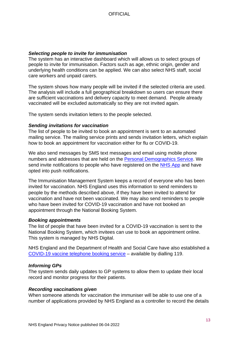### *Selecting people to invite for immunisation*

The system has an interactive dashboard which will allows us to select groups of people to invite for immunisation. Factors such as age, ethnic origin, gender and underlying health conditions can be applied. We can also select NHS staff, social care workers and unpaid carers.

The system shows how many people will be invited if the selected criteria are used. The analysis will include a full geographical breakdown so users can ensure there are sufficient vaccinations and delivery capacity to meet demand. People already vaccinated will be excluded automatically so they are not invited again.

The system sends invitation letters to the people selected.

#### *Sending invitations for vaccination*

The list of people to be invited to book an appointment is sent to an automated mailing service. The mailing service prints and sends invitation letters, which explain how to book an appointment for vaccination either for flu or COVID-19.

We also send messages by SMS text messages and email using mobile phone numbers and addresses that are held on the [Personal Demographics Service.](https://digital.nhs.uk/services/demographics) We send invite notifications to people who have registered on the [NHS App](https://www.nhs.uk/nhs-app/) and have opted into push notifications.

The Immunisation Management System keeps a record of everyone who has been invited for vaccination. NHS England uses this information to send reminders to people by the methods described above, if they have been invited to attend for vaccination and have not been vaccinated. We may also send reminders to people who have been invited for COVID-19 vaccination and have not booked an appointment through the National Booking System.

#### *Booking appointments*

The list of people that have been invited for a COVID-19 vaccination is sent to the National Booking System, which invitees can use to book an appointment online. This system is managed by NHS Digital.

NHS England and the Department of Health and Social Care have also established a [COVID-19 vaccine telephone booking service](https://www.gov.uk/government/publications/pandemic-and-health-emergency-response-services) – available by dialling 119.

### *Informing GPs*

The system sends daily updates to GP systems to allow them to update their local record and monitor progress for their patients.

#### *Recording vaccinations given*

When someone attends for vaccination the immuniser will be able to use one of a number of applications provided by NHS England as a controller to record the details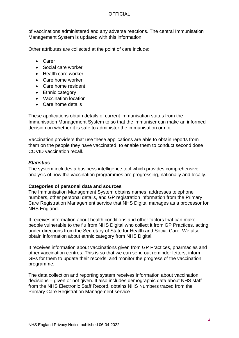of vaccinations administered and any adverse reactions. The central Immunisation Management System is updated with this information.

Other attributes are collected at the point of care include:

- Carer
- Social care worker
- Health care worker
- Care home worker
- Care home resident
- Ethnic category
- Vaccination location
- Care home details

These applications obtain details of current immunisation status from the Immunisation Management System to so that the immuniser can make an informed decision on whether it is safe to administer the immunisation or not.

Vaccination providers that use these applications are able to obtain reports from them on the people they have vaccinated, to enable them to conduct second dose COVID vaccination recall.

### *Statistics*

The system includes a business intelligence tool which provides comprehensive analysis of how the vaccination programmes are progressing, nationally and locally.

### **Categories of personal data and sources**

The Immunisation Management System obtains names, addresses telephone numbers, other personal details, and GP registration information from the Primary Care Registration Management service that NHS Digital manages as a processor for NHS England.

It receives information about health conditions and other factors that can make people vulnerable to the flu from NHS Digital who collect it from GP Practices, acting under directions from the Secretary of State for Health and Social Care. We also obtain information about ethnic category from NHS Digital.

It receives information about vaccinations given from GP Practices, pharmacies and other vaccination centres. This is so that we can send out reminder letters, inform GPs for them to update their records, and monitor the progress of the vaccination programme.

The data collection and reporting system receives information about vaccination decisions – given or not given. It also includes demographic data about NHS staff from the NHS Electronic Staff Record, obtains NHS Numbers traced from the Primary Care Registration Management service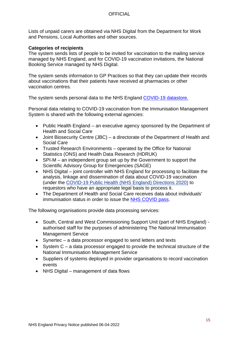Lists of unpaid carers are obtained via NHS Digital from the Department for Work and Pensions, Local Authorities and other sources.

### **Categories of recipients**

The system sends lists of people to be invited for vaccination to the mailing service managed by NHS England, and for COVID-19 vaccination invitations, the National Booking Service managed by NHS Digital.

The system sends information to GP Practices so that they can update their records about vaccinations that their patients have received at pharmacies or other vaccination centres.

The system sends personal data to the NHS England [COVID-19 datastore.](https://www.england.nhs.uk/contact-us/privacy-notice/how-we-use-your-information/covid-19-response/nhs-covid-19-data-store/)

Personal data relating to COVID-19 vaccination from the Immunisation Management System is shared with the following external agencies:

- Public Health England an executive agency sponsored by the Department of Health and Social Care
- Joint Biosecurity Centre (JBC) a directorate of the Department of Health and Social Care
- Trusted Research Environments operated by the Office for National Statistics (ONS) and Health Data Research (HDRUK)
- SPI-M an independent group set up by the Government to support the Scientific Advisory Group for Emergencies (SAGE)
- NHS Digital joint controller with NHS England for processing to facilitate the analysis, linkage and dissemination of data about COVID-19 vaccination (under the [COVID-19 Public Health \(NHS England\) Directions 2020\)](https://digital.nhs.uk/about-nhs-digital/corporate-information-and-documents/directions-and-data-provision-notices/nhs-england-directions/covid-19-public-health-nhs-england-directions-2020) to requestors who have an appropriate legal basis to process it.
- The Department of Health and Social Care receives data about individuals' immunisation status in order to issue the **NHS COVID pass**.

The following organisations provide data processing services:

- South, Central and West Commissioning Support Unit (part of NHS England) authorised staff for the purposes of administering The National Immunisation Management Service
- Synertec a data processor engaged to send letters and texts
- System C a data processor engaged to provide the technical structure of the National Immunisation Management Service
- Suppliers of systems deployed in provider organisations to record vaccination events
- NHS Digital management of data flows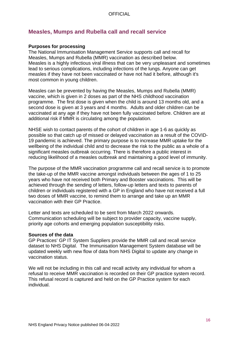# <span id="page-15-0"></span>**Measles, Mumps and Rubella call and recall service**

### **Purposes for processing**

The National Immunisation Management Service supports call and recall for Measles, Mumps and Rubella (MMR) vaccination as described below. Measles is a highly infectious viral illness that can be very unpleasant and sometimes lead to serious complications, including infections of the lungs. Anyone can get measles if they have not been vaccinated or have not had it before, although it's most common in young children.

Measles can be prevented by having the Measles, Mumps and Rubella (MMR) vaccine, which is given in 2 doses as part of the NHS childhood vaccination programme. The first dose is given when the child is around 13 months old, and a second dose is given at 3 years and 4 months. Adults and older children can be vaccinated at any age if they have not been fully vaccinated before. Children are at additional risk if MMR is circulating among the population.

NHSE wish to contact parents of the cohort of children in age 1-6 as quickly as possible so that catch up of missed or delayed vaccination as a result of the COVID-19 pandemic is achieved. The primary purpose is to increase MMR uptake for the wellbeing of the individual child and to decrease the risk to the public as a whole of a significant measles outbreak occurring. There is therefore a public interest in reducing likelihood of a measles outbreak and maintaining a good level of immunity.

The purpose of the MMR vaccination programme call and recall service is to promote the take-up of the MMR vaccine amongst individuals between the ages of 1 to 25 years who have not received both Primary and Booster vaccinations. This will be achieved through the sending of letters, follow-up letters and texts to parents of children or individuals registered with a GP in England who have not received a full two doses of MMR vaccine, to remind them to arrange and take up an MMR vaccination with their GP Practice.

Letter and texts are scheduled to be sent from March 2022 onwards. Communication scheduling will be subject to provider capacity, vaccine supply, priority age cohorts and emerging population susceptibility risks.

### **Sources of the data**

GP Practices' GP IT System Suppliers provide the MMR call and recall service dataset to NHS Digital. The Immunisation Management System database will be updated weekly with new flow of data from NHS Digital to update any change in vaccination status.

We will not be including in this call and recall activity any individual for whom a refusal to receive MMR vaccination is recorded on their GP practice system record. This refusal record is captured and held on the GP Practice system for each individual.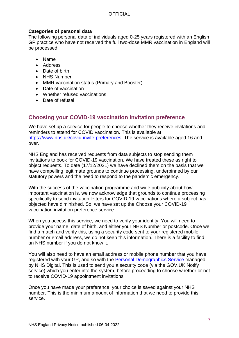### **Categories of personal data**

The following personal data of individuals aged 0-25 years registered with an English GP practice who have not received the full two-dose MMR vaccination in England will be processed.

- Name
- Address
- Date of birth
- NHS Number
- MMR vaccination status (Primary and Booster)
- Date of vaccination
- Whether refused vaccinations
- Date of refusal

# <span id="page-16-0"></span>**Choosing your COVID-19 vaccination invitation preference**

We have set up a service for people to choose whether they receive invitations and reminders to attend for COVID vaccination. This is available at [https://www.nhs.uk/covid-invite-preferences.](https://www.nhs.uk/covid-invite-preferences) The service is available aged 16 and over.

NHS England has received requests from data subjects to stop sending them invitations to book for COVID-19 vaccination. We have treated these as right to object requests. To date (17/12/2021) we have declined them on the basis that we have compelling legitimate grounds to continue processing, underpinned by our statutory powers and the need to respond to the pandemic emergency.

With the success of the vaccination programme and wide publicity about how important vaccination is, we now acknowledge that grounds to continue processing specifically to send invitation letters for COVID-19 vaccinations where a subject has objected have diminished. So, we have set up the Choose your COVID-19 vaccination invitation preference service.

When you access this service, we need to verify your identity. You will need to provide your name, date of birth, and either your NHS Number or postcode. Once we find a match and verify this, using a security code sent to your registered mobile number or email address, we do not keep this information. There is a facility to find an NHS number if you do not know it.

You will also need to have an email address or mobile phone number that you have registered with your GP, and so with the [Personal Demographics Service](https://digital.nhs.uk/services/demographics/personal-demographics-service-fair-processing) managed by NHS Digital. This is used to send you a security code (via the GOV.UK Notify service) which you enter into the system, before proceeding to choose whether or not to receive COVID-19 appointment invitations.

Once you have made your preference, your choice is saved against your NHS number. This is the minimum amount of information that we need to provide this service.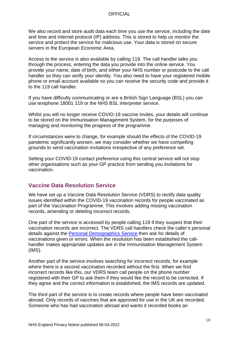We also record and store audit data each time you use the service, including the date and time and internet protocol (IP) address. This is stored to help us monitor the service and protect the service for malicious use. Your data is stored on secure servers in the European Economic Area.

Access to the service is also available by calling 119. The call handler talks you through the process, entering the data you provide into the online service. You provide your name, date of birth, and either your NHS number or postcode to the call handler so they can verify your identity. You also need to have your registered mobile phone or email account available so you can receive the security code and provide it to the 119 call handler.

If you have difficulty communicating or are a British Sign Language (BSL) you can use textphone 18001 119 or the NHS BSL interpreter service.

Whilst you will no longer receive COVID-19 vaccine invites, your details will continue to be stored on the Immunisation Management System, for the purposes of managing and monitoring the progress of the programme.

If circumstances were to change, for example should the effects of the COVID-19 pandemic significantly worsen, we may consider whether we have compelling grounds to send vaccination invitations irrespective of any preference set.

Setting your COVID-19 contact preference using this central service will not stop other organisations such as your GP practice from sending you invitations for vaccination.

# <span id="page-17-0"></span>**Vaccine Data Resolution Service**

We have set up a Vaccine Data Resolution Service (VDRS) to rectify data quality issues identified within the COVID-19 vaccination records for people vaccinated as part of the Vaccination Programme. This involves adding missing vaccination records, amending or deleting incorrect records.

One part of the service is accessed by people calling 119 if they suspect that their vaccination records are incorrect. The VDRS call handlers check the caller's personal details against the [Personal Demographics Service](https://digital.nhs.uk/services/demographics/personal-demographics-service-fair-processing) then ask for details of vaccinations given or errors. When the resolution has been established the callhandler makes appropriate updates are in the Immunisation Management System (IMS).

Another part of the service involves searching for incorrect records, for example where there is a second vaccination recorded without the first. When we find incorrect records like this, our VDRS team call people on the phone number registered with their GP to ask them if they would like the record to be corrected. If they agree and the correct information is established, the IMS records are updated.

The third part of the service is to create records where people have been vaccinated abroad. Only records of vaccines that are approved for use in the UK are recorded. Someone who has had vaccination abroad and wants it recorded books an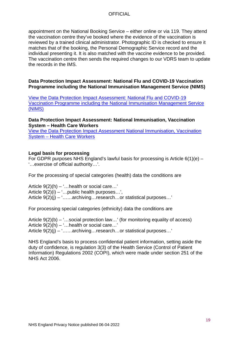appointment on the National Booking Service – either online or via 119. They attend the vaccination centre they've booked where the evidence of the vaccination is reviewed by a trained clinical administrator. Photographic ID is checked to ensure it matches that of the booking, the Personal Demographic Service record and the individual presenting it. It is also matched with the vaccine evidence to be provided. The vaccination centre then sends the required changes to our VDRS team to update the records in the IMS.

### **Data Protection Impact Assessment: National Flu and COVID-19 Vaccination Programme including the National Immunisation Management Service (NIMS)**

[View the Data Protection Impact Assessment: National Flu and COVID-19](https://www.england.nhs.uk/contact-us/privacy-notice/national-flu-vaccination-programme/)  [Vaccination Programme including the National Immunisation Management Service](https://www.england.nhs.uk/contact-us/privacy-notice/national-flu-vaccination-programme/)  [\(NIMS\)](https://www.england.nhs.uk/contact-us/privacy-notice/national-flu-vaccination-programme/)

**Data Protection Impact Assessment: National Immunisation, Vaccination System – Health Care Workers**

[View the Data Protection Impact Assessment National Immunisation, Vaccination](https://www.england.nhs.uk/contact-us/privacy-notice/national-flu-vaccination-programme/)  System – [Health Care Workers](https://www.england.nhs.uk/contact-us/privacy-notice/national-flu-vaccination-programme/)

### **Legal basis for processing**

For GDPR purposes NHS England's lawful basis for processing is Article 6(1)(e) – '…exercise of official authority…'.

For the processing of special categories (health) data the conditions are

Article 9(2)(h) – '…health or social care…' Article  $9(2)(i) -$  ... public health purposes...', Article 9(2)(j) – '……archiving…research…or statistical purposes…'

For processing special categories (ethnicity) data the conditions are

Article  $9(2)(b) -$  ...social protection law...' (for monitoring equality of access) Article  $9(2)(h) -$  ... health or social care...' Article  $9(2)(i) - 1$ …...archiving...research...or statistical purposes...'

NHS England's basis to process confidential patient information, setting aside the duty of confidence, is regulation 3(3) of the Health Service (Control of Patient Information) Regulations 2002 (COPI), which were made under section 251 of the NHS Act 2006.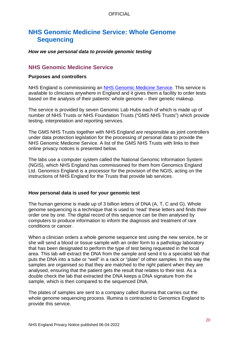# <span id="page-19-0"></span>**NHS Genomic Medicine Service: Whole Genome Sequencing**

### *How we use personal data to provide genomic testing*

### <span id="page-19-1"></span>**NHS Genomic Medicine Service**

### **Purposes and controllers**

NHS England is commissioning an [NHS Genomic Medicine Service.](https://www.england.nhs.uk/genomics/nhs-genomic-med-service/) This service is available to clinicians anywhere in England and it gives them a facility to order tests based on the analysis of their patients' whole genome – their genetic makeup.

The service is provided by seven Genomic Lab Hubs each of which is made up of number of NHS Trusts or NHS Foundation Trusts ("GMS NHS Trusts") which provide testing, interpretation and reporting services.

The GMS NHS Trusts together with NHS England are responsible as joint controllers under data protection legislation for the processing of personal data to provide the NHS Genomic Medicine Service. A list of the GMS NHS Trusts with links to their online privacy notices is presented below.

The labs use a computer system called the National Genomic Information System (NGIS), which NHS England has commissioned for them from Genomics England Ltd. Genomics England is a processor for the provision of the NGIS, acting on the instructions of NHS England for the Trusts that provide lab services.

### **How personal data is used for your genomic test**

The human genome is made up of 3 billion letters of DNA (A, T, C and G). Whole genome sequencing is a technique that is used to 'read' these letters and finds their order one by one. The digital record of this sequence can be then analysed by computers to produce information to inform the diagnosis and treatment of rare conditions or cancer.

When a clinician orders a whole genome sequence test using the new service, he or she will send a blood or tissue sample with an order form to a pathology laboratory that has been designated to perform the type of test being requested in the local area. This lab will extract the DNA from the sample and send it to a specialist lab that puts the DNA into a tube or "well" in a rack or "plate" of other samples. In this way the samples are organised so that they are matched to the right patient when they are analysed, ensuring that the patient gets the result that relates to their test. As a double check the lab that extracted the DNA keeps a DNA signature from the sample, which is then compared to the sequenced DNA.

The plates of samples are sent to a company called Illumina that carries out the whole genome sequencing process. Illumina is contracted to Genomics England to provide this service.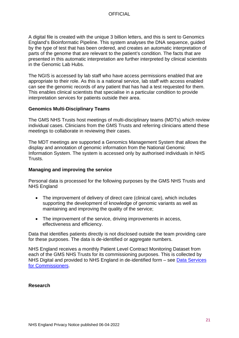A digital file is created with the unique 3 billion letters, and this is sent to Genomics England's Bioinformatic Pipeline. This system analyses the DNA sequence, guided by the type of test that has been ordered, and creates an automatic interpretation of parts of the genome that are relevant to the patient's condition. The facts that are presented in this automatic interpretation are further interpreted by clinical scientists in the Genomic Lab Hubs.

The NGIS is accessed by lab staff who have access permissions enabled that are appropriate to their role. As this is a national service, lab staff with access enabled can see the genomic records of any patient that has had a test requested for them. This enables clinical scientists that specialise in a particular condition to provide interpretation services for patients outside their area.

### **Genomics Multi-Disciplinary Teams**

The GMS NHS Trusts host meetings of multi-disciplinary teams (MDTs) which review individual cases. Clinicians from the GMS Trusts and referring clinicians attend these meetings to collaborate in reviewing their cases.

The MDT meetings are supported a Genomics Management System that allows the display and annotation of genomic information from the National Genomic Information System. The system is accessed only by authorised individuals in NHS Trusts.

### **Managing and improving the service**

Personal data is processed for the following purposes by the GMS NHS Trusts and NHS England

- The improvement of delivery of direct care (clinical care), which includes supporting the development of knowledge of genomic variants as well as maintaining and improving the quality of the service;
- The improvement of the service, driving improvements in access, effectiveness and efficiency.

Data that identifies patients directly is not disclosed outside the team providing care for these purposes. The data is de-identified or aggregate numbers.

NHS England receives a monthly Patient Level Contract Monitoring Dataset from each of the GMS NHS Trusts for its commissioning purposes. This is collected by NHS Digital and provided to NHS England in de-identified form – see [Data Services](https://www.england.nhs.uk/contact-us/privacy-notice/how-we-use-your-information/our-services/data-services-for-commissioners/)  [for Commissioners.](https://www.england.nhs.uk/contact-us/privacy-notice/how-we-use-your-information/our-services/data-services-for-commissioners/)

### **Research**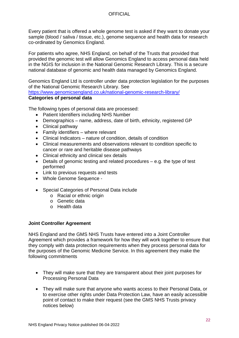Every patient that is offered a whole genome test is asked if they want to donate your sample (blood / saliva / tissue, etc.), genome sequence and health data for research co-ordinated by Genomics England.

For patients who agree, NHS England, on behalf of the Trusts that provided that provided the genomic test will allow Genomics England to access personal data held in the NGIS for inclusion in the National Genomic Research Library. This is a secure national database of genomic and health data managed by Genomics England.

Genomics England Ltd is controller under data protection legislation for the purposes of the National Genomic Research Library. See

<https://www.genomicsengland.co.uk/national-genomic-research-library/>

### **Categories of personal data**

The following types of personal data are processed:

- Patient Identifiers including NHS Number
- Demographics name, address, date of birth, ethnicity, registered GP
- Clinical pathway
- Family identifiers where relevant
- Clinical Indicators nature of condition, details of condition
- Clinical measurements and observations relevant to condition specific to cancer or rare and heritable disease pathways
- Clinical ethnicity and clinical sex details
- Details of genomic testing and related procedures e.g. the type of test performed
- Link to previous requests and tests
- Whole Genome Sequence -
- Special Categories of Personal Data include
	- o Racial or ethnic origin
	- o Genetic data
	- o Health data

### **Joint Controller Agreement**

NHS England and the GMS NHS Trusts have entered into a Joint Controller Agreement which provides a framework for how they will work together to ensure that they comply with data protection requirements when they process personal data for the purposes of the Genomic Medicine Service. In this agreement they make the following commitments

- They will make sure that they are transparent about their joint purposes for Processing Personal Data
- They will make sure that anyone who wants access to their Personal Data, or to exercise other rights under Data Protection Law, have an easily accessible point of contact to make their request (see the GMS NHS Trusts privacy notices below)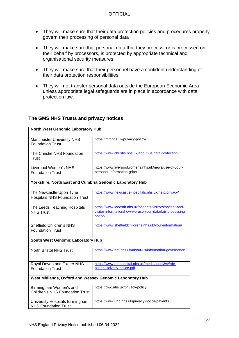- They will make sure that their data protection policies and procedures properly govern their processing of personal data
- They will make sure that personal data that they process, or is processed on their behalf by processors, is protected by appropriate technical and organisational security measures
- They will make sure that their personnel have a confident understanding of their data protection responsibilities
- They will not transfer personal data outside the European Economic Area unless appropriate legal safeguards are in place in accordance with data protection law.

| <b>North West Genomic Laboratory Hub</b>                         |                                                                                                                                   |  |  |  |  |
|------------------------------------------------------------------|-----------------------------------------------------------------------------------------------------------------------------------|--|--|--|--|
| <b>Manchester University NHS</b><br><b>Foundation Trust</b>      | https://mft.nhs.uk/privacy-policy/                                                                                                |  |  |  |  |
| The Christie NHS Foundation<br>Trust                             | https://www.christie.nhs.uk/about-us/data-protection                                                                              |  |  |  |  |
| Liverpool Women's NHS<br><b>Foundation Trust</b>                 | https://www.liverpoolwomens.nhs.uk/news/use-of-your-<br>personal-information-gdpr/                                                |  |  |  |  |
| Yorkshire, North East and Cumbria Genomic Laboratory Hub         |                                                                                                                                   |  |  |  |  |
| The Newcastle Upon Tyne<br><b>Hospitals NHS Foundation Trust</b> | https://www.newcastle-hospitals.nhs.uk/help/privacy/                                                                              |  |  |  |  |
| The Leeds Teaching Hospitals<br><b>NHS Trust</b>                 | https://www.leedsth.nhs.uk/patients-visitors/patient-and-<br>visitor-information/how-we-use-your-data/fair-processing-<br>notice/ |  |  |  |  |
| <b>Sheffield Children's NHS</b><br><b>Foundation Trust</b>       | https://www.sheffieldchildrens.nhs.uk/your-information/                                                                           |  |  |  |  |
| South West Genomic Laboratory Hub                                |                                                                                                                                   |  |  |  |  |
| <b>North Bristol NHS Trust</b>                                   | https://www.nbt.nhs.uk/about-us/information-governance                                                                            |  |  |  |  |
| Royal Devon and Exeter NHS<br><b>Foundation Trust</b>            | https://www.rdehospital.nhs.uk/media/ipopl3vv/rde-<br>patient-privacy-notice.pdf                                                  |  |  |  |  |
| West Midlands, Oxford and Wessex Genomic Laboratory Hub          |                                                                                                                                   |  |  |  |  |
| Birmingham Women's and<br><b>Children's NHS Foundation Trust</b> | https://bwc.nhs.uk/privacy-policy                                                                                                 |  |  |  |  |
| University Hospitals Birmingham<br><b>NHS Foundation Trust</b>   | https://www.uhb.nhs.uk/privacy-notice/patients                                                                                    |  |  |  |  |

### **The GMS NHS Trusts and privacy notices**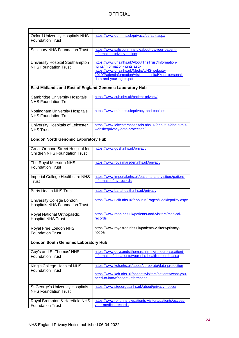| <b>Oxford University Hospitals NHS</b><br><b>Foundation Trust</b>        | https://www.ouh.nhs.uk/privacy/default.aspx                                                                                                                                                                             |  |  |  |
|--------------------------------------------------------------------------|-------------------------------------------------------------------------------------------------------------------------------------------------------------------------------------------------------------------------|--|--|--|
| Salisbury NHS Foundation Trust                                           | https://www.salisbury.nhs.uk/about-us/your-patient-<br>information-privacy-notice/                                                                                                                                      |  |  |  |
| University Hospital Southampton<br><b>NHS Foundation Trust</b>           | https://www.uhs.nhs.uk/AboutTheTrust/Information-<br>rights/Information-rights.aspx<br>https://www.uhs.nhs.uk/Media/UHS-website-<br>2019/Patientinformation/Visitinghospital/Your-personal-<br>data-and-your-rights.pdf |  |  |  |
| East Midlands and East of England Genomic Laboratory Hub                 |                                                                                                                                                                                                                         |  |  |  |
| <b>Cambridge University Hospitals</b><br><b>NHS Foundation Trust</b>     | https://www.cuh.nhs.uk/patient-privacy/                                                                                                                                                                                 |  |  |  |
| Nottingham University Hospitals<br><b>NHS Foundation Trust</b>           | https://www.nuh.nhs.uk/privacy-and-cookies                                                                                                                                                                              |  |  |  |
| University Hospitals of Leicester<br><b>NHS Trust</b>                    | https://www.leicestershospitals.nhs.uk/aboutus/about-this-<br>website/privacy/data-protection/                                                                                                                          |  |  |  |
| <b>London North Genomic Laboratory Hub</b>                               |                                                                                                                                                                                                                         |  |  |  |
| Great Ormond Street Hospital for<br><b>Children NHS Foundation Trust</b> | https://www.gosh.nhs.uk/privacy                                                                                                                                                                                         |  |  |  |
| The Royal Marsden NHS<br><b>Foundation Trust</b>                         | https://www.royalmarsden.nhs.uk/privacy                                                                                                                                                                                 |  |  |  |
| Imperial College Healthcare NHS<br>Trust                                 | https://www.imperial.nhs.uk/patients-and-visitors/patient-<br>information/my-records                                                                                                                                    |  |  |  |
| <b>Barts Health NHS Trust</b>                                            | https://www.bartshealth.nhs.uk/privacy                                                                                                                                                                                  |  |  |  |
| University College London<br><b>Hospitals NHS Foundation Trust</b>       | https://www.uclh.nhs.uk/aboutus/Pages/Cookiepolicy.aspx                                                                                                                                                                 |  |  |  |
| Royal National Orthopaedic<br><b>Hospital NHS Trust</b>                  | https://www.rnoh.nhs.uk/patients-and-visitors/medical-<br><u>records</u>                                                                                                                                                |  |  |  |
| Royal Free London NHS<br><b>Foundation Trust</b>                         | https://www.royalfree.nhs.uk/patients-visitors/privacy-<br>notice/                                                                                                                                                      |  |  |  |
| <b>London South Genomic Laboratory Hub</b>                               |                                                                                                                                                                                                                         |  |  |  |
| Guy's and St Thomas' NHS<br><b>Foundation Trust</b>                      | https://www.guysandstthomas.nhs.uk/resources/patient-<br>information/all-patients/your-nhs-health-records.aspx                                                                                                          |  |  |  |
| King's College Hospital NHS<br><b>Foundation Trust</b>                   | https://www.kch.nhs.uk/about/corporate/data-protection<br>https://www.kch.nhs.uk/patientsvisitors/patients/what-you-<br>need-to-know/patient-information                                                                |  |  |  |
| St George's University Hospitals<br><b>NHS Foundation Trust</b>          | https://www.stgeorges.nhs.uk/about/privacy-notice/                                                                                                                                                                      |  |  |  |
| Royal Brompton & Harefield NHS<br><b>Foundation Trust</b>                | https://www.rbht.nhs.uk/patients-visitors/patients/access-<br>your-medical-records                                                                                                                                      |  |  |  |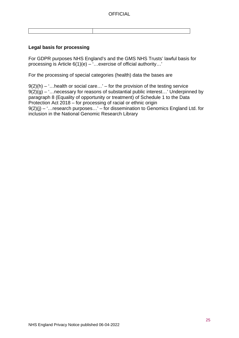### **Legal basis for processing**

For GDPR purposes NHS England's and the GMS NHS Trusts' lawful basis for processing is Article 6(1)(e) – '…exercise of official authority…'

For the processing of special categories (health) data the bases are

 $9(2)(h) -$ ... health or social care...' – for the provision of the testing service  $9(2)(g) -$  :... necessary for reasons of substantial public interest...' Underpinned by paragraph 8 (Equality of opportunity or treatment) of Schedule 1 to the Data Protection Act 2018 – for processing of racial or ethnic origin  $9(2)(j) -$  :... research purposes...' – for dissemination to Genomics England Ltd. for inclusion in the National Genomic Research Library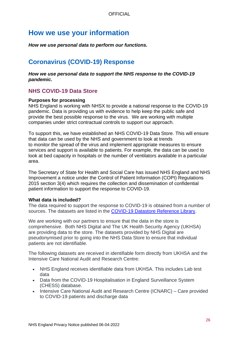# <span id="page-25-0"></span>**How we use your information**

*How we use personal data to perform our functions.*

# <span id="page-25-1"></span>**Coronavirus (COVID-19) Response**

*How we use personal data to support the NHS response to the COVID-19 pandemic.*

# <span id="page-25-2"></span>**NHS COVID-19 Data Store**

### **Purposes for processing**

NHS England is working with NHSX to provide a national response to the COVID-19 pandemic. Data is providing us with evidence to help keep the public safe and provide the best possible response to the virus. We are working with multiple companies under strict contractual controls to support our approach.

To support this, we have established an NHS COVID-19 Data Store. This will ensure that data can be used by the NHS and government to look at trends to monitor the spread of the virus and implement appropriate measures to ensure services and support is available to patients. For example, the data can be used to look at bed capacity in hospitals or the number of ventilators available in a particular area.

The Secretary of State for Health and Social Care has issued NHS England and NHS Improvement a notice under the Control of Patient Information (COPI) Regulations 2015 section 3(4) which requires the collection and dissemination of confidential patient information to support the response to COVID-19.

### **What data is included?**

The data required to support the response to COVID-19 is obtained from a number of sources. The datasets are listed in the [COVID-19 Datastore Reference Library.](https://data.england.nhs.uk/covid-19/)

We are working with our partners to ensure that the data in the store is comprehensive. Both NHS Digital and The UK Health Security Agency (UKHSA) are providing data to the store. The datasets provided by NHS Digital are pseudonymised prior to going into the NHS Data Store to ensure that individual patients are not identifiable.

The following datasets are received in identifiable form directly from UKHSA and the Intensive Care National Audit and Research Centre:

- NHS England receives identifiable data from UKHSA. This includes Lab test data
- Data from the COVID-19 Hospitalisation in England Surveillance System (CHESS) database.
- Intensive Care National Audit and Research Centre (ICNARC) Care provided to COVID-19 patients and discharge data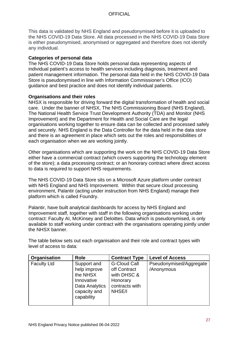This data is validated by NHS England and pseudonymised before it is uploaded to the NHS COVID-19 Data Store. All data processed in the NHS COVID-19 Data Store is either pseudonymised, anonymised or aggregated and therefore does not identify any individual.

### **Categories of personal data**

The NHS COVID-19 Data Store holds personal data representing aspects of individual patient's access to health services including diagnosis, treatment and patient management information. The personal data held in the NHS COVID-19 Data Store is pseudonymised in line with Information Commissioner's Office (ICO) guidance and best practice and does not identify individual patients.

### **Organisations and their roles**

NHSX is responsible for driving forward the digital transformation of health and social care. Under the banner of NHSX, The NHS Commissioning Board (NHS England), The National Health Service Trust Development Authority (TDA) and Monitor (NHS Improvement) and the Department for Health and Social Care are the legal organisations working together to ensure data can be collected and processed safely and securely. NHS England is the Data Controller for the data held in the data store and there is an agreement in place which sets out the roles and responsibilities of each organisation when we are working jointly.

Other organisations which are supporting the work on the NHS COVID-19 Data Store either have a commercial contract (which covers supporting the technology element of the store); a data processing contract; or an honorary contract where direct access to data is required to support NHS requirements.

The NHS COVID-19 Data Store sits on a Microsoft Azure platform under contract with NHS England and NHS Improvement. Within that secure cloud processing environment, Palantir (acting under instruction from NHS England) manage their platform which is called Foundry.

Palantir, have built analytical dashboards for access by NHS England and Improvement staff, together with staff in the following organisations working under contract: Faculty AI, McKinsey and Deloittes. Data which is pseudonymised, is only available to staff working under contract with the organisations operating jointly under the NHSX banner.

The table below sets out each organisation and their role and contract types with level of access to data:

| Organisation       | <b>Role</b>                                                                                           | <b>Contract Type</b>                                                                       | <b>Level of Access</b>                |
|--------------------|-------------------------------------------------------------------------------------------------------|--------------------------------------------------------------------------------------------|---------------------------------------|
| <b>Faculty Ltd</b> | Support and<br>help improve<br>the NHSX<br>Innovative<br>Data Analytics<br>capacity and<br>capability | <b>G-Cloud Call</b><br>off Contract<br>with DHSC &<br>Honorary<br>contracts with<br>NHSE/I | Pseudonymised/Aggregate<br>/Anonymous |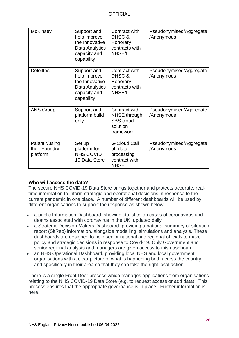| <b>McKinsey</b>                             | Support and<br>help improve<br>the Innovative<br>Data Analytics<br>capacity and<br>capability | Contract with<br>DHSC &<br>Honorary<br>contracts with<br>NHSE/I               | Pseudonymised/Aggregate<br>/Anonymous |
|---------------------------------------------|-----------------------------------------------------------------------------------------------|-------------------------------------------------------------------------------|---------------------------------------|
| <b>Deloittes</b>                            | Support and<br>help improve<br>the Innovative<br>Data Analytics<br>capacity and<br>capability | Contract with<br>DHSC &<br>Honorary<br>contracts with<br>NHSE/I               | Pseudonymised/Aggregate<br>/Anonymous |
| <b>ANS Group</b>                            | Support and<br>platform build<br>only                                                         | Contract with<br>NHSE through<br><b>SBS</b> cloud<br>solution<br>framework    | Pseudonymised/Aggregate<br>/Anonymous |
| Palantir/using<br>their Foundry<br>platform | Set up<br>platform for<br>NHS COVID<br>19 Data Store                                          | <b>G-Cloud Call</b><br>off data<br>processing<br>contract with<br><b>NHSE</b> | Pseudonymised/Aggregate<br>/Anonymous |

### **Who will access the data?**

The secure NHS COVID-19 Data Store brings together and protects accurate, realtime information to inform strategic and operational decisions in response to the current pandemic in one place. A number of different dashboards will be used by different organisations to support the response as shown below:

- a public Information Dashboard, showing statistics on cases of coronavirus and deaths associated with coronavirus in the UK, updated daily
- a Strategic Decision Makers Dashboard, providing a national summary of situation report (SitRep) information, alongside modelling, simulations and analysis. These dashboards are designed to help senior national and regional officials to make policy and strategic decisions in response to Covid-19. Only Government and senior regional analysts and managers are given access to this dashboard.
- an NHS Operational Dashboard, providing local NHS and local government organisations with a clear picture of what is happening both across the country and specifically in their area so that they can take the right local action.

There is a single Front Door process which manages applications from organisations relating to the NHS COVID-19 Data Store (e.g. to request access or add data). This process ensures that the appropriate governance is in place. Further information is here.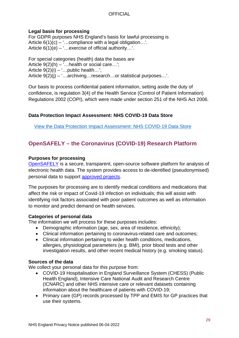### **Legal basis for processing**

For GDPR purposes NHS England's basis for lawful processing is Article  $6(1)(c) -$  ... compliance with a legal obligation...'. Article  $6(1)(e) -$  ... exercise of official authority...'.

For special categories (health) data the bases are Article  $9(2)(h) - '$ ... health or social care...'; Article  $9(2)(i) -$  ... public health...'; Article 9(2)(j) – '…archiving…research…or statistical purposes…'.

Our basis to process confidential patient information, setting aside the duty of confidence, is regulation 3(4) of the Health Service (Control of Patient Information) Regulations 2002 (COPI), which were made under section 251 of the NHS Act 2006.

### **Data Protection Impact Assessment: NHS COVID-19 Data Store**

View the Data Protection Impact [Assessment:](https://www.england.nhs.uk/publication/data-protection-impact-assessment-nhs-covid-19-data-store/) NHS COVID-19 Data Store

# <span id="page-28-0"></span>**OpenSAFELY – the Coronavirus (COVID-19) Research Platform**

### **Purposes for processing**

[OpenSAFELY](https://approved-projects.opensafely.pages.dev/about/) is a secure, transparent, open-source software platform for analysis of electronic health data. The system provides access to de-identified (pseudonymised) personal data to support [approved projects.](https://www.opensafely.org/approved-projects/)

The purposes for processing are to identify medical conditions and medications that affect the risk or impact of Covid-19 infection on individuals; this will assist with identifying risk factors associated with poor patient outcomes as well as information to monitor and predict demand on health services.

### **Categories of personal data**

The information we will process for these purposes includes:

- Demographic information (age, sex, area of residence, ethnicity);
- Clinical information pertaining to coronavirus-related care and outcomes;
- Clinical information pertaining to wider health conditions, medications, allergies, physiological parameters (e.g. BMI), prior blood tests and other investigation results, and other recent medical history (e.g. smoking status).

#### **Sources of the data**

We collect your personal data for this purpose from:

- COVID-19 Hospitalisation in England Surveillance System (CHESS) (Public Health England), Intensive Care National Audit and Research Centre (ICNARC) and other NHS intensive care or relevant datasets containing information about the healthcare of patients with COVID-19;
- Primary care (GP) records processed by TPP and EMIS for GP practices that use their systems.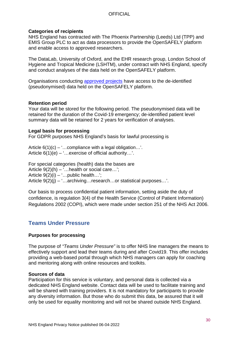### **Categories of recipients**

NHS England has contracted with The Phoenix Partnership (Leeds) Ltd (TPP) and EMIS Group PLC to act as data processors to provide the OpenSAFELY platform and enable access to approved researchers.

The DataLab, University of Oxford, and the EHR research group, London School of Hygiene and Tropical Medicine (LSHTM), under contract with NHS England, specify and conduct analyses of the data held on the OpenSAFELY platform.

Organisations conducting [approved projects](https://approved-projects.opensafely.pages.dev/approved-projects/) have access to the de-identified (pseudonymised) data held on the OpenSAFELY platform.

### **Retention period**

Your data will be stored for the following period. The pseudonymised data will be retained for the duration of the Covid-19 emergency; de-identified patient level summary data will be retained for 2 years for verification of analyses.

### **Legal basis for processing**

For GDPR purposes NHS England's basis for lawful processing is

Article  $6(1)(c) -$ ...compliance with a legal obligation...'. Article  $6(1)(e) -$  ... exercise of official authority...'.

For special categories (health) data the bases are Article  $9(2)(h) -$  ... health or social care...'; Article  $9(2)(i) - 1$ ... public health...'; Article 9(2)(j) – '…archiving…research…or statistical purposes…'.

Our basis to process confidential patient information, setting aside the duty of confidence, is regulation 3(4) of the Health Service (Control of Patient Information) Regulations 2002 (COPI), which were made under section 251 of the NHS Act 2006.

# <span id="page-29-0"></span>**Teams Under Pressure**

### **Purposes for processing**

The purpose of *"Teams Under Pressure"* is to offer NHS line managers the means to effectively support and lead their teams during and after Covid19. This offer includes providing a web-based portal through which NHS managers can apply for coaching and mentoring along with online resources and toolkits.

### **Sources of data**

Participation for this service is voluntary, and personal data is collected via a dedicated NHS England website. Contact data will be used to facilitate training and will be shared with training providers. It is not mandatory for participants to provide any diversity information. But those who do submit this data, be assured that it will only be used for equality monitoring and will not be shared outside NHS England.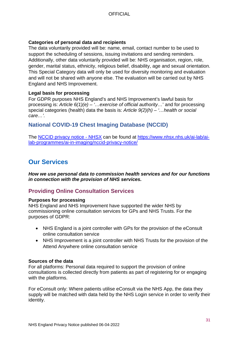### **Categories of personal data and recipients**

The data voluntarily provided will be: name, email, contact number to be used to support the scheduling of sessions, issuing invitations and sending reminders. Additionally, other data voluntarily provided will be: NHS organisation, region, role, gender, marital status, ethnicity, religious belief, disability, age and sexual orientation. This Special Category data will only be used for diversity monitoring and evaluation and will not be shared with anyone else. The evaluation will be carried out by NHS England and NHS Improvement.

### **Legal basis for processing**

For GDPR purposes NHS England's and NHS Improvement's lawful basis for processing is: *Article 6(1)(e) – '…exercise of official authority…*' and for processing special categories (health) data the basis is: *Article 9(2)(h) – '…health or social care…'.*

# <span id="page-30-0"></span>**National COVID-19 Chest Imaging Database (NCCID)**

The [NCCID privacy notice -](file://ims.gov.uk/data/Users/GBBULVD/BULHOME1/RSewart/Data/Desktop/work/GDPR/FPN/updates/FPN%20v1.19/NCCID%20privacy%20notice%20-%20NHSX) NHSX can be found at [https://www.nhsx.nhs.uk/ai-lab/ai](https://www.nhsx.nhs.uk/ai-lab/ai-lab-programmes/ai-in-imaging/nccid-privacy-notice/)[lab-programmes/ai-in-imaging/nccid-privacy-notice/](https://www.nhsx.nhs.uk/ai-lab/ai-lab-programmes/ai-in-imaging/nccid-privacy-notice/)

# <span id="page-30-1"></span>**Our Services**

*How we use personal data to commission health services and for our functions in connection with the provision of NHS services.*

# <span id="page-30-2"></span>**Providing Online Consultation Services**

### **Purposes for processing**

NHS England and NHS Improvement have supported the wider NHS by commissioning online consultation services for GPs and NHS Trusts. For the purposes of GDPR:

- NHS England is a joint controller with GPs for the provision of the eConsult online consultation service
- NHS Improvement is a joint controller with NHS Trusts for the provision of the Attend Anywhere online consultation service

### **Sources of the data**

For all platforms: Personal data required to support the provision of online consultations is collected directly from patients as part of registering for or engaging with the platforms.

For eConsult only: Where patients utilise eConsult via the NHS App, the data they supply will be matched with data held by the NHS Login service in order to verify their identity.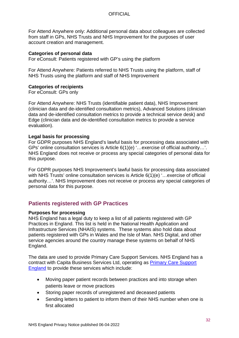For Attend Anywhere only: Additional personal data about colleagues are collected from staff in GPs, NHS Trusts and NHS Improvement for the purposes of user account creation and management.

### **Categories of personal data**

For eConsult: Patients registered with GP's using the platform

For Attend Anywhere: Patients referred to NHS Trusts using the platform, staff of NHS Trusts using the platform and staff of NHS Improvement

### **Categories of recipients**

For eConsult: GPs only

For Attend Anywhere: NHS Trusts (identifiable patient data), NHS Improvement (clinician data and de-identified consultation metrics), Advanced Solutions (clinician data and de-identified consultation metrics to provide a technical service desk) and Edge (clinician data and de-identified consultation metrics to provide a service evaluation).

#### **Legal basis for processing**

For GDPR purposes NHS England's lawful basis for processing data associated with GPs' online consultation services is Article 6(1)(e) '…exercise of official authority…'. NHS England does not receive or process any special categories of personal data for this purpose.

For GDPR purposes NHS Improvement's lawful basis for processing data associated with NHS Trusts' online consultation services is Article 6(1)(e) '…exercise of official authority…'. NHS Improvement does not receive or process any special categories of personal data for this purpose.

# <span id="page-31-0"></span>**Patients registered with GP Practices**

#### **Purposes for processing**

NHS England has a legal duty to keep a list of all patients registered with GP Practices in England. This list is held in the National Health Application and Infrastructure Services (NHAIS) systems. These systems also hold data about patients registered with GPs in Wales and the Isle of Man. NHS Digital, and other service agencies around the country manage these systems on behalf of NHS England.

The data are used to provide Primary Care Support Services. NHS England has a contract with Capita Business Services Ltd, operating as [Primary Care Support](https://pcse.england.nhs.uk/)  [England](https://pcse.england.nhs.uk/) to provide these services which include:

- Moving paper patient records between practices and into storage when patients leave or move practices
- Storing paper records of unregistered and deceased patients
- Sending letters to patient to inform them of their NHS number when one is first allocated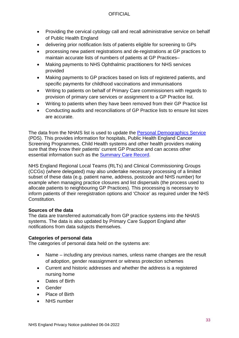- Providing the cervical cytology call and recall administrative service on behalf of Public Health England
- delivering prior notification lists of patients eligible for screening to GPs
- processing new patient registrations and de-registrations at GP practices to maintain accurate lists of numbers of patients at GP Practices–
- Making payments to NHS Ophthalmic practitioners for NHS services provided
- Making payments to GP practices based on lists of registered patients, and specific payments for childhood vaccinations and immunisations
- Writing to patients on behalf of Primary Care commissioners with regards to provision of primary care services or assignment to a GP Practice list.
- Writing to patients when they have been removed from their GP Practice list
- Conducting audits and reconciliations of GP Practice lists to ensure list sizes are accurate.

The data from the NHAIS list is used to update the [Personal Demographics Service](https://digital.nhs.uk/services/demographics) (PDS). This provides information for hospitals, Public Health England Cancer Screening Programmes, Child Health systems and other health providers making sure that they know their patients' current GP Practice and can access other essential information such as the [Summary Care Record.](https://digital.nhs.uk/services/summary-care-records-scr)

NHS England Regional Local Teams (RLTs) and Clinical Commissioning Groups (CCGs) (where delegated) may also undertake necessary processing of a limited subset of these data (e.g. patient name, address, postcode and NHS number) for example when managing practice closures and list dispersals (the process used to allocate patients to neighbouring GP Practices). This processing is necessary to inform patients of their reregistration options and 'Choice' as required under the NHS Constitution.

### **Sources of the data**

The data are transferred automatically from GP practice systems into the NHAIS systems. The data is also updated by Primary Care Support England after notifications from data subjects themselves.

### **Categories of personal data**

The categories of personal data held on the systems are:

- Name including any previous names, unless name changes are the result of adoption, gender reassignment or witness protection schemes
- Current and historic addresses and whether the address is a registered nursing home
- Dates of Birth
- Gender
- Place of Birth
- **NHS** number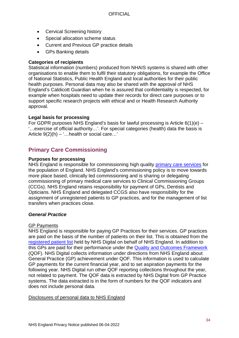- Cervical Screening history
- Special allocation scheme status
- Current and Previous GP practice details
- GPs Banking details

### **Categories of recipients**

Statistical information (numbers) produced from NHAIS systems is shared with other organisations to enable them to fulfil their statutory obligations, for example the Office of National Statistics, Public Health England and local authorities for their public health purposes. Personal data may also be shared with the approval of NHS England's Caldicott Guardian when he is assured that confidentiality is respected, for example when hospitals need to update their records for direct care purposes or to support specific research projects with ethical and or Health Research Authority approval.

### **Legal basis for processing**

For GDPR purposes NHS England's basis for lawful processing is Article 6(1)(e) – '…exercise of official authority…'. For special categories (health) data the basis is Article 9(2)(h) – '…health or social care…'

# <span id="page-33-0"></span>**Primary Care Commissioning**

### **Purposes for processing**

NHS England is responsible for commissioning high quality [primary care services](https://www.england.nhs.uk/commissioning/primary-care/) for the population of England. NHS England's commissioning policy is to move towards more place based, clinically led commissioning and is sharing or delegating commissioning of primary medical care services to Clinical Commissioning Groups (CCGs). NHS England retains responsibility for payment of GPs, Dentists and Opticians. NHS England and delegated CCGS also have responsibility for the assignment of unregistered patients to GP practices, and for the management of list transfers when practices close.

### *General Practice*

### GP Payments

NHS England is responsible for paying GP Practices for their services. GP practices are paid on the basis of the number of patients on their list. This is obtained from the [registered patient list](#page-30-2) held by NHS Digital on behalf of NHS England. In addition to this GPs are paid for their performance under the [Quality and Outcomes Framework](https://digital.nhs.uk/services/general-practice-gp-collections/service-information/quality-outcomes-framework) (QOF). NHS Digital collects information under directions from NHS England about General Practice (GP) achievement under QOF. This information is used to calculate GP payments for the current financial year, and to set aspiration payments for the following year. NHS Digital run other QOF reporting collections throughout the year, not related to payment. The QOF data is extracted by NHS Digital from GP Practice systems. The data extracted is in the form of numbers for the QOF indicators and does not include personal data.

### Disclosures of personal data to NHS England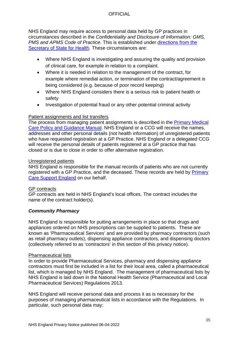NHS England may require access to personal data held by GP practices in circumstances described in the *Confidentiality and Disclosure of Information: GMS, PMS and APMS Code of Practice*. This is established under [directions from the](https://www.gov.uk/government/uploads/system/uploads/attachment_data/file/183372/The_Confidentiality_and_Disclosure_of_Information_Directions_2013.pdf)  [Secretary of State for Health.](https://www.gov.uk/government/uploads/system/uploads/attachment_data/file/183372/The_Confidentiality_and_Disclosure_of_Information_Directions_2013.pdf) These circumstances are:

- Where NHS England is investigating and assuring the quality and provision of clinical care, for example in relation to a complaint.
- Where it is needed in relation to the management of the contract, for example where remedial action, or termination of the contract/agreement is being considered (e.g. because of poor record keeping)
- Where NHS England considers there is a serious risk to patient health or safety
- Investigation of potential fraud or any other potential criminal activity

### Patient assignments and list transfers

The process from managing patient assignments is described in the [Primary Medical](https://www.england.nhs.uk/publication/primary-medical-care-policy-and-guidance-manual-pgm/)  [Care Policy and Guidance Manual.](https://www.england.nhs.uk/publication/primary-medical-care-policy-and-guidance-manual-pgm/) NHS England or a CCG will receive the names, addresses and other personal details (not health information) of unregistered patients who have requested registration at a GP Practice. NHS England or a delegated CCG will receive the personal details of patients registered at a GP practice that has closed or is due to close in order to offer alternative registration.

### Unregistered patients

NHS England is responsible for the manual records of patients who are not currently registered with a GP Practice, and the deceased. These records are held by [Primary](https://pcse.england.nhs.uk/)  [Care Support England](https://pcse.england.nhs.uk/) on our behalf.

### GP contracts

GP contracts are held in NHS England's local offices. The contract includes the name of the contract holder(s).

### *Community Pharmacy*

NHS England is responsible for putting arrangements in place so that drugs and appliances ordered on NHS prescriptions can be supplied to patients. These are known as 'Pharmaceutical Services' and are provided by pharmacy contractors (such as retail pharmacy outlets), dispensing appliance contractors, and dispensing doctors (collectively referred to as 'contractors' in this section of this privacy notice).

### Pharmaceutical lists

In order to provide Pharmaceutical Services, pharmacy and dispensing appliance contractors must first be included in a list for their local area, called a pharmaceutical list, which is managed by NHS England. The management of pharmaceutical lists by NHS England is laid down in the National Health Service (Pharmaceutical and Local Pharmaceutical Services) Regulations 2013.

NHS England will receive personal data and process it as is necessary for the purposes of managing pharmaceutical lists in accordance with the Regulations. In particular, such personal data may: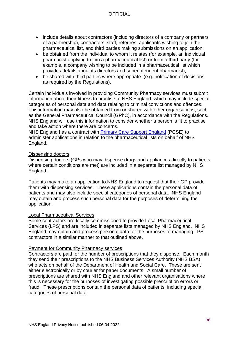- include details about contractors (including directors of a company or partners of a partnership), contractors' staff, referees, applicants wishing to join the pharmaceutical list, and third parties making submissions on an application;
- be obtained from the individual to whom it relates (for example, an individual pharmacist applying to join a pharmaceutical list) or from a third party (for example, a company wishing to be included in a pharmaceutical list which provides details about its directors and superintendent pharmacist);
- be shared with third parties where appropriate (e.g. notification of decisions as required by the Regulations).

Certain individuals involved in providing Community Pharmacy services must submit information about their fitness to practise to NHS England, which may include special categories of personal data and data relating to criminal convictions and offences. This information may also be obtained from or shared with other organisations, such as the General Pharmaceutical Council (GPhC), in accordance with the Regulations. NHS England will use this information to consider whether a person is fit to practise and take action where there are concerns.

NHS England has a contract with [Primary Care Support England](https://www.england.nhs.uk/contact-us/privacy-notice/how-we-use-your-information/our-services/primary-care-support-england/) (PCSE) to administer applications in relation to the pharmaceutical lists on behalf of NHS England.

#### Dispensing doctors

Dispensing doctors (GPs who may dispense drugs and appliances directly to patients where certain conditions are met) are included in a separate list managed by NHS England.

Patients may make an application to NHS England to request that their GP provide them with dispensing services. These applications contain the personal data of patients and may also include special categories of personal data. NHS England may obtain and process such personal data for the purposes of determining the application.

#### Local Pharmaceutical Services

Some contractors are locally commissioned to provide Local Pharmaceutical Services (LPS) and are included in separate lists managed by NHS England. NHS England may obtain and process personal data for the purposes of managing LPS contractors in a similar manner to that outlined above.

#### Payment for Community Pharmacy services

Contractors are paid for the number of prescriptions that they dispense. Each month they send their prescriptions to the NHS Business Services Authority (NHS BSA) who acts on behalf of the Department of Health and Social Care. These are sent either electronically or by courier for paper documents. A small number of prescriptions are shared with NHS England and other relevant organisations where this is necessary for the purposes of investigating possible prescription errors or fraud. These prescriptions contain the personal data of patients, including special categories of personal data.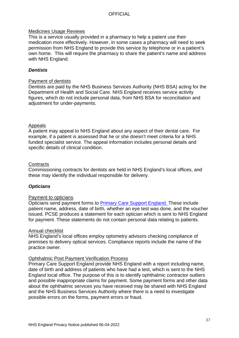#### Medicines Usage Reviews

This is a service usually provided in a pharmacy to help a patient use their medication more effectively. However, in some cases a pharmacy will need to seek permission from NHS England to provide this service by telephone or in a patient's own home. This will require the pharmacy to share the patient's name and address with NHS England.

#### *Dentists*

#### Payment of dentists

Dentists are paid by the NHS Business Services Authority (NHS BSA) acting for the Department of Health and Social Care. NHS England receives service activity figures, which do not include personal data, from NHS BSA for reconciliation and adjustment for under-payments.

#### Appeals

A patient may appeal to NHS England about any aspect of their dental care. For example, if a patient is assessed that he or she doesn't meet criteria for a NHS funded specialist service. The appeal information includes personal details and specific details of clinical condition.

#### **Contracts**

Commissioning contracts for dentists are held in NHS England's local offices, and these may identify the individual responsible for delivery.

#### *Opticians*

#### Payment to opticians.

Opticians send payment forms to [Primary Care Support England.](#page-46-0) These include patient name, address, date of birth, whether an eye test was done, and the voucher issued. PCSE produces a statement for each optician which is sent to NHS England for payment. These statements do not contain personal data relating to patients.

#### Annual checklist

NHS England's local offices employ optometry advisors checking compliance of premises to delivery optical services. Compliance reports include the name of the practice owner.

#### Ophthalmic Post Payment Verification Process

Primary Care Support England provide NHS England with a report including name, date of birth and address of patients who have had a test, which is sent to the NHS England local office. The purpose of this is to identify ophthalmic contractor outliers and possible inappropriate claims for payment. Some payment forms and other data about the ophthalmic services you have received may be shared with NHS England and the NHS Business Services Authority where there is a need to investigate possible errors on the forms, payment errors or fraud.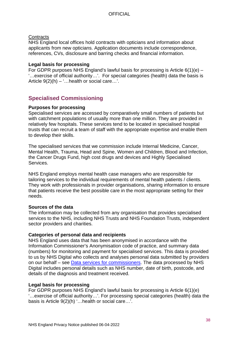#### **Contracts**

NHS England local offices hold contracts with opticians and information about applicants from new opticians. Application documents include correspondence, references, CVs, disclosure and barring checks and financial information.

#### **Legal basis for processing**

For GDPR purposes NHS England's lawful basis for processing is Article 6(1)(e) – '…exercise of official authority…'. For special categories (health) data the basis is Article  $9(2)(h) - '$ ... health or social care...'.

# <span id="page-37-0"></span>**Specialised Commissioning**

#### **Purposes for processing**

Specialised services are accessed by comparatively small numbers of patients but with catchment populations of usually more than one million. They are provided in relatively few hospitals. These services tend to be located in specialised hospital trusts that can recruit a team of staff with the appropriate expertise and enable them to develop their skills.

The specialised services that we commission include Internal Medicine, Cancer, Mental Health, Trauma, Head and Spine, Women and Children, Blood and Infection, the Cancer Drugs Fund, high cost drugs and devices and Highly Specialised Services.

NHS England employs mental health case managers who are responsible for tailoring services to the individual requirements of mental health patients / clients. They work with professionals in provider organisations, sharing information to ensure that patients receive the best possible care in the most appropriate setting for their needs.

### **Sources of the data**

The information may be collected from any organisation that provides specialised services to the NHS, including NHS Trusts and NHS Foundation Trusts, independent sector providers and charities.

### **Categories of personal data and recipients**

NHS England uses data that has been anonymised in accordance with the Information Commissioner's Anonymisation code of practice, and summary data (numbers) for monitoring and payment for specialised services. This data is provided to us by NHS Digital who collects and analyses personal data submitted by providers on our behalf – see [Data services for commissioners.](#page-43-0) The data processed by NHS Digital includes personal details such as NHS number, date of birth, postcode, and details of the diagnosis and treatment received.

### **Legal basis for processing**

For GDPR purposes NHS England's lawful basis for processing is Article 6(1)(e) '…exercise of official authority…'. For processing special categories (health) data the basis is Article 9(2)(h) '…health or social care…'.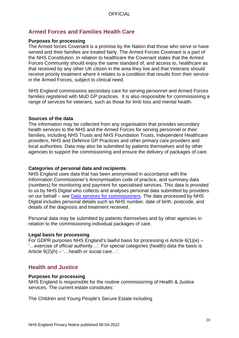# <span id="page-38-0"></span>**Armed Forces and Families Health Care**

#### **Purposes for processing**

The Armed forces Covenant is a promise by the Nation that those who serve or have served and their families are treated fairly. The Armed Forces Covenant is a part of the NHS Constitution. In relation to healthcare the Covenant states that the Armed Forces Community should enjoy the same standard of, and access to, healthcare as that received by any other UK citizen in the area they live and that Veterans should receive priority treatment where it relates to a condition that results from their service in the Armed Forces, subject to clinical need.

NHS England commissions secondary care for serving personnel and Armed Forces families registered with MoD GP practices. It is also responsible for commissioning a range of services for veterans, such as those for limb loss and mental health.

#### **Sources of the data**

The information may be collected from any organisation that provides secondary health services to the NHS and the Armed Forces for serving personnel or their families, including NHS Trusts and NHS Foundation Trusts, Independent Healthcare providers, NHS and Defence GP Practices and other primary care providers and local authorities. Data may also be submitted by patients themselves and by other agencies to support the commissioning and ensure the delivery of packages of care.

#### **Categories of personal data and recipients**

NHS England uses data that has been anonymised in accordance with the Information Commissioner's Anonymisation code of practice, and summary data (numbers) for monitoring and payment for specialised services. This data is provided to us by NHS Digital who collects and analyses personal data submitted by providers on our behalf – see [Data services for commissioners.](#page-43-0) The data processed by NHS Digital includes personal details such as NHS number, date of birth, postcode, and details of the diagnosis and treatment received.

Personal data may be submitted by patients themselves and by other agencies in relation to the commissioning individual packages of care.

### **Legal basis for processing**

For GDPR purposes NHS England's lawful basis for processing is Article 6(1)(e) – '…exercise of official authority…'. For special categories (health) data the basis is Article  $9(2)(h) -$  ... health or social care...'.

## <span id="page-38-1"></span>**Health and Justice**

#### **Purposes for processing**

NHS England is responsible for the routine commissioning of Health & Justice services. The current estate constitutes:

The Children and Young People's Secure Estate including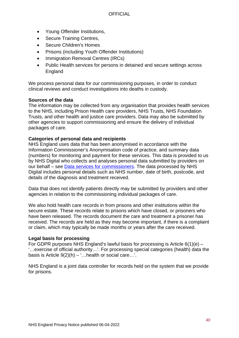- Young Offender Institutions,
- Secure Training Centres,
- Secure Children's Homes
- Prisons (including Youth Offender Institutions)
- Immigration Removal Centres (IRCs)
- Public Health services for persons in detained and secure settings across England

We process personal data for our commissioning purposes, in order to conduct clinical reviews and conduct investigations into deaths in custody.

#### **Sources of the data**

The information may be collected from any organisation that provides health services to the NHS, including Prison Health care providers, NHS Trusts, NHS Foundation Trusts, and other health and justice care providers. Data may also be submitted by other agencies to support commissioning and ensure the delivery of individual packages of care.

### **Categories of personal data and recipients**

NHS England uses data that has been anonymised in accordance with the Information Commissioner's Anonymisation code of practice, and summary data (numbers) for monitoring and payment for these services. This data is provided to us by NHS Digital who collects and analyses personal data submitted by providers on our behalf – see [Data services for commissioners.](#page-43-0) The data processed by NHS Digital includes personal details such as NHS number, date of birth, postcode, and details of the diagnosis and treatment received.

Data that does not identify patients directly may be submitted by providers and other agencies in relation to the commissioning individual packages of care.

We also hold health care records in from prisons and other institutions within the secure estate. These records relate to prisons which have closed, or prisoners who have been released. The records document the care and treatment a prisoner has received. The records are held as they may become important, if there is a complaint or claim, which may typically be made months or years after the care received.

### **Legal basis for processing**

For GDPR purposes NHS England's lawful basis for processing is Article 6(1)(e) – '…exercise of official authority…'. For processing special categories (health) data the basis is Article  $9(2)(h) -$  ... health or social care...'.

<span id="page-39-1"></span><span id="page-39-0"></span>NHS England is a joint data controller for records held on the system that we provide for prisons.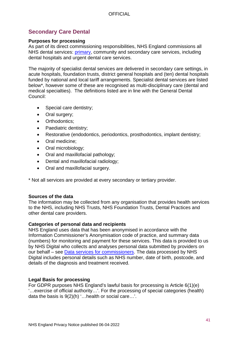# **Secondary Care Dental**

#### **Purposes for processing**

As part of its direct commissioning responsibilities, NHS England commissions all NHS dental services: [primary,](#page-33-0) community and secondary care services, including dental hospitals and urgent dental care services.

The majority of specialist dental services are delivered in secondary care settings, in acute hospitals, foundation trusts, district general hospitals and (ten) dental hospitals funded by national and local tariff arrangements. Specialist dental services are listed below\*, however some of these are recognised as multi-disciplinary care (dental and medical specialties). The definitions listed are in line with the General Dental Council:

- Special care dentistry;
- Oral surgery;
- Orthodontics:
- Paediatric dentistry;
- Restorative (endodontics, periodontics, prosthodontics, implant dentistry;
- Oral medicine;
- Oral microbiology;
- Oral and maxillofacial pathology;
- Dental and maxillofacial radiology;
- Oral and maxillofacial surgery.

\* Not all services are provided at every secondary or tertiary provider.

#### **Sources of the data**

The information may be collected from any organisation that provides health services to the NHS, including NHS Trusts, NHS Foundation Trusts, Dental Practices and other dental care providers.

#### **Categories of personal data and recipients**

NHS England uses data that has been anonymised in accordance with the Information Commissioner's Anonymisation code of practice, and summary data (numbers) for monitoring and payment for these services. This data is provided to us by NHS Digital who collects and analyses personal data submitted by providers on our behalf – see [Data services for commissioners.](#page-43-0) The data processed by NHS Digital includes personal details such as NHS number, date of birth, postcode, and details of the diagnosis and treatment received.

### **Legal Basis for processing**

For GDPR purposes NHS England's lawful basis for processing is Article 6(1)(e) '…exercise of official authority…'. For the processing of special categories (health) data the basis is 9(2)(h) '…health or social care…'.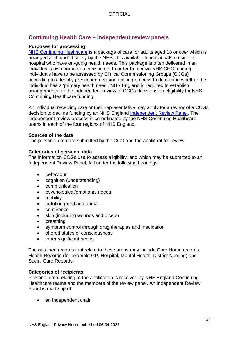# **Continuing Health Care – independent review panels**

#### **Purposes for processing**

[NHS Continuing Healthcare](https://www.nhs.uk/conditions/social-care-and-support/nhs-continuing-care/) is a package of care for adults aged 18 or over which is arranged and funded solely by the NHS. It is available to individuals outside of hospital who have on-going health needs. This package is often delivered in an individual's own home or a care home. In order to receive NHS CHC funding individuals have to be assessed by Clinical Commissioning Groups (CCGs) according to a legally prescribed decision making process to determine whether the individual has a 'primary health need'. NHS England is required to establish arrangements for the independent review of CCGs decisions on eligibility for NHS Continuing Healthcare funding.

An individual receiving care or their representative may apply for a review of a CCGs decision to decline funding by an NHS England [Independent Review Panel.](https://www.england.nhs.uk/healthcare/) The independent review process is co-ordinated by the NHS Continuing Healthcare teams in each of the four regions of NHS England.

#### **Sources of the data**

The personal data are submitted by the CCG and the applicant for review.

#### **Categories of personal data**

The information CCGs use to assess eligibility, and which may be submitted to an Independent Review Panel, fall under the following headings:

- behaviour
- cognition (understanding)
- communication
- psychological/emotional needs
- mobility
- nutrition (food and drink)
- continence
- skin (including wounds and ulcers)
- breathing
- symptom control through drug therapies and medication
- altered states of consciousness
- other significant needs

The obtained records that relate to these areas may include Care Home records, Health Records (for example GP, Hospital, Mental Health, District Nursing) and Social Care Records.

#### **Categories of recipients**

Personal data relating to the application is received by NHS England Continuing Healthcare teams and the members of the review panel. An Independent Review Panel is made up of:

• an independent chair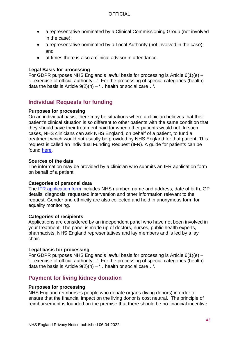- a representative nominated by a Clinical Commissioning Group (not involved in the case);
- a representative nominated by a Local Authority (not involved in the case); and
- at times there is also a clinical advisor in attendance.

#### **Legal Basis for processing**

For GDPR purposes NHS England's lawful basis for processing is Article 6(1)(e) – '…exercise of official authority…'. For the processing of special categories (health) data the basis is Article  $9(2)(h) -$ ... health or social care...'.

# **Individual Requests for funding**

#### **Purposes for processing**

On an individual basis, there may be situations where a clinician believes that their patient's clinical situation is so different to other patients with the same condition that they should have their treatment paid for when other patients would not. In such cases, NHS clinicians can ask NHS England, on behalf of a patient, to fund a treatment which would not usually be provided by NHS England for that patient. This request is called an Individual Funding Request (IFR). A guide for patients can be found [here.](https://www.england.nhs.uk/publication/individual-funding-requests-for-specialised-services-a-guide-for-patients/)

#### **Sources of the data**

The information may be provided by a clinician who submits an IFR application form on behalf of a patient.

#### **Categories of personal data**

The [IFR application form](https://www.england.nhs.uk/publication/specialised-services-individual-funding-requests/) includes NHS number, name and address, date of birth, GP details, diagnosis, requested intervention and other information relevant to the request. Gender and ethnicity are also collected and held in anonymous form for equality monitoring.

### **Categories of recipients**

Applications are considered by an independent panel who have not been involved in your treatment. The panel is made up of doctors, nurses, public health experts, pharmacists, NHS England representatives and lay members and is led by a lay chair.

#### **Legal basis for processing**

For GDPR purposes NHS England's lawful basis for processing is Article  $6(1)(e)$  – '…exercise of official authority…'. For the processing of special categories (health) data the basis is Article  $9(2)(h) - \dots$  health or social care...'.

# **Payment for living kidney donation**

### **Purposes for processing**

NHS England reimburses people who donate organs (living donors) in order to ensure that the financial impact on the living donor is cost neutral. The principle of reimbursement is founded on the premise that there should be no financial incentive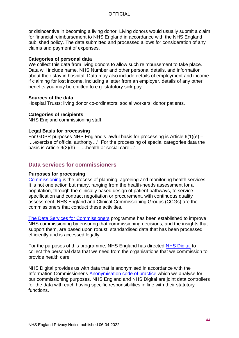or disincentive in becoming a living donor. Living donors would usually submit a claim for financial reimbursement to NHS England in accordance with the NHS England published policy. The data submitted and processed allows for consideration of any claims and payment of expenses.

#### **Categories of personal data**

We collect this data from living donors to allow such reimbursement to take place. Data will include name, NHS Number and other personal details, and information about their stay in hospital. Data may also include details of employment and income if claiming for lost income, including a letter from an employer, details of any other benefits you may be entitled to e.g. statutory sick pay.

#### **Sources of the data**

Hospital Trusts; living donor co-ordinators; social workers; donor patients.

#### **Categories of recipients**

NHS England commissioning staff.

#### **Legal Basis for processing**

For GDPR purposes NHS England's lawful basis for processing is Article 6(1)(e) – '…exercise of official authority…'. For the processing of special categories data the basis is Article  $9(2)(h) - '$ ... health or social care...'.

## <span id="page-43-0"></span>**Data services for commissioners**

#### **Purposes for processing**

[Commissioning](https://www.england.nhs.uk/commissioning/) is the process of planning, agreeing and monitoring health services. It is not one action but many, ranging from the health-needs assessment for a population, through the clinically based design of patient pathways, to service specification and contract negotiation or procurement, with continuous quality assessment. NHS England and Clinical Commissioning Groups (CCGs) are the commissioners that conduct these activities.

[The Data Services for Commissioners](https://www.england.nhs.uk/data-services/) programme has been established to improve NHS commissioning by ensuring that commissioning decisions, and the insights that support them, are based upon robust, standardised data that has been processed efficiently and is accessed legally.

For the purposes of this programme, NHS England has directed [NHS Digital](#page-44-0) to collect the personal data that we need from the organisations that we commission to provide health care.

NHS Digital provides us with data that is anonymised in accordance with the Information Commissioner's [Anonymisation code of practice](https://ico.org.uk/for-organisations/guide-to-data-protection/anonymisation/) which we analyse for our commissioning purposes. NHS England and NHS Digital are joint data controllers for the data with each having specific responsibilities in line with their statutory functions.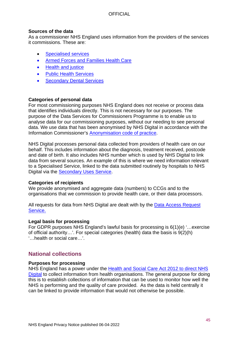#### **Sources of the data**

As a commissioner NHS England uses information from the providers of the services it commissions. These are:

- [Specialised services](#page-37-0)
- [Armed Forces and Families Health Care](#page-38-0)
- [Health and justice](#page-38-1)
- [Public Health Services](#page-39-0)
- [Secondary Dental Services](#page-39-1)

#### **Categories of personal data**

For most commissioning purposes NHS England does not receive or process data that identifies individuals directly. This is not necessary for our purposes. The purpose of the Data Services for Commissioners Programme is to enable us to analyse data for our commissioning purposes, without our needing to see personal data. We use data that has been anonymised by NHS Digital in accordance with the Information Commissioner's [Anonymisation code of practice.](https://ico.org.uk/for-organisations/guide-to-data-protection/anonymisation/)

NHS Digital processes personal data collected from providers of health care on our behalf. This includes information about the diagnosis, treatment received, postcode and date of birth. It also includes NHS number which is used by NHS Digital to link data from several sources. An example of this is where we need information relevant to a Specialised Service, linked to the data submitted routinely by hospitals to NHS Digital via the [Secondary Uses Service.](https://digital.nhs.uk/services/secondary-uses-service-sus)

#### **Categories of recipients**

We provide anonymised and aggregate data (numbers) to CCGs and to the organisations that we commission to provide health care, or their data processors.

All requests for data from NHS Digital are dealt with by the Data Access Request [Service.](https://digital.nhs.uk/services/data-access-request-service-dars)

#### **Legal basis for processing**

For GDPR purposes NHS England's lawful basis for processing is 6(1)(e) '…exercise of official authority…'. For special categories (health) data the basis is 9(2)(h) '…health or social care…'.

## <span id="page-44-0"></span>**National collections**

#### **Purposes for processing**

NHS England has a power under the [Health and Social Care Act 2012 to direct NHS](https://www.england.nhs.uk/ourwork/tsd/data-info/info-stand/dir-app/)  [Digital](https://www.england.nhs.uk/ourwork/tsd/data-info/info-stand/dir-app/) to collect information from health organisations. The general purpose for doing this is to establish collections of information that can be used to monitor how well the NHS is performing and the quality of care provided. As the data is held centrally it can be linked to provide information that would not otherwise be possible.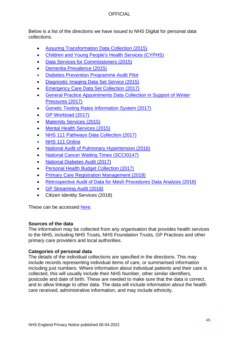Below is a list of the directions we have issued to NHS Digital for personal data collections.

- [Assuring Transformation Data Collection \(2015\)](https://digital.nhs.uk/data-and-information/data-collections-and-data-sets/data-collections/data-collections/assuring-transformation)
- [Children and Young People's Health Services \(CYPHS\)](https://digital.nhs.uk/data-and-information/data-collections-and-data-sets/data-sets/children-and-young-people-s-health-services-data-set)
- [Data Services for Commissioners \(2015\)](https://digital.nhs.uk/services/data-services-for-commissioners-dsfc)
- [Dementia Prevalence \(2015\)](https://digital.nhs.uk/data-and-information/data-collections-and-data-sets/data-collections/quality-and-outcomes-framework-qof/quality-and-outcome-framework-qof-business-rules/recorded-dementia-diagnoses)
- [Diabetes Prevention Programme Audit Pilot](https://digital.nhs.uk/data-and-information/publications/statistical/national-diabetes-audit/national-diabetes-prevention-programme-pilot-study)
- [Diagnostic Imaging Data Set Service \(2015\)](https://digital.nhs.uk/data-and-information/data-collections-and-data-sets/data-sets/diagnostic-imaging-data-set)
- [Emergency Care Data Set Collection \(2017\)](https://digital.nhs.uk/data-and-information/data-collections-and-data-sets/data-sets/emergency-care-data-set-ecds)
- [General Practice Appointments Data Collection in Support of Winter](https://digital.nhs.uk/services/general-practice-gp-collections/service-information/gp-appointments-data-collection-in-support-of-winter-pressures)  [Pressures \(2017\)](https://digital.nhs.uk/services/general-practice-gp-collections/service-information/gp-appointments-data-collection-in-support-of-winter-pressures)
- [Genetic Testing Rates Information System \(2017\)](https://digital.nhs.uk/about-nhs-digital/corporate-information-and-documents/directions-and-data-provision-notices/data-provision-notices-dpns/genetic-testing-rates-for-nhs-trusts-in-england-ukgtn-member-laboratories-data-provision-notice)
- [GP Workload \(2017\)](https://digital.nhs.uk/services/general-practice-gp-collections/service-information/gp-workload-collection)
- **[Maternity Services \(2015\)](https://digital.nhs.uk/data-and-information/data-collections-and-data-sets/data-sets/maternity-services-data-set)**
- **[Mental Health Services \(2015\)](https://digital.nhs.uk/data-and-information/data-collections-and-data-sets/data-sets/mental-health-services-data-set)**
- [NHS 111 Pathways Data Collection \(2017\)](https://digital.nhs.uk/about-nhs-digital/corporate-information-and-documents/directions-and-data-provision-notices/data-provision-notices-dpns/nhs-111-pathways-nhs-number-data-provision-notice)
- [NHS 111 Online](https://digital.nhs.uk/about-nhs-digital/our-work/transforming-health-and-care-through-technology/urgent-and-emergency-care-domain-b/nhs-111-online)
- [National Audit of Pulmonary Hypertension \(2016\)](https://digital.nhs.uk/data-and-information/clinical-audits-and-registries/our-clinical-audits-and-registries/national-pulmonary-hypertension-audit)
- [National Cancer Waiting Times \(SCCI0147\)](https://digital.nhs.uk/services/systems-and-service-delivery/screening-services/cancer-waiting-times)
- [National Diabetes Audit \(2017\)](https://digital.nhs.uk/data-and-information/clinical-audits-and-registries/our-clinical-audits-and-registries/national-diabetes-audit)
- [Personal Health Budget Collection \(2017\)](https://digital.nhs.uk/data-and-information/data-collections-and-data-sets/data-collections/personal-health-budget-phb)
- [Primary Care Registration Management \(2018\)](https://digital.nhs.uk/about-nhs-digital/corporate-information-and-documents/directions-and-data-provision-notices/nhs-england-directions/establishment-of-information-systems-for-nhs-services-primary-care-registration-management-directions-2018)
- [Retrospective Audit of Data for Mesh Procedures Data Analysis \(2018\)](https://digital.nhs.uk/about-nhs-digital/corporate-information-and-documents/directions-and-data-provision-notices/nhs-england-directions/2018/establishment-of-information-systems-for-nhs-services-the-retrospective-audit-of-data-for-mesh-procedures-data-analysis-directions-2018)
- [GP Streaming Audit \(2018\)](https://digital.nhs.uk/about-nhs-digital/corporate-information-and-documents/directions-and-data-provision-notices/nhs-england-directions/2018/establishing-and-operating-the-gp-streaming-audit-information-system)
- Citizen Identity Services (2018)

These can be accessed [here.](https://digital.nhs.uk/about-nhs-digital/corporate-information-and-documents/directions-and-data-provision-notices/nhs-england-directions)

### **Sources of the data**

The information may be collected from any organisation that provides health services to the NHS, including NHS Trusts, NHS Foundation Trusts, GP Practices and other primary care providers and local authorities.

## **Categories of personal data**

The details of the individual collections are specified in the directions. This may include records representing individual items of care, or summarised information including just numbers. Where information about individual patients and their care is collected, this will usually include their NHS Number, other similar identifiers, postcode and date of birth. These are needed to make sure that the data is correct, and to allow linkage to other data. The data will include information about the health care received, administrative information, and may include ethnicity.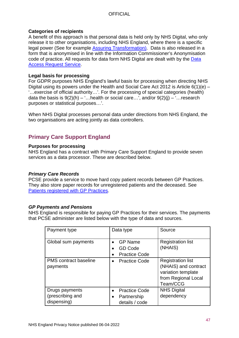## **Categories of recipients**

A benefit of this approach is that personal data is held only by NHS Digital, who only release it to other organisations, including NHS England, where there is a specific legal power (See for example [Assuring Transformation\)](#page-82-0). Data is also released in a form that is anonymised in line with the Information Commissioner's Anonymisation code of practice. All requests for data form NHS Digital are dealt with by the Data [Access Request Service.](https://digital.nhs.uk/services/data-access-request-service-dars)

## **Legal basis for processing**

For GDPR purposes NHS England's lawful basis for processing when directing NHS Digital using its powers under the Health and Social Care Act 2012 is Article  $6(1)(e)$  – '…exercise of official authority…'. For the processing of special categories (health) data the basis is  $9(2)(h) -$ ...health or social care...', and/or  $9(2)(i) -$ ...research purposes or statistical purposes…'.

When NHS Digital processes personal data under directions from NHS England, the two organisations are acting jointly as data controllers.

# <span id="page-46-0"></span>**Primary Care Support England**

### **Purposes for processing**

NHS England has a contract with Primary Care Support England to provide seven services as a data processor. These are described below.

### *Primary Care Records*

PCSE provide a service to move hard copy patient records between GP Practices. They also store paper records for unregistered patients and the deceased. See [Patients registered with GP Practices.](#page-30-0)

### *GP Payments and Pensions*

NHS England is responsible for paying GP Practices for their services. The payments that PCSE administer are listed below with the type of data and sources.

| Payment type                                      | Data type                                                          | Source                                                                                                    |
|---------------------------------------------------|--------------------------------------------------------------------|-----------------------------------------------------------------------------------------------------------|
| Global sum payments                               | <b>GP Name</b><br><b>GD Code</b><br><b>Practice Code</b>           | <b>Registration list</b><br>(NHAIS)                                                                       |
| <b>PMS</b> contract baseline<br>payments          | <b>Practice Code</b>                                               | <b>Registration list</b><br>(NHAIS) and contract<br>variation template<br>from Regional Local<br>Team/CCG |
| Drugs payments<br>(prescribing and<br>dispensing) | <b>Practice Code</b><br>$\bullet$<br>Partnership<br>details / code | <b>NHS Digital</b><br>dependency                                                                          |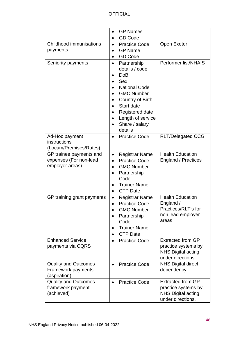|                                                                      | <b>GP Names</b><br><b>GD Code</b>                                                                                                                                                                             |                                                                                                   |
|----------------------------------------------------------------------|---------------------------------------------------------------------------------------------------------------------------------------------------------------------------------------------------------------|---------------------------------------------------------------------------------------------------|
| Childhood immunisations<br>payments                                  | <b>Practice Code</b><br>$\bullet$<br><b>GP Name</b><br><b>GD Code</b>                                                                                                                                         | Open Exeter                                                                                       |
| Seniority payments                                                   | Partnership<br>details / code<br><b>DoB</b><br><b>Sex</b><br><b>National Code</b><br><b>GMC Number</b><br>Country of Birth<br>Start date<br>Registered date<br>Length of service<br>Share / salary<br>details | Performer list/NHAIS                                                                              |
| Ad-Hoc payment<br>instructions<br>(Locum/Premises/Rates)             | <b>Practice Code</b>                                                                                                                                                                                          | <b>RLT/Delegated CCG</b>                                                                          |
| GP trainee payments and<br>expenses (For non-lead<br>employer areas) | <b>Registrar Name</b><br><b>Practice Code</b><br><b>GMC Number</b><br>Partnership<br>Code<br><b>Trainer Name</b><br><b>CTP Date</b>                                                                           | <b>Health Education</b><br><b>England / Practices</b>                                             |
| GP training grant payments                                           | <b>Registrar Name</b><br>$\bullet$<br><b>Practice Code</b><br><b>GMC Number</b><br>Partnership<br>Code<br><b>Trainer Name</b><br><b>CTP Date</b>                                                              | <b>Health Education</b><br>England /<br>Practices/RLT's for<br>non lead employer<br>areas         |
| <b>Enhanced Service</b><br>payments via CQRS                         | <b>Practice Code</b><br>$\bullet$                                                                                                                                                                             | <b>Extracted from GP</b><br>practice systems by<br><b>NHS Digital acting</b><br>under directions. |
| <b>Quality and Outcomes</b><br>Framework payments<br>(aspiration)    | <b>Practice Code</b><br>$\bullet$                                                                                                                                                                             | <b>NHS Digital direct</b><br>dependency                                                           |
| <b>Quality and Outcomes</b><br>framework payment<br>(achieved)       | <b>Practice Code</b>                                                                                                                                                                                          | <b>Extracted from GP</b><br>practice systems by<br><b>NHS Digital acting</b><br>under directions. |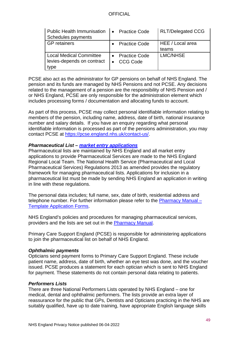| Public Health Immunisation   • Practice Code<br>Schedules payments |                      | <b>RLT/Delegated CCG</b> |
|--------------------------------------------------------------------|----------------------|--------------------------|
| <b>GP</b> retainers                                                | <b>Practice Code</b> | HEE / Local area         |
|                                                                    |                      | teams                    |
| <b>Local Medical Committee</b>                                     | • Practice Code      | LMC/NHSE                 |
| levies-depends on contract                                         | <b>CCG Code</b>      |                          |
| type                                                               |                      |                          |

PCSE also act as the administrator for GP pensions on behalf of NHS England. The pension and its funds are managed by NHS Pensions and not PCSE. Any decisions related to the management of a pension are the responsibility of NHS Pension and / or NHS England, PCSE are only responsible for the administration element which includes processing forms / documentation and allocating funds to account.

As part of this process, PCSE may collect personal identifiable information relating to members of the pension, including name, address, date of birth, national insurance number and salary details. If you have an enquiry regarding what personal identifiable information is processed as part of the pensions administration, you may contact PCSE at [https://pcse.england.nhs.uk/contact-us/.](https://pcse.england.nhs.uk/contact-us/)

#### *Pharmaceutical List – [market entry applications](https://pcse.england.nhs.uk/services/market-entry/)*

Pharmaceutical lists are maintained by NHS England and all market entry applications to provide Pharmaceutical Services are made to the NHS England Regional Local Team. The National Health Service (Pharmaceutical and Local Pharmaceutical Services) Regulations 2013 as amended provides the regulatory framework for managing pharmaceutical lists. Applications for inclusion in a pharmaceutical list must be made by sending NHS England an application in writing in line with these regulations.

The personal data includes; full name, sex, date of birth, residential address and telephone number. For further information please refer to the [Pharmacy Manual –](https://www.england.nhs.uk/commissioning/primary-care/pharmacy/manual/) [Template Application Forms.](https://www.england.nhs.uk/commissioning/primary-care/pharmacy/manual/)

NHS England's policies and procedures for managing pharmaceutical services, providers and the lists are set out in the [Pharmacy Manual.](https://www.england.nhs.uk/commissioning/primary-care/pharmacy/manual/)

Primary Care Support England (PCSE) is responsible for administering applications to join the pharmaceutical list on behalf of NHS England.

#### *Ophthalmic payments*

Opticians send payment forms to Primary Care Support England. These include patient name, address, date of birth, whether an eye test was done, and the voucher issued. PCSE produces a statement for each optician which is sent to NHS England for payment. These statements do not contain personal data relating to patients.

#### *Performers Lists*

There are three National Performers Lists operated by NHS England – one for medical, dental and ophthalmic performers. The lists provide an extra layer of reassurance for the public that GPs, Dentists and Opticians practicing in the NHS are suitably qualified, have up to date training, have appropriate English language skills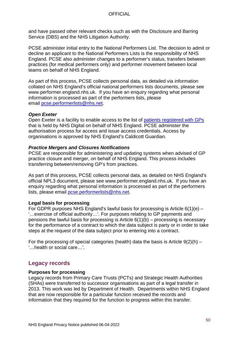and have passed other relevant checks such as with the Disclosure and Barring Service (DBS) and the NHS Litigation Authority.

PCSE administer initial entry to the National Performers List. The decision to admit or decline an applicant to the National Performers Lists is the responsibility of NHS England. PCSE also administer changes to a performer's status, transfers between practices (for medical performers only) and performer movement between local teams on behalf of NHS England.

As part of this process, PCSE collects personal data, as detailed via information collated on NHS England's official national performers lists documents, please see www.performer.england.nhs.uk. If you have an enquiry regarding what personal information is processed as part of the performers lists, please email [pcse.performerlists@nhs.net.](mailto:pcse.performerlists@nhs.net)

#### *Open Exeter*

Open Exeter is a facility to enable access to the list of [patients registered with GPs](#page-30-0) that is held by NHS Digital on behalf of NHS England. PCSE administer the authorisation process for access and issue access credentials. Access by organisations is approved by NHS England's Caldicott Guardian.

#### *Practice Mergers and Closures Notifications*

PCSE are responsible for administering and updating systems when advised of GP practice closure and merger, on behalf of NHS England. This process includes transferring between/removing GP's from practices.

As part of this process, PCSE collects personal data, as detailed on NHS England's official NPL3 document, please see www.performer.england.nhs.uk. If you have an enquiry regarding what personal information is processed as part of the performers lists, please email [pcse.performerlists@nhs.net.](mailto:pcse.performerlists@nhs.net)

#### **Legal basis for processing**

For GDPR purposes NHS England's lawful basis for processing is Article  $6(1)(e)$  – '…exercise of official authority…'. For purposes relating to GP payments and pensions the lawful basis for processing is Article  $6(1)(b)$  – processing is necessary for the performance of a contract to which the data subject is party or in order to take steps at the request of the data subject prior to entering into a contract.

For the processing of special categories (health) data the basis is Article  $9(2)(h)$  – '…health or social care…'.

## **Legacy records**

#### **Purposes for processing**

Legacy records from Primary Care Trusts (PCTs) and Strategic Health Authorities (SHAs) were transferred to successor organisations as part of a legal transfer in 2013. This work was led by Department of Health. Departments within NHS England that are now responsible for a particular function received the records and information that they required for the function to progress within this transfer.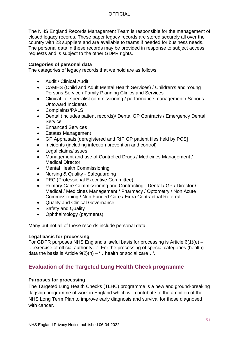The NHS England Records Management Team is responsible for the management of closed legacy records. These paper legacy records are stored securely all over the country with 23 suppliers and are available to teams if needed for business needs. The personal data in these records may be provided in response to subject access requests and is subject to the other GDPR rights.

#### **Categories of personal data**

The categories of legacy records that we hold are as follows:

- Audit / Clinical Audit
- CAMHS (Child and Adult Mental Health Services) / Children's and Young Persons Service / Family Planning Clinics and Services
- Clinical i.e. specialist commissioning / performance management / Serious Untoward Incidents
- Complaints/PALS
- Dental (includes patient records)/ Dental GP Contracts / Emergency Dental **Service**
- Enhanced Services
- Estates Management
- GP Appraisals [deregistered and RIP GP patient files held by PCS]
- Incidents (including infection prevention and control)
- Legal claims/issues
- Management and use of Controlled Drugs / Medicines Management / Medical Director
- Mental Health Commissioning
- Nursing & Quality Safeguarding
- PEC (Professional Executive Committee)
- Primary Care Commissioning and Contracting Dental / GP / Director / Medical / Medicines Management / Pharmacy / Optometry / Non Acute Commissioning / Non Funded Care / Extra Contractual Referral
- Quality and Clinical Governance
- Safety and Quality
- Ophthalmology (payments)

Many but not all of these records include personal data.

#### **Legal basis for processing**

For GDPR purposes NHS England's lawful basis for processing is Article  $6(1)(e)$  – '…exercise of official authority…'. For the processing of special categories (health) data the basis is Article  $9(2)(h) - \dots$  health or social care...'.

# **Evaluation of the Targeted Lung Health Check programme**

### **Purposes for processing**

The Targeted Lung Health Checks (TLHC) programme is a new and ground-breaking flagship programme of work in England which will contribute to the ambition of the NHS Long Term Plan to improve early diagnosis and survival for those diagnosed with cancer.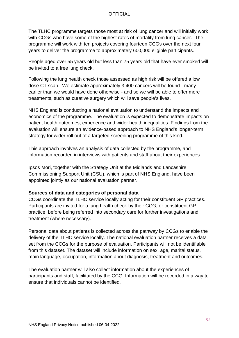The TLHC programme targets those most at risk of lung cancer and will initially work with CCGs who have some of the highest rates of mortality from lung cancer. The programme will work with ten projects covering fourteen CCGs over the next four years to deliver the programme to approximately 600,000 eligible participants.

People aged over 55 years old but less than 75 years old that have ever smoked will be invited to a free lung check.

Following the lung health check those assessed as high risk will be offered a low dose CT scan. We estimate approximately 3,400 cancers will be found - many earlier than we would have done otherwise - and so we will be able to offer more treatments, such as curative surgery which will save people's lives.

NHS England is conducting a national evaluation to understand the impacts and economics of the programme. The evaluation is expected to demonstrate impacts on patient health outcomes, experience and wider health inequalities. Findings from the evaluation will ensure an evidence-based approach to NHS England's longer-term strategy for wider roll out of a targeted screening programme of this kind.

This approach involves an analysis of data collected by the programme, and information recorded in interviews with patients and staff about their experiences.

Ipsos Mori, together with the Strategy Unit at the Midlands and Lancashire Commissioning Support Unit (CSU), which is part of NHS England, have been appointed jointly as our national evaluation partner.

#### **Sources of data and categories of personal data**

CCGs coordinate the TLHC service locally acting for their constituent GP practices. Participants are invited for a lung health check by their CCG, or constituent GP practice, before being referred into secondary care for further investigations and treatment (where necessary).

Personal data about patients is collected across the pathway by CCGs to enable the delivery of the TLHC service locally. The national evaluation partner receives a data set from the CCGs for the purpose of evaluation. Participants will not be identifiable from this dataset. The dataset will include information on sex, age, marital status, main language, occupation, information about diagnosis, treatment and outcomes.

The evaluation partner will also collect information about the experiences of participants and staff, facilitated by the CCG. Information will be recorded in a way to ensure that individuals cannot be identified.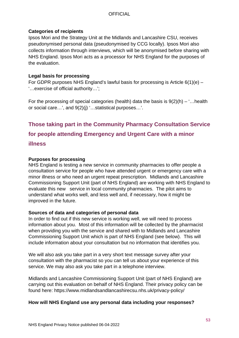## **Categories of recipients**

Ipsos Mori and the Strategy Unit at the Midlands and Lancashire CSU, receives pseudonymised personal data (pseudonymised by CCG locally). Ipsos Mori also collects information through interviews, which will be anonymised before sharing with NHS England. Ipsos Mori acts as a processor for NHS England for the purposes of the evaluation.

## **Legal basis for processing**

For GDPR purposes NHS England's lawful basis for processing is Article 6(1)(e) – '…exercise of official authority…';

For the processing of special categories (health) data the basis is  $9(2)(h) -$ ... health or social care…', and 9(2)(j) '…statistical purposes…'.

# **Those taking part in the Community Pharmacy Consultation Service for people attending Emergency and Urgent Care with a minor illness**

## **Purposes for processing**

NHS England is testing a new service in community pharmacies to offer people a consultation service for people who have attended urgent or emergency care with a minor illness or who need an urgent repeat prescription. Midlands and Lancashire Commissioning Support Unit (part of NHS England) are working with NHS England to evaluate this new service in local community pharmacies. The pilot aims to understand what works well, and less well and, if necessary, how it might be improved in the future.

### **Sources of data and categories of personal data**

In order to find out if this new service is working well, we will need to process information about you. Most of this information will be collected by the pharmacist when providing you with the service and shared with to Midlands and Lancashire Commissioning Support Unit which is part of NHS England (see below). This will include information about your consultation but no information that identifies you.

We will also ask you take part in a very short text message survey after your consultation with the pharmacist so you can tell us about your experience of this service. We may also ask you take part in a telephone interview.

Midlands and Lancashire Commissioning Support Unit (part of NHS England) are carrying out this evaluation on behalf of NHS England. Their privacy policy can be found here:<https://www.midlandsandlancashirecsu.nhs.uk/privacy-policy/>

## **How will NHS England use any personal data including your responses?**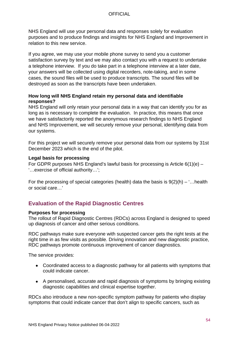NHS England will use your personal data and responses solely for evaluation purposes and to produce findings and insights for NHS England and Improvement in relation to this new service.

If you agree, we may use your mobile phone survey to send you a customer satisfaction survey by text and we may also contact you with a request to undertake a telephone interview. If you do take part in a telephone interview at a later date, your answers will be collected using digital recorders, note-taking, and in some cases, the sound files will be used to produce transcripts. The sound files will be destroyed as soon as the transcripts have been undertaken.

#### **How long will NHS England retain my personal data and identifiable responses?**

NHS England will only retain your personal data in a way that can identify you for as long as is necessary to complete the evaluation. In practice, this means that once we have satisfactorily reported the anonymous research findings to NHS England and NHS Improvement, we will securely remove your personal, identifying data from our systems.

For this project we will securely remove your personal data from our systems by 31st December 2023 which is the end of the pilot.

#### **Legal basis for processing**

For GDPR purposes NHS England's lawful basis for processing is Article 6(1)(e) – '…exercise of official authority…';

For the processing of special categories (health) data the basis is  $9(2)(h) -$ ... health or social care…'

# **Evaluation of the Rapid Diagnostic Centres**

#### **Purposes for processing**

The rollout of Rapid Diagnostic Centres (RDCs) across England is designed to speed up diagnosis of cancer and other serious conditions.

RDC pathways make sure everyone with suspected cancer gets the right tests at the right time in as few visits as possible. Driving innovation and new diagnostic practice, RDC pathways promote continuous improvement of cancer diagnostics.

The service provides:

- Coordinated access to a diagnostic pathway for all patients with symptoms that could indicate cancer.
- A personalised, accurate and rapid diagnosis of symptoms by bringing existing diagnostic capabilities and clinical expertise together.

RDCs also introduce a new non-specific symptom pathway for patients who display symptoms that could indicate cancer that don't align to specific cancers, such as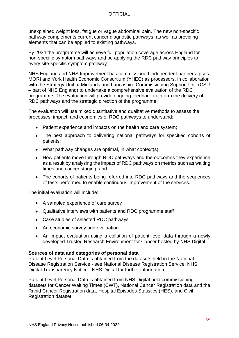unexplained weight loss, fatigue or vague abdominal pain. The new non-specific pathway complements current cancer diagnostic pathways, as well as providing elements that can be applied to existing pathways.

By 2024 the programme will achieve full population coverage across England for non-specific symptom pathways and be applying the RDC pathway principles to every site-specific symptom pathway

NHS England and NHS Improvement has commissioned independent partners Ipsos MORI and York Health Economic Consortium (YHEC) as processors, in collaboration with the Strategy Unit at Midlands and Lancashire Commissioning Support Unit (CSU – part of NHS England) to undertake a comprehensive evaluation of the RDC programme. The evaluation will provide ongoing feedback to inform the delivery of RDC pathways and the strategic direction of the programme.

The evaluation will use mixed quantitative and qualitative methods to assess the processes, impact, and economics of RDC pathways to understand:

- Patient experience and impacts on the health and care system;
- The best approach to delivering national pathways for specified cohorts of patients;
- What pathway changes are optimal, in what context(s);
- How patients move through RDC pathways and the outcomes they experience as a result by analysing the impact of RDC pathways on metrics such as waiting times and cancer staging; and
- The cohorts of patients being referred into RDC pathways and the sequences of tests performed to enable continuous improvement of the services.

The initial evaluation will include:

- A sampled experience of care survey
- Qualitative interviews with patients and RDC programme staff
- Case studies of selected RDC pathways
- An economic survey and evaluation
- An impact evaluation using a collation of patient level data through a newly developed Trusted Research Environment for Cancer hosted by NHS Digital.

#### **Sources of data and categories of personal data**

Patient Level Personal Data is obtained from the datasets held in the National Disease Registration Service - see [National Disease Registration Service: NHS](https://digital.nhs.uk/services/national-disease-registration-service/transparency-notice#who-we-share-data-with)  [Digital Transparency Notice -](https://digital.nhs.uk/services/national-disease-registration-service/transparency-notice#who-we-share-data-with) NHS Digital for further information

Patient Level Personal Data is obtained from NHS Digital held commissioning datasets for Cancer Waiting Times (CWT), National Cancer Registration data and the Rapid Cancer Registration data, Hospital Episodes Statistics (HES), and Civil Registration dataset.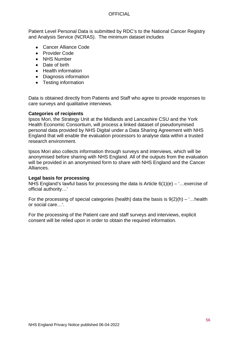Patient Level Personal Data is submitted by RDC's to the National Cancer Registry and Analysis Service (NCRAS). The minimum dataset includes

- Cancer Alliance Code
- Provider Code
- NHS Number
- Date of birth
- Health information
- Diagnosis information
- Testing information

Data is obtained directly from Patients and Staff who agree to provide responses to care surveys and qualitative interviews.

#### **Categories of recipients**

Ipsos Mori, the Strategy Unit at the Midlands and Lancashire CSU and the York Health Economic Consortium, will process a linked dataset of pseudonymised personal data provided by NHS Digital under a Data Sharing Agreement with NHS England that will enable the evaluation processors to analyse data within a trusted research environment.

Ipsos Mori also collects information through surveys and interviews, which will be anonymised before sharing with NHS England. All of the outputs from the evaluation will be provided in an anonymised form to share with NHS England and the Cancer Alliances.

#### **Legal basis for processing**

NHS England's lawful basis for processing the data is Article 6(1)(e) – '…exercise of official authority…'

For the processing of special categories (health) data the basis is  $9(2)(h) -$ ... health or social care…'.

For the processing of the Patient care and staff surveys and interviews, explicit consent will be relied upon in order to obtain the required information.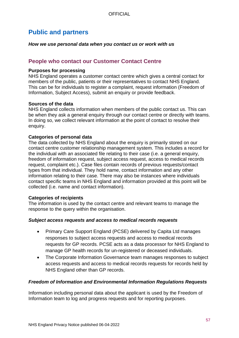# **Public and partners**

*How we use personal data when you contact us or work with us*

## **People who contact our Customer Contact Centre**

#### **Purposes for processing**

NHS England operates a customer contact centre which gives a central contact for members of the public, patients or their representatives to contact NHS England. This can be for individuals to register a complaint, request information (Freedom of Information, Subject Access), submit an enquiry or provide feedback.

#### **Sources of the data**

NHS England collects information when members of the public contact us. This can be when they ask a general enquiry through our contact centre or directly with teams. In doing so, we collect relevant information at the point of contact to resolve their enquiry.

### **Categories of personal data**

The data collected by NHS England about the enquiry is primarily stored on our contact centre customer relationship management system. This includes a record for the individual with an associated file relating to their case (i.e. a general enquiry, freedom of information request, subject access request, access to medical records request, complaint etc.). Case files contain records of previous requests/contact types from that individual. They hold name, contact information and any other information relating to their case. There may also be instances where individuals contact specific teams in NHS England and information provided at this point will be collected (i.e. name and contact information).

#### **Categories of recipients**

The information is used by the contact centre and relevant teams to manage the response to the query within the organisation.

### *Subject access requests and access to medical records requests*

- Primary Care Support England (PCSE) delivered by Capita Ltd manages responses to subject access requests and access to medical records requests for GP records. PCSE acts as a data processor for NHS England to manage GP health records for un-registered or deceased individuals.
- The Corporate Information Governance team manages responses to subject access requests and access to medical records requests for records held by NHS England other than GP records.

### *Freedom of Information and Environmental Information Regulations Requests*

Information including personal data about the applicant is used by the Freedom of Information team to log and progress requests and for reporting purposes.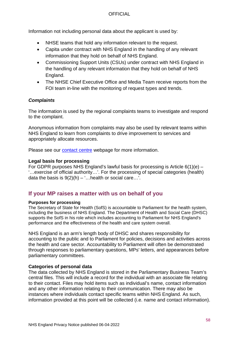Information not including personal data about the applicant is used by:

- NHSE teams that hold any information relevant to the request.
- Capita under contract with NHS England in the handling of any relevant information that they hold on behalf of NHS England.
- Commissioning Support Units (CSUs) under contract with NHS England in the handling of any relevant information that they hold on behalf of NHS England.
- The NHSE Chief Executive Office and Media Team receive reports from the FOI team in-line with the monitoring of request types and trends.

#### *Complaints*

The information is used by the regional complaints teams to investigate and respond to the complaint.

Anonymous information from complaints may also be used by relevant teams within NHS England to learn from complaints to drive improvement to services and appropriately allocate resources.

Please see our [contact centre](https://www.england.nhs.uk/contact-us) webpage for more information.

#### **Legal basis for processing**

For GDPR purposes NHS England's lawful basis for processing is Article 6(1)(e) – '…exercise of official authority…'. For the processing of special categories (health) data the basis is  $9(2)(h) - '$ ... health or social care...'.

# **If your MP raises a matter with us on behalf of you**

#### **Purposes for processing**

The Secretary of State for Health (SofS) is accountable to Parliament for the health system, including the business of NHS England. The Department of Health and Social Care (DHSC) supports the SofS in his role which includes accounting to Parliament for NHS England's performance and the effectiveness of the health and care system overall.

NHS England is an arm's length body of DHSC and shares responsibility for accounting to the public and to Parliament for policies, decisions and activities across the health and care sector. Accountability to Parliament will often be demonstrated through responses to parliamentary questions, MPs' letters, and appearances before parliamentary committees.

#### **Categories of personal data**

The data collected by NHS England is stored in the Parliamentary Business Team's central files. This will include a record for the individual with an associate file relating to their contact. Files may hold items such as individual's name, contact information and any other information relating to their communication. There may also be instances where individuals contact specific teams within NHS England. As such, information provided at this point will be collected (i.e. name and contact information).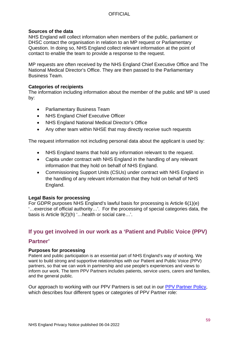#### **Sources of the data**

NHS England will collect information when members of the public, parliament or DHSC contact the organisation in relation to an MP request or Parliamentary Question. In doing so, NHS England collect relevant information at the point of contact to enable the team to provide a response to the request.

MP requests are often received by the NHS England Chief Executive Office and The National Medical Director's Office. They are then passed to the Parliamentary Business Team.

#### **Categories of recipients**

The information including information about the member of the public and MP is used by:

- Parliamentary Business Team
- NHS England Chief Executive Officer
- NHS England National Medical Director's Office
- Any other team within NHSE that may directly receive such requests

The request information not including personal data about the applicant is used by:

- NHS England teams that hold any information relevant to the request.
- Capita under contract with NHS England in the handling of any relevant information that they hold on behalf of NHS England.
- Commissioning Support Units (CSUs) under contract with NHS England in the handling of any relevant information that they hold on behalf of NHS England.

#### **Legal Basis for processing**

For GDPR purposes NHS England's lawful basis for processing is Article 6(1)(e) '…exercise of official authority…'. For the processing of special categories data, the basis is Article 9(2)(h) '…health or social care…'.

# **If you get involved in our work as a 'Patient and Public Voice (PPV)**

### **Partner'**

#### **Purposes for processing**

Patient and public participation is an essential part of NHS England's way of working. We want to build strong and supportive relationships with our Patient and Public Voice (PPV) partners, so that we can work in partnership and use people's experiences and views to inform our work. The term PPV Partners includes patients, service users, carers and families, and the general public.

Our approach to working with our PPV Partners is set out in our [PPV Partner Policy,](https://www.england.nhs.uk/publication/patient-and-public-voice-partners-policy/) which describes four different types or categories of PPV Partner role: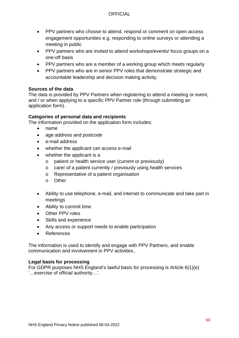- PPV partners who choose to attend, respond or comment on open access engagement opportunities e.g. responding to online surveys or attending a meeting in public
- PPV partners who are invited to attend workshops/events/ focus groups on a one-off basis
- PPV partners who are a member of a working group which meets regularly
- PPV partners who are in senior PPV roles that demonstrate strategic and accountable leadership and decision making activity.

### **Sources of the data**

The data is provided by PPV Partners when registering to attend a meeting or event, and / or when applying to a specific PPV Partner role (through submitting an application form).

#### **Categories of personal data and recipients**

The information provided on the application form includes:

- name
- age address and postcode
- e-mail address
- whether the applicant can access e-mail
- whether the applicant is a
	- o patient or health service user (current or previously)
	- o carer of a patient currently / previously using health services
	- o Representative of a patient organisation
	- o Other
- Ability to use telephone, e-mail, and internet to communicate and take part in meetings
- Ability to commit time
- Other PPV roles
- Skills and experience
- Any access or support needs to enable participation
- **References**

The information is used to identify and engage with PPV Partners, and enable communication and involvement in PPV activities..

#### **Legal basis for processing**

For GDPR purposes NHS England's lawful basis for processing is Article 6(1)(e) '…exercise of official authority…'.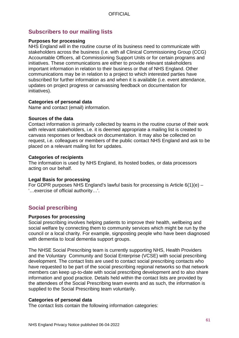## **Subscribers to our mailing lists**

#### **Purposes for processing**

NHS England will in the routine course of its business need to communicate with stakeholders across the business (i.e. with all Clinical Commissioning Group (CCG) Accountable Officers, all Commissioning Support Units or for certain programs and initiatives. These communications are either to provide relevant stakeholders important information in relation to their business or that of NHS England. Other communications may be in relation to a project to which interested parties have subscribed for further information as and when it is available (i.e. event attendance, updates on project progress or canvassing feedback on documentation for initiatives).

#### **Categories of personal data**

Name and contact (email) information.

#### **Sources of the data**

Contact information is primarily collected by teams in the routine course of their work with relevant stakeholders, i.e. it is deemed appropriate a mailing list is created to canvass responses or feedback on documentation. It may also be collected on request, i.e. colleagues or members of the public contact NHS England and ask to be placed on a relevant mailing list for updates.

#### **Categories of recipients**

The information is used by NHS England, its hosted bodies, or data processors acting on our behalf.

#### **Legal Basis for processing**

For GDPR purposes NHS England's lawful basis for processing is Article 6(1)(e) – '…exercise of official authority…'.

# **Social prescribing**

#### **Purposes for processing**

Social prescribing involves helping patients to improve their health, wellbeing and social welfare by connecting them to community services which might be run by the council or a local charity. For example, signposting people who have been diagnosed with dementia to local dementia support groups.

The NHSE Social Prescribing team is currently supporting NHS, Health Providers and the Voluntary Community and Social Enterprise (VCSE) with social prescribing development. The contact lists are used to contact social prescribing contacts who have requested to be part of the social prescribing regional networks so that network members can keep up-to-date with social prescribing development and to also share information and good practice. Details held within the contact lists are provided by the attendees of the Social Prescribing team events and as such, the information is supplied to the Social Prescribing team voluntarily.

#### **Categories of personal data**

The contact lists contain the following information categories: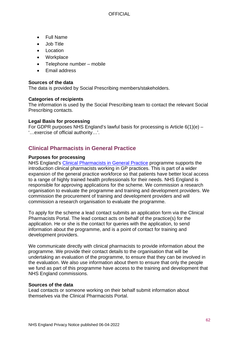- Full Name
- Job Title
- **Location**
- **Workplace**
- Telephone number mobile
- Email address

### **Sources of the data**

The data is provided by Social Prescribing members/stakeholders.

#### **Categories of recipients**

The information is used by the Social Prescribing team to contact the relevant Social Prescribing contacts.

#### **Legal Basis for processing**

For GDPR purposes NHS England's lawful basis for processing is Article 6(1)(e) – '…exercise of official authority…'.

# **Clinical Pharmacists in General Practice**

#### **Purposes for processing**

NHS England's [Clinical Pharmacists in General Practice](https://www.england.nhs.uk/gp/gpfv/workforce/building-the-general-practice-workforce/cp-gp/) programme supports the introduction clinical pharmacists working in GP practices. This is part of a wider expansion of the general practice workforce so that patients have better local access to a range of highly trained health professionals for their needs. NHS England is responsible for approving applications for the scheme. We commission a research organisation to evaluate the programme and training and development providers. We commission the procurement of training and development providers and will commission a research organisation to evaluate the programme.

To apply for the scheme a lead contact submits an application form via the Clinical Pharmacists Portal. The lead contact acts on behalf of the practice(s) for the application. He or she is the contact for queries with the application, to send information about the programme, and is a point of contact for training and development providers.

We communicate directly with clinical pharmacists to provide information about the programme. We provide their contact details to the organisation that will be undertaking an evaluation of the programme, to ensure that they can be involved in the evaluation. We also use information about them to ensure that only the people we fund as part of this programme have access to the training and development that NHS England commissions.

#### **Sources of the data**

Lead contacts or someone working on their behalf submit information about themselves via the Clinical Pharmacists Portal.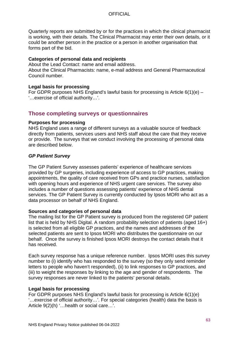Quarterly reports are submitted by or for the practices in which the clinical pharmacist is working, with their details. The Clinical Pharmacist may enter their own details, or it could be another person in the practice or a person in another organisation that forms part of the bid.

#### **Categories of personal data and recipients**

About the Lead Contact: name and email address.

About the Clinical Pharmacists: name, e-mail address and General Pharmaceutical Council number.

#### **Legal basis for processing**

For GDPR purposes NHS England's lawful basis for processing is Article 6(1)(e) – '…exercise of official authority…'.

## **Those completing surveys or questionnaires**

#### **Purposes for processing**

NHS England uses a range of different surveys as a valuable source of feedback directly from patients, services users and NHS staff about the care that they receive or provide. The surveys that we conduct involving the processing of personal data are described below.

### *GP Patient Survey*

The GP Patient Survey assesses patients' experience of healthcare services provided by GP surgeries, including experience of access to GP practices, making appointments, the quality of care received from GPs and practice nurses, satisfaction with opening hours and experience of NHS urgent care services. The survey also includes a number of questions assessing patients' experience of NHS dental services. The GP Patient Survey is currently conducted by Ipsos MORI who act as a data processor on behalf of NHS England.

#### **Sources and categories of personal data**

The mailing list for the GP Patient survey is produced from the registered GP patient list that is held by NHS Digital. A random probability selection of patients (aged 16+) is selected from all eligible GP practices, and the names and addresses of the selected patients are sent to Ipsos MORI who distributes the questionnaire on our behalf. Once the survey is finished Ipsos MORI destroys the contact details that it has received.

Each survey response has a unique reference number. Ipsos MORI uses this survey number to (i) identify who has responded to the survey (so they only send reminder letters to people who haven't responded), (ii) to link responses to GP practices, and (iii) to weight the responses by linking to the age and gender of respondents. The survey responses are never linked to the patients' personal details.

#### **Legal basis for processing**

For GDPR purposes NHS England's lawful basis for processing is Article 6(1)(e) '…exercise of official authority…'. For special categories (health) data the basis is Article 9(2)(h) '…health or social care…'.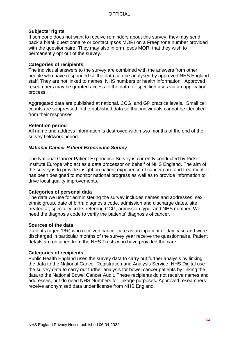#### **Subjects' rights**

If someone does not want to receive reminders about this survey, they may send back a blank questionnaire or contact Ipsos MORI on a Freephone number provided with the questionnaire. They may also inform Ipsos MORI that they wish to permanently opt out of the survey.

#### **Categories of recipients**

The individual answers to the survey are combined with the answers from other people who have responded so the data can be analysed by approved NHS England staff. They are not linked to names, NHS numbers or health information. Approved researchers may be granted access to the data for specified uses via an application process.

Aggregated data are published at national, CCG, and GP practice levels. Small cell counts are suppressed in the published data so that individuals cannot be identified from their responses.

#### **Retention period**

All name and address information is destroyed within two months of the end of the survey fieldwork period.

#### *National Cancer Patient Experience Survey*

The National Cancer Patient Experience Survey is currently conducted by Picker Institute Europe who act as a data processor on behalf of NHS England. The aim of the survey is to provide insight on patient experience of cancer care and treatment. It has been designed to monitor national progress as well as to provide information to drive local quality improvements.

### **Categories of personal data**

The data we use for administering the survey includes names and addresses, sex, ethnic group, date of birth, diagnosis code, admission and discharge dates, site treated at, speciality code, referring CCG, admission type, and NHS number. We need the diagnosis code to verify the patients' diagnosis of cancer.

#### **Sources of the data**

Patients (aged 16+) who received cancer care as an inpatient or day case and were discharged in particular months of the survey year receive the questionnaire. Patient details are obtained from the NHS Trusts who have provided the care.

#### **Categories of recipients**

Public Health England uses the survey data to carry out further analysis by linking the data to the National Cancer Registration and Analysis Service. NHS Digital use the survey data to carry out further analysis for bowel cancer patients by linking the data to the National Bowel Cancer Audit. These recipients do not receive names and addresses, but do need NHS Numbers for linkage purposes. Approved researchers receive anonymised data under license from NHS England.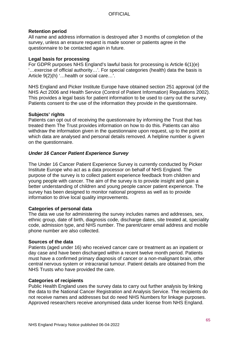#### **Retention period**

All name and address information is destroyed after 3 months of completion of the survey, unless an erasure request is made sooner or patients agree in the questionnaire to be contacted again in future.

#### **Legal basis for processing**

For GDPR purposes NHS England's lawful basis for processing is Article 6(1)(e) '…exercise of official authority…'. For special categories (health) data the basis is Article 9(2)(h) '…health or social care…'.

NHS England and Picker Institute Europe have obtained section 251 approval (of the NHS Act 2006 and Health Service (Control of Patient Information) Regulations 2002). This provides a legal basis for patient information to be used to carry out the survey. Patients consent to the use of the information they provide in the questionnaire.

#### **Subjects' rights**

Patients can opt out of receiving the questionnaire by informing the Trust that has treated them The Trust provides information on how to do this. Patients can also withdraw the information given in the questionnaire upon request, up to the point at which data are analysed and personal details removed. A helpline number is given on the questionnaire.

### *Under 16 Cancer Patient Experience Survey*

The Under 16 Cancer Patient Experience Survey is currently conducted by Picker Institute Europe who act as a data processor on behalf of NHS England. The purpose of the survey is to collect patient experience feedback from children and young people with cancer. The aim of the survey is to provide insight and gain a better understanding of children and young people cancer patient experience. The survey has been designed to monitor national progress as well as to provide information to drive local quality improvements.

#### **Categories of personal data**

The data we use for administering the survey includes names and addresses, sex, ethnic group, date of birth, diagnosis code, discharge dates, site treated at, speciality code, admission type, and NHS number. The parent/carer email address and mobile phone number are also collected.

#### **Sources of the data**

Patients (aged under 16) who received cancer care or treatment as an inpatient or day case and have been discharged within a recent twelve month period. Patients must have a confirmed primary diagnosis of cancer or a non-malignant brain, other central nervous system or intracranial tumour. Patient details are obtained from the NHS Trusts who have provided the care.

#### **Categories of recipients**

Public Health England uses the survey data to carry out further analysis by linking the data to the National Cancer Registration and Analysis Service. The recipients do not receive names and addresses but do need NHS Numbers for linkage purposes. Approved researchers receive anonymised data under license from NHS England.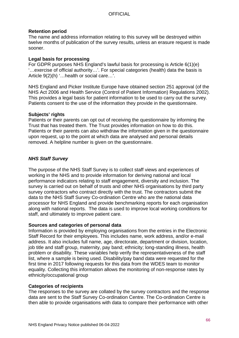#### **Retention period**

The name and address information relating to this survey will be destroyed within twelve months of publication of the survey results, unless an erasure request is made sooner.

#### **Legal basis for processing**

For GDPR purposes NHS England's lawful basis for processing is Article 6(1)(e) '…exercise of official authority…'. For special categories (health) data the basis is Article 9(2)(h) '…health or social care…'.

NHS England and Picker Institute Europe have obtained section 251 approval (of the NHS Act 2006 and Health Service (Control of Patient Information) Regulations 2002). This provides a legal basis for patient information to be used to carry out the survey. Patients consent to the use of the information they provide in the questionnaire.

#### **Subjects' rights**

Patients or their parents can opt out of receiving the questionnaire by informing the Trust that has treated them. The Trust provides information on how to do this. Patients or their parents can also withdraw the information given in the questionnaire upon request, up to the point at which data are analysed and personal details removed. A helpline number is given on the questionnaire.

### *NHS Staff Survey*

The purpose of the NHS Staff Survey is to collect staff views and experiences of working in the NHS and to provide information for deriving national and local performance indicators relating to staff engagement, diversity and inclusion. The survey is carried out on behalf of trusts and other NHS organisations by third party survey contractors who contract directly with the trust. The contractors submit the data to the NHS Staff Survey Co-ordination Centre who are the national data processor for NHS England and provide benchmarking reports for each organisation along with national reports. The data is used to improve local working conditions for staff, and ultimately to improve patient care.

#### **Sources and categories of personal data**

Information is provided by employing organisations from the entries in the Electronic Staff Record for their employees. This includes name, work address, and/or e-mail address. It also includes full name, age, directorate, department or division, location, job title and staff group, maternity, pay band; ethnicity; long-standing illness, health problem or disability. These variables help verify the representativeness of the staff list, where a sample is being used. Disability/pay band data were requested for the first time in 2017 following requests for this data from the WDES team to monitor equality. Collecting this information allows the monitoring of non-response rates by ethnicity/occupational group

### **Categories of recipients**

The responses to the survey are collated by the survey contractors and the response data are sent to the Staff Survey Co-ordination Centre. The Co-ordination Centre is then able to provide organisations with data to compare their performance with other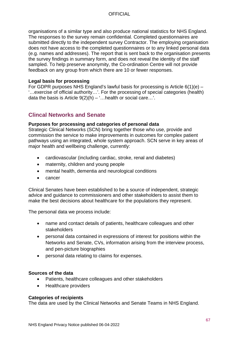organisations of a similar type and also produce national statistics for NHS England. The responses to the survey remain confidential. Completed questionnaires are submitted directly to the independent survey Contractor. The employing organisation does not have access to the completed questionnaires or to any linked personal data (e.g. names and addresses). The report that is sent back to the organisation presents the survey findings in summary form, and does not reveal the identity of the staff sampled. To help preserve anonymity, the Co-ordination Centre will not provide feedback on any group from which there are 10 or fewer responses.

#### **Legal basis for processing**

For GDPR purposes NHS England's lawful basis for processing is Article  $6(1)(e)$  – '…exercise of official authority…'. For the processing of special categories (health) data the basis is Article  $9(2)(h) - \dots$  health or social care...'.

## **Clincal Networks and Senate**

#### **Purposes for processing and categories of personal data**

Strategic Clinical Networks (SCN) bring together those who use, provide and commission the service to make improvements in outcomes for complex patient pathways using an integrated, whole system approach. SCN serve in key areas of major health and wellbeing challenge, currently:

- cardiovascular (including cardiac, stroke, renal and diabetes)
- maternity, children and young people
- mental health, dementia and neurological conditions
- cancer

Clinical Senates have been established to be a source of independent, strategic advice and guidance to commissioners and other stakeholders to assist them to make the best decisions about healthcare for the populations they represent.

The personal data we process include:

- name and contact details of patients, healthcare colleagues and other stakeholders
- personal data contained in expressions of interest for positions within the Networks and Senate, CVs, information arising from the interview process, and pen-picture biographies
- personal data relating to claims for expenses.

#### **Sources of the data**

- Patients, healthcare colleagues and other stakeholders
- Healthcare providers

#### **Categories of recipients**

The data are used by the Clinical Networks and Senate Teams in NHS England.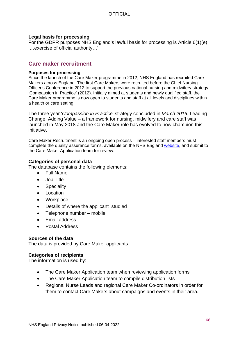#### **Legal basis for processing**

For the GDPR purposes NHS England's lawful basis for processing is Article 6(1)(e) '…exercise of official authority…'.

## **Care maker recruitment**

#### **Purposes for processing**

Since the launch of the Care Maker programme in 2012, NHS England has recruited Care Makers across England. The first Care Makers were recruited before the Chief Nursing Officer's Conference in 2012 to support the previous national nursing and midwifery strategy 'Compassion in Practice' (2012). Initially aimed at students and newly qualified staff, the Care Maker programme is now open to students and staff at all levels and disciplines within a health or care setting.

The three year '*Compassion in Practice*' strategy concluded in *March 2016*. Leading Change, Adding Value – a framework for nursing, midwifery and care staff was launched in May 2018 and the Care Maker role has evolved to now champion this initiative.

Care Maker Recruitment is an ongoing open process – interested staff members must complete the quality assurance forms, available on the NHS England [website,](https://www.england.nhs.uk/leadingchange/care-makers/cm-recruitment/) and submit to the Care Maker Application team for review.

#### **Categories of personal data**

The database contains the following elements:

- Full Name
- Job Title
- Speciality
- Location
- **Workplace**
- Details of where the applicant studied
- Telephone number mobile
- Email address
- Postal Address

#### **Sources of the data**

The data is provided by Care Maker applicants.

#### **Categories of recipients**

The information is used by:

- The Care Maker Application team when reviewing application forms
- The Care Maker Application team to compile distribution lists
- Regional Nurse Leads and regional Care Maker Co-ordinators in order for them to contact Care Makers about campaigns and events in their area.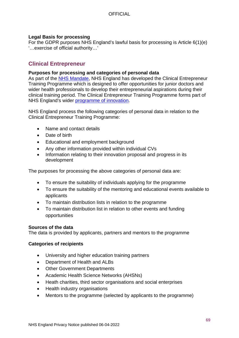#### **Legal Basis for processing**

For the GDPR purposes NHS England's lawful basis for processing is Article 6(1)(e) '…exercise of official authority…'

## **Clinical Entrepreneur**

#### **Purposes for processing and categories of personal data**

As part of the [NHS Mandate,](https://www.gov.uk/government/publications/nhs-mandate-2018-to-2019) NHS England has developed the Clinical Entrepreneur Training Programme which is designed to offer opportunities for junior doctors and wider health professionals to develop their entrepreneurial aspirations during their clinical training period. The Clinical Entrepreneur Training Programme forms part of NHS England's wider [programme of innovation.](https://www.england.nhs.uk/ourwork/innovation/)

NHS England process the following categories of personal data in relation to the Clinical Entrepreneur Training Programme:

- Name and contact details
- Date of birth
- Educational and employment background
- Any other information provided within individual CVs
- Information relating to their innovation proposal and progress in its development

The purposes for processing the above categories of personal data are:

- To ensure the suitability of individuals applying for the programme
- To ensure the suitability of the mentoring and educational events available to applicants
- To maintain distribution lists in relation to the programme
- To maintain distribution list in relation to other events and funding opportunities

#### **Sources of the data**

The data is provided by applicants, partners and mentors to the programme

#### **Categories of recipients**

- University and higher education training partners
- Department of Health and ALBs
- Other Government Departments
- Academic Health Science Networks (AHSNs)
- Heath charities, third sector organisations and social enterprises
- Health industry organisations
- Mentors to the programme (selected by applicants to the programme)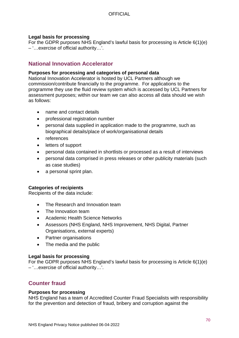### **Legal basis for processing**

For the GDPR purposes NHS England's lawful basis for processing is Article 6(1)(e) – '…exercise of official authority…'.

## **National Innovation Accelerator**

#### **Purposes for processing and categories of personal data**

National Innovation Accelerator is hosted by UCL Partners although we commission/contribute financially to the programme. For applications to the programme they use the fluid review system which is accessed by UCL Partners for assessment purposes; within our team we can also access all data should we wish as follows:

- name and contact details
- professional registration number
- personal data supplied in application made to the programme, such as biographical details/place of work/organisational details
- references
- letters of support
- personal data contained in shortlists or processed as a result of interviews
- personal data comprised in press releases or other publicity materials (such as case studies)
- a personal sprint plan.

### **Categories of recipients**

Recipients of the data include:

- The Research and Innovation team
- The Innovation team
- Academic Health Science Networks
- Assessors (NHS England, NHS Improvement, NHS Digital, Partner Organisations, external experts)
- Partner organisations
- The media and the public

#### **Legal basis for processing**

For the GDPR purposes NHS England's lawful basis for processing is Article 6(1)(e) – '…exercise of official authority…'.

## **Counter fraud**

#### **Purposes for processing**

NHS England has a team of Accredited Counter Fraud Specialists with responsibility for the prevention and detection of fraud, bribery and corruption against the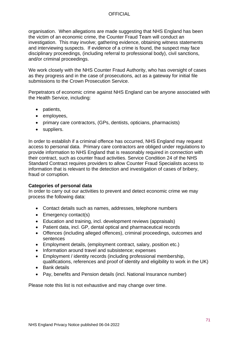organisation. When allegations are made suggesting that NHS England has been the victim of an economic crime, the Counter Fraud Team will conduct an investigation. This may involve; gathering evidence, obtaining witness statements and interviewing suspects. If evidence of a crime is found, the suspect may face disciplinary proceedings, (including referral to professional body), civil sanctions, and/or criminal proceedings.

We work closely with the NHS Counter Fraud Authority, who has oversight of cases as they progress and in the case of prosecutions, act as a gateway for initial file submissions to the Crown Prosecution Service.

Perpetrators of economic crime against NHS England can be anyone associated with the Health Service, including:

- patients,
- employees,
- primary care contractors, (GPs, dentists, opticians, pharmacists)
- suppliers.

In order to establish if a criminal offence has occurred, NHS England may request access to personal data. Primary care contractors are obliged under regulations to provide information to NHS England that is reasonably required in connection with their contract, such as counter fraud activities. Service Condition 24 of the NHS Standard Contract requires providers to allow Counter Fraud Specialists access to information that is relevant to the detection and investigation of cases of bribery, fraud or corruption.

#### **Categories of personal data**

In order to carry out our activities to prevent and detect economic crime we may process the following data:

- Contact details such as names, addresses, telephone numbers
- Emergency contact(s)
- Education and training, incl. development reviews (appraisals)
- Patient data, incl. GP, dental optical and pharmaceutical records
- Offences (including alleged offences), criminal proceedings, outcomes and sentences
- Employment details, (employment contract, salary, position etc.)
- Information around travel and subsistence; expenses
- Employment / identity records (including professional membership, qualifications, references and proof of identity and eligibility to work in the UK)
- Bank details
- Pay, benefits and Pension details (incl. National Insurance number)

Please note this list is not exhaustive and may change over time.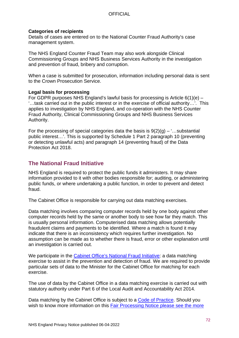#### **Categories of recipients**

Details of cases are entered on to the National Counter Fraud Authority's case management system.

The NHS England Counter Fraud Team may also work alongside Clinical Commissioning Groups and NHS Business Services Authority in the investigation and prevention of fraud, bribery and corruption.

When a case is submitted for prosecution, information including personal data is sent to the Crown Prosecution Service.

#### **Legal basis for processing**

For GDPR purposes NHS England's lawful basis for processing is Article 6(1)(e) – '…task carried out in the public interest or in the exercise of official authority…'. This applies to investigation by NHS England, and co-operation with the NHS Counter Fraud Authority, Clinical Commissioning Groups and NHS Business Services Authority.

For the processing of special categories data the basis is  $9(2)(q) -$ ...substantial public interest…'. This is supported by Schedule 1 Part 2 paragraph 10 (preventing or detecting unlawful acts) and paragraph 14 (preventing fraud) of the Data Protection Act 2018.

## **The National Fraud Initiative**

NHS England is required to protect the public funds it administers. It may share information provided to it with other bodies responsible for; auditing, or administering public funds, or where undertaking a public function, in order to prevent and detect fraud.

The Cabinet Office is responsible for carrying out data matching exercises.

Data matching involves comparing computer records held by one body against other computer records held by the same or another body to see how far they match. This is usually personal information. Computerised data matching allows potentially fraudulent claims and payments to be identified. Where a match is found it may indicate that there is an inconsistency which requires further investigation. No assumption can be made as to whether there is fraud, error or other explanation until an investigation is carried out.

We participate in the [Cabinet Office's National Fraud Initiative:](https://www.gov.uk/government/collections/national-fraud-initiative) a data matching exercise to assist in the prevention and detection of fraud. We are required to provide particular sets of data to the Minister for the Cabinet Office for matching for each exercise.

The use of data by the Cabinet Office in a data matching exercise is carried out with statutory authority under Part 6 of the Local Audit and Accountability Act 2014.

Data matching by the Cabinet Office is subject to a [Code of Practice.](https://www.gov.uk/government/publications/code-of-data-matching-practice-for-national-fraud-initiative) Should you wish to know more information on this Fair Processing Notice please see the more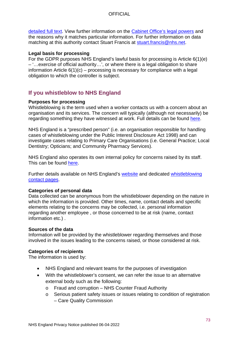[detailed full text.](https://www.gov.uk/government/publications/fair-processing-national-fraud-initiative/fair-processing-level-3-full-text) View further information on the [Cabinet Office's legal powers](https://www.gov.uk/government/publications/fair-processing-national-fraud-initiative/fair-processing-level-3-full-text) and the reasons why it matches particular information. For further information on data matching at this authority contact Stuart Francis at [stuart.francis@nhs.net.](mailto:stuart.francis@nhs.net)

### **Legal basis for processing**

For the GDPR purposes NHS England's lawful basis for processing is Article 6(1)(e) – '…exercise of official authority…', or where there is a legal obligation to share information Article  $6(1)(c)$  – processing is necessary for compliance with a legal obligation to which the controller is subject.

# **If you whistleblow to NHS England**

### **Purposes for processing**

Whistleblowing is the term used when a worker contacts us with a concern about an organisation and its services. The concern will typically (although not necessarily) be regarding something they have witnessed at work. Full details can be found [here.](https://assets.publishing.service.gov.uk/government/uploads/system/uploads/attachment_data/file/604935/whistleblowing-prescribed-persons-guidance.pdf)

NHS England is a "prescribed person" (i.e. an organisation responsible for handling cases of whistleblowing under the Public Interest Disclosure Act 1998) and can investigate cases relating to Primary Care Organisations (i.e. General Practice; Local Dentistry; Opticians; and Community Pharmacy Services).

NHS England also operates its own internal policy for concerns raised by its staff. This can be found [here.](https://www.england.nhs.uk/publication/external-whistleblowing-policy/)

Further details available on NHS England's [website](https://www.england.nhs.uk/ourwork/whistleblowing/) and dedicated [whistleblowing](https://www.england.nhs.uk/ourwork/whistleblowing/raising-a-concern/)  [contact pages.](https://www.england.nhs.uk/ourwork/whistleblowing/raising-a-concern/)

#### **Categories of personal data**

Data collected can be anonymous from the whistleblower depending on the nature in which the information is provided. Other times, name, contact details and specific elements relating to the concerns may be collected, i.e. personal information regarding another employee , or those concerned to be at risk (name, contact information etc.) .

#### **Sources of the data**

Information will be provided by the whistleblower regarding themselves and those involved in the issues leading to the concerns raised, or those considered at risk.

### **Categories of recipients**

The information is used by:

- NHS England and relevant teams for the purposes of investigation
- With the whistleblower's consent, we can refer the issue to an alternative external body such as the following:
	- o Fraud and corruption NHS Counter Fraud Authority
	- o Serious patient safety issues or issues relating to condition of registration – Care Quality Commission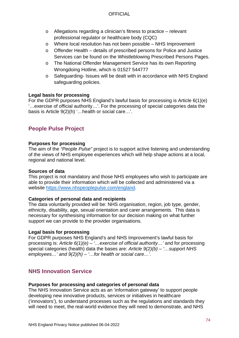- o Allegations regarding a clinician's fitness to practice relevant professional regulator or healthcare body (CQC)
- o Where local resolution has not been possible NHS Improvement
- o Offender Health details of prescribed persons for Police and Justice Services can be found on the Whistleblowing Prescribed Persons Pages.
- o The National Offender Management Service has its own Reporting Wrongdoing Hotline, which is 01527 544777
- o Safeguarding- Issues will be dealt with in accordance with NHS England safeguarding policies.

### **Legal basis for processing**

For the GDPR purposes NHS England's lawful basis for processing is Article 6(1)(e) '…exercise of official authority…'. For the processing of special categories data the basis is Article 9(2)(h) '…health or social care…'.

# **People Pulse Project**

### **Purposes for processing**

The aim of the *"People Pulse"* project is to support active listening and understanding of the views of NHS employee experiences which will help shape actions at a local, regional and national level.

### **Sources of data**

This project is not mandatory and those NHS employees who wish to participate are able to provide their information which will be collected and administered via a website [https://www.nhspeoplepulse.com/england.](https://www.nhspeoplepulse.com/england)

### **Categories of personal data and recipients**

The data voluntarily provided will be: NHS organisation, region, job type, gender, ethnicity, disability, age, sexual orientation and carer arrangements. This data is necessary for synthesising information for our decision making on what further support we can provide to the provider organisations.

### **Legal basis for processing**

For GDPR purposes NHS England's and NHS Improvement's lawful basis for processing is: *Article 6(1)(e) – '…exercise of official authority…'* and for processing special categories (health) data the bases are: *Article 9(2)(b) – '…support NHS employees…' and 9(2)(h) – '…for health or social care…'.*

# **NHS Innovation Service**

### **Purposes for processing and categories of personal data**

The NHS Innovation Service acts as an 'information gateway' to support people developing new innovative products, services or initiatives in healthcare ('innovators'), to understand processes such as the regulations and standards they will need to meet, the real-world evidence they will need to demonstrate, and NHS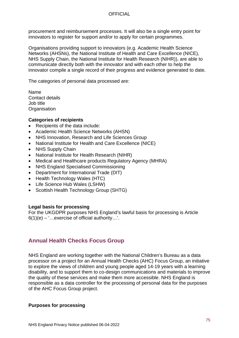procurement and reimbursement processes. It will also be a single entry point for innovators to register for support and/or to apply for certain programmes.

Organisations providing support to innovators (e.g. Academic Health Science Networks (AHSNs), the National Institute of Health and Care Excellence (NICE), NHS Supply Chain, the National Institute for Health Research (NIHR)), are able to communicate directly both with the innovator and with each other to help the innovator compile a single record of their progress and evidence generated to date.

The categories of personal data processed are:

Name Contact details Job title **Organisation** 

#### **Categories of recipients**

- Recipients of the data include:
- Academic Health Science Networks (AHSN)
- NHS Innovation, Research and Life Sciences Group
- National Institute for Health and Care Excellence (NICE)
- NHS Supply Chain
- National Institute for Health Research (NIHR)
- Medical and Healthcare products Regulatory Agency (MHRA)
- NHS England Specialised Commissioning
- Department for International Trade (DIT)
- Health Technology Wales (HTC)
- Life Science Hub Wales (LSHW)
- Scottish Health Technology Group (SHTG)

#### **Legal basis for processing**

For the UKGDPR purposes NHS England's lawful basis for processing is Article  $6(1)(e) -$  ... exercise of official authority...'.

# **Annual Health Checks Focus Group**

NHS England are working together with the National Children's Bureau as a data processor on a project for an Annual Health Checks (AHC) Focus Group, an initiative to explore the views of children and young people aged 14-19 years with a learning disability, and to support them to co-design communications and materials to improve the quality of these services and make them more accessible. NHS England is responsible as a data controller for the processing of personal data for the purposes of the AHC Focus Group project.

#### **Purposes for processing**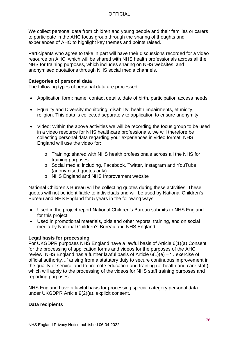We collect personal data from children and young people and their families or carers to participate in the AHC focus group through the sharing of thoughts and experiences of AHC to highlight key themes and points raised.

Participants who agree to take in part will have their discussions recorded for a video resource on AHC, which will be shared with NHS health professionals across all the NHS for training purposes, which includes sharing on NHS websites, and anonymised quotations through NHS social media channels.

### **Categories of personal data**

The following types of personal data are processed:

- Application form: name, contact details, date of birth, participation access needs.
- Equality and Diversity monitoring: disability, health impairments, ethnicity, religion. This data is collected separately to application to ensure anonymity.
- Video: Within the above activities we will be recording the focus group to be used in a video resource for NHS healthcare professionals, we will therefore be collecting personal data regarding your experiences in video format. NHS England will use the video for:
	- o Training: shared with NHS health professionals across all the NHS for training purposes
	- o Social media: including, Facebook, Twitter, Instagram and YouTube (anonymised quotes only)
	- o NHS England and NHS Improvement website

National Children's Bureau will be collecting quotes during these activities. These quotes will not be identifiable to individuals and will be used by National Children's Bureau and NHS England for 5 years in the following ways:

- Used in the project report National Children's Bureau submits to NHS England for this project
- Used in promotional materials, bids and other reports, training, and on social media by National Children's Bureau and NHS England

### **Legal basis for processing**

For UKGDPR purposes NHS England have a lawful basis of Article 6(1)(a) Consent for the processing of application forms and videos for the purposes of the AHC review. NHS England has a further lawful basis of Article  $6(1)(e) -$ ... exercise of official authority…' arising from a statutory duty to secure continuous improvement in the quality of service and to promote education and training (of health and care staff), which will apply to the processing of the videos for NHS staff training purposes and reporting purposes.

NHS England have a lawful basis for processing special category personal data under UKGDPR Article 9(2)(a), explicit consent.

#### **Data recipients**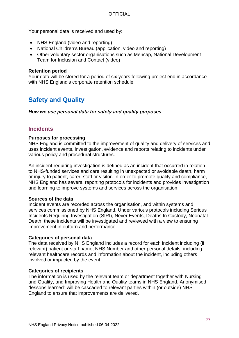Your personal data is received and used by:

- NHS England (video and reporting)
- National Children's Bureau (application, video and reporting)
- Other voluntary sector organisations such as Mencap, National Development Team for Inclusion and Contact (video)

#### **Retention period**

Your data will be stored for a period of six years following project end in accordance with NHS England's corporate retention schedule.

# **Safety and Quality**

*How we use personal data for safety and quality purposes*

# **Incidents**

#### **Purposes for processing**

NHS England is committed to the improvement of quality and delivery of services and uses incident events, investigation, evidence and reports relating to incidents under various policy and procedural structures.

An incident requiring investigation is defined as an incident that occurred in relation to NHS-funded services and care resulting in unexpected or avoidable death, harm or injury to patient, carer, staff or visitor. In order to promote quality and compliance, NHS England has several reporting protocols for incidents and provides investigation and learning to improve systems and services across the organisation.

#### **Sources of the data**

Incident events are recorded across the organisation, and within systems and services commissioned by NHS England. Under various protocols including Serious Incidents Requiring Investigation (SIRI), Never Events, Deaths In Custody, Neonatal Death, these incidents will be investigated and reviewed with a view to ensuring improvement in outturn and performance.

#### **Categories of personal data**

The data received by NHS England includes a record for each incident including (if relevant) patient or staff name, NHS Number and other personal details, including relevant healthcare records and information about the incident, including others involved or impacted by the event.

#### **Categories of recipients**

The information is used by the relevant team or department together with Nursing and Quality, and Improving Health and Quality teams in NHS England. Anonymised "lessons learned" will be cascaded to relevant parties within (or outside) NHS England to ensure that improvements are delivered.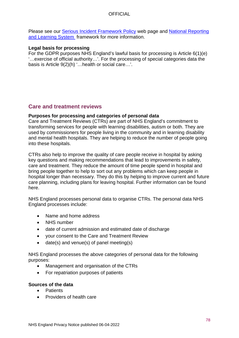Please see our [Serious Incident Framework Policy](https://www.england.nhs.uk/wp-content/uploads/2015/04/serious-incidnt-framwrk-upd.pdf) web page and National Reporting [and Learning System](http://www.nrls.npsa.nhs.uk/report-a-patient-safety-incident/serious-incident-reporting-and-learning-framework-sirl/) framework for more information.

### **Legal basis for processing**

For the GDPR purposes NHS England's lawful basis for processing is Article 6(1)(e) '…exercise of official authority…'. For the processing of special categories data the basis is Article 9(2)(h) '…health or social care…'.

# **Care and treatment reviews**

### **Purposes for processing and categories of personal data**

Care and Treatment Reviews (CTRs) are part of NHS England's commitment to transforming services for people with learning disabilities, autism or both. They are used by commissioners for people living in the community and in learning disability and mental health hospitals. They are helping to reduce the number of people going into these hospitals.

CTRs also help to improve the quality of care people receive in hospital by asking key questions and making recommendations that lead to improvements in safety, care and treatment. They reduce the amount of time people spend in hospital and bring people together to help to sort out any problems which can keep people in hospital longer than necessary. They do this by helping to improve current and future care planning, including plans for leaving hospital. Further information can be found here.

NHS England processes personal data to organise CTRs. The personal data NHS England processes include:

- Name and home address
- NHS number
- date of current admission and estimated date of discharge
- your consent to the Care and Treatment Review
- date(s) and venue(s) of panel meeting(s)

NHS England processes the above categories of personal data for the following purposes:

- Management and organisation of the CTRs
- For repatriation purposes of patients

#### **Sources of the data**

- Patients
- Providers of health care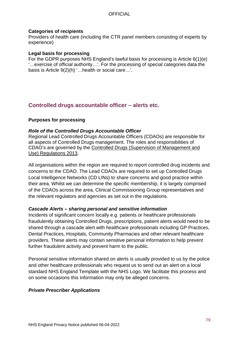### **Categories of recipients**

Providers of health care (including the CTR panel members consisting of experts by experience)

#### **Legal basis for processing**

For the GDPR purposes NHS England's lawful basis for processing is Article 6(1)(e) '…exercise of official authority…'. For the processing of special categories data the basis is Article 9(2)(h) '…health or social care…'.

# **Controlled drugs accountable officer – alerts etc.**

### **Purposes for processing**

#### *Role of the Controlled Drugs Accountable Officer*

Regional Lead Controlled Drugs Accountable Officers (CDAOs) are responsible for all aspects of Controlled Drugs management. The roles and responsibilities of CDAO's are governed by the [Controlled Drugs \(Supervision of Management and](http://www.legislation.gov.uk/uksi/2013/373/contents/made)  [Use\) Regulations 2013.](http://www.legislation.gov.uk/uksi/2013/373/contents/made)

All organisations within the region are required to report controlled drug incidents and concerns to the CDAO. The Lead CDAOs are required to set up Controlled Drugs Local Intelligence Networks (CD LINs) to share concerns and good practice within their area. Whilst we can determine the specific membership, it is largely comprised of the CDAOs across the area, Clinical Commissioning Group representatives and the relevant regulators and agencies as set out in the regulations.

#### *Cascade Alerts – sharing personal and sensitive information*

Incidents of significant concern locally e.g. patients or healthcare professionals fraudulently obtaining Controlled Drugs, prescriptions, patient alerts would need to be shared through a cascade alert with healthcare professionals including GP Practices, Dental Practices, Hospitals, Community Pharmacies and other relevant healthcare providers. These alerts may contain sensitive personal information to help prevent further fraudulent activity and prevent harm to the public.

Personal sensitive information shared on alerts is usually provided to us by the police and other healthcare professionals who request us to send out an alert on a local standard NHS England Template with the NHS Logo. We facilitate this process and on some occasions this information may only be alleged concerns.

### *Private Prescriber Applications*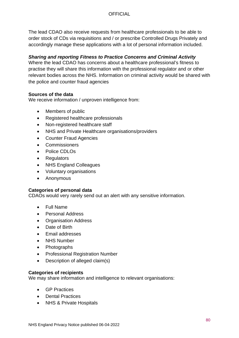The lead CDAO also receive requests from healthcare professionals to be able to order stock of CDs via requisitions and / or prescribe Controlled Drugs Privately and accordingly manage these applications with a lot of personal information included.

## *Sharing and reporting Fitness to Practice Concerns and Criminal Activity*

Where the lead CDAO has concerns about a healthcare professional's fitness to practise they will share this information with the professional regulator and or other relevant bodies across the NHS. Information on criminal activity would be shared with the police and counter fraud agencies

### **Sources of the data**

We receive information / unproven intelligence from:

- Members of public
- Registered healthcare professionals
- Non-registered healthcare staff
- NHS and Private Healthcare organisations/providers
- Counter Fraud Agencies
- **Commissioners**
- Police CDLOs
- **Regulators**
- **NHS England Colleagues**
- Voluntary organisations
- Anonymous

### **Categories of personal data**

CDAOs would very rarely send out an alert with any sensitive information.

- Full Name
- Personal Address
- Organisation Address
- Date of Birth
- Email addresses
- **NHS Number**
- Photographs
- Professional Registration Number
- Description of alleged claim(s)

### **Categories of recipients**

We may share information and intelligence to relevant organisations:

- GP Practices
- Dental Practices
- NHS & Private Hospitals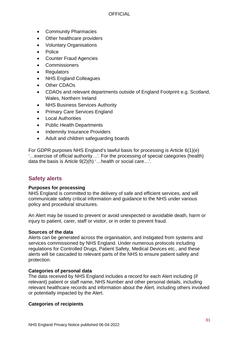- Community Pharmacies
- Other healthcare providers
- Voluntary Organisations
- Police
- Counter Fraud Agencies
- **Commissioners**
- **Regulators**
- NHS England Colleagues
- **Other CDAOs**
- CDAOs and relevant departments outside of England Footprint e.g. Scotland, Wales, Northern Ireland
- NHS Business Services Authority
- Primary Care Services England
- Local Authorities
- Public Health Departments
- **Indemnity Insurance Providers**
- Adult and children safeguarding boards

For GDPR purposes NHS England's lawful basis for processing is Article 6(1)(e) '…exercise of official authority…'. For the processing of special categories (health) data the basis is Article 9(2)(h) '…health or social care…'.

# **Safety alerts**

### **Purposes for processing**

NHS England is committed to the delivery of safe and efficient services, and will communicate safety critical information and guidance to the NHS under various policy and procedural structures.

An Alert may be issued to prevent or avoid unexpected or avoidable death, harm or injury to patient, carer, staff or visitor, or in order to prevent fraud.

### **Sources of the data**

Alerts can be generated across the organisation, and instigated from systems and services commissioned by NHS England. Under numerous protocols including regulations for Controlled Drugs, Patient Safety, Medical Devices etc., and these alerts will be cascaded to relevant parts of the NHS to ensure patient safety and protection.

### **Categories of personal data**

The data received by NHS England includes a record for each Alert including (if relevant) patient or staff name, NHS Number and other personal details, including relevant healthcare records and information about the Alert, including others involved or potentially impacted by the Alert.

### **Categories of recipients**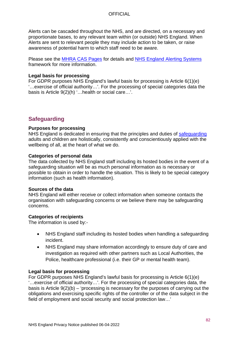Alerts can be cascaded throughout the NHS, and are directed, on a necessary and proportionate bases, to any relevant team within (or outside) NHS England. When Alerts are sent to relevant people they may include action to be taken, or raise awareness of potential harm to which staff need to be aware.

Please see the **MHRA CAS Pages** for details and **NHS England Alerting Systems** framework for more information.

#### **Legal basis for processing**

For GDPR purposes NHS England's lawful basis for processing is Article 6(1)(e) '…exercise of official authority…'. For the processing of special categories data the basis is Article 9(2)(h) '…health or social care…'.

# **Safeguarding**

#### **Purposes for processing**

NHS England is dedicated in ensuring that the principles and duties of [safeguarding](https://www.england.nhs.uk/ourwork/safeguarding/) adults and children are holistically, consistently and conscientiously applied with the wellbeing of all, at the heart of what we do.

#### **Categories of personal data**

The data collected by NHS England staff including its hosted bodies in the event of a safeguarding situation will be as much personal information as is necessary or possible to obtain in order to handle the situation. This is likely to be special category information (such as health information).

#### **Sources of the data**

NHS England will either receive or collect information when someone contacts the organisation with safeguarding concerns or we believe there may be safeguarding concerns.

#### **Categories of recipients**

The information is used by:-

- NHS England staff including its hosted bodies when handling a safeguarding incident.
- NHS England may share information accordingly to ensure duty of care and investigation as required with other partners such as Local Authorities, the Police, healthcare professional (i.e. their GP or mental health team).

#### **Legal basis for processing**

For GDPR purposes NHS England's lawful basis for processing is Article 6(1)(e) '…exercise of official authority…'. For the processing of special categories data, the basis is Article 9(2)(b) – 'processing is necessary for the purposes of carrying out the obligations and exercising specific rights of the controller or of the data subject in the field of employment and social security and social protection law…'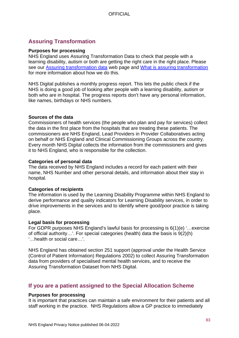# **Assuring Transformation**

#### **Purposes for processing**

NHS England uses Assuring Transformation Data to check that people with a learning disability, autism or both are getting the right care in the right place. Please see our [Assuring transformation data](https://www.england.nhs.uk/learning-disabilities/care/atd/) web page and [What is assuring transformation](https://www.england.nhs.uk/publication/what-is-assuring-transformation/) for more information about how we do this.

NHS Digital publishes a monthly progress report. This lets the public check if the NHS is doing a good job of looking after people with a learning disability, autism or both who are in hospital. The progress reports don't have any personal information, like names, birthdays or NHS numbers.

#### **Sources of the data**

Commissioners of health services (the people who plan and pay for services) collect the data in the first place from the hospitals that are treating these patients. The commissioners are NHS England, Lead Providers in Provider Collaboratives acting on behalf or NHS England and Clinical Commissioning Groups across the country. Every month NHS Digital collects the information from the commissioners and gives it to NHS England, who is responsible for the collection.

#### **Categories of personal data**

The data received by NHS England includes a record for each patient with their name, NHS Number and other personal details, and information about their stay in hospital.

#### **Categories of recipients**

The information is used by the Learning Disability Programme within NHS England to derive performance and quality indicators for Learning Disability services, in order to drive improvements in the services and to identify where good/poor practice is taking place.

#### **Legal basis for processing**

For GDPR purposes NHS England's lawful basis for processing is 6(1)(e) '…exercise of official authority…'. For special categories (health) data the basis is 9(2)(h) '…health or social care…'.

NHS England has obtained section 251 support (approval under the Health Service (Control of Patient Information) Regulations 2002) to collect Assuring Transformation data from providers of specialised mental health services, and to receive the Assuring Transformation Dataset from NHS Digital.

## **If you are a patient assigned to the Special Allocation Scheme**

#### **Purposes for processing**

It is important that practices can maintain a safe environment for their patients and all staff working in the practice. NHS Regulations allow a GP practice to immediately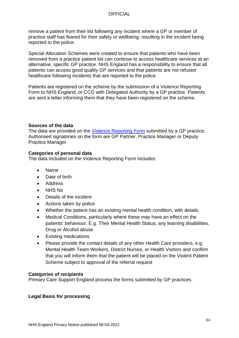remove a patient from their list following any incident where a GP or member of practice staff has feared for their safety or wellbeing, resulting in the incident being reported to the police.

Special Allocation Schemes were created to ensure that patients who have been removed from a practice patient list can continue to access healthcare services at an alternative, specific GP practice. NHS England has a responsibility to ensure that all patients can access good quality GP services and that patients are not refused healthcare following incidents that are reported to the police.

Patients are registered on the scheme by the submission of a Violence Reporting Form to NHS England, or CCG with Delegated Authority by a GP practice. Patients are sent a letter informing them that they have been registered on the scheme.

### **Sources of the data**

The data are provided on the [Violence Reporting Form](https://www.england.nhs.uk/publication/primary-medical-care-policy-and-guidance-manual-working-with-primary-care-support-england-pcse-annexes/) submitted by a GP practice. Authorised signatories on the form are GP Partner, Practice Manager or Deputy Practice Manager

### **Categories of personal data**

The data included on the Violence Reporting Form includes:

- Name
- Date of birth
- Address
- NHS No
- Details of the incident
- Actions taken by police
- Whether the patient has an existing mental health condition, with details
- Medical Conditions, particularly where these may have an effect on the patients' behaviour. E.g. Their Mental Health Status, any learning disabilities, Drug or Alcohol abuse
- Existing medications
- Please provide the contact details of any other Health Care providers, e.g. Mental Health Team Workers, District Nurses, or Health Visitors and confirm that you will inform them that the patient will be placed on the Violent Patient Scheme subject to approval of the referral request

### **Categories of recipients**

Primary Care Support England process the forms submitted by GP practices.

#### **Legal Basis for processing**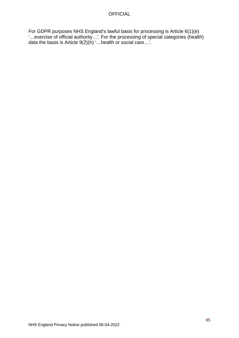For GDPR purposes NHS England's lawful basis for processing is Article 6(1)(e) '…exercise of official authority…'. For the processing of special categories (health) data the basis is Article 9(2)(h) '…health or social care…'.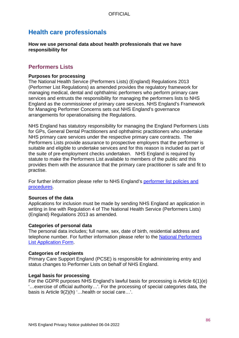# **Health care professionals**

**How we use personal data about health professionals that we have responsibility for**

# **Performers Lists**

#### **Purposes for processing**

The National Health Service (Performers Lists) (England) Regulations 2013 (Performer List Regulations) as amended provides the regulatory framework for managing medical, dental and ophthalmic performers who perform primary care services and entrusts the responsibility for managing the performers lists to NHS England as the commissioner of primary care services. NHS England's Framework for Managing Performer Concerns sets out NHS England's governance arrangements for operationalising the Regulations.

NHS England has statutory responsibility for managing the England Performers Lists for GPs, General Dental Practitioners and ophthalmic practitioners who undertake NHS primary care services under the respective primary care contracts. The Performers Lists provide assurance to prospective employers that the performer is suitable and eligible to undertake services and for this reason is included as part of the suite of pre-employment checks undertaken. NHS England is required by statute to make the Performers List available to members of the public and this provides them with the assurance that the primary care practitioner is safe and fit to practise.

For further information please refer to NHS England's [performer list policies and](https://www.england.nhs.uk/commissioning/primary-care/primary-care-comm/performer-list-policies-procedures/)  [procedures.](https://www.england.nhs.uk/commissioning/primary-care/primary-care-comm/performer-list-policies-procedures/)

#### **Sources of the data**

Applications for inclusion must be made by sending NHS England an application in writing in line with Regulation 4 of The National Health Service (Performers Lists) (England) Regulations 2013 as amended.

#### **Categories of personal data**

The personal data includes; full name, sex, date of birth, residential address and telephone number. For further information please refer to the [National Performers](https://www.england.nhs.uk/commissioning/primary-care/primary-care-comm/performer-list-policies-procedures/)  [List Application Form.](https://www.england.nhs.uk/commissioning/primary-care/primary-care-comm/performer-list-policies-procedures/)

#### **Categories of recipients**

Primary Care Support England (PCSE) is responsible for administering entry and status changes to Performer Lists on behalf of NHS England.

#### **Legal basis for processing**

For the GDPR purposes NHS England's lawful basis for processing is Article 6(1)(e) '…exercise of official authority…'. For the processing of special categories data, the basis is Article 9(2)(h) '…health or social care…'.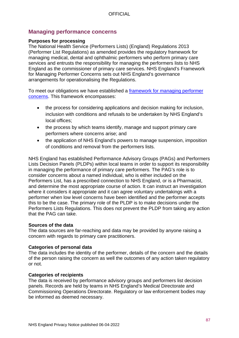# **Managing performance concerns**

#### **Purposes for processing**

The National Health Service (Performers Lists) (England) Regulations 2013 (Performer List Regulations) as amended provides the regulatory framework for managing medical, dental and ophthalmic performers who perform primary care services and entrusts the responsibility for managing the performers lists to NHS England as the commissioner of primary care services. NHS England's Framework for Managing Performer Concerns sets out NHS England's governance arrangements for operationalising the Regulations.

To meet our obligations we have established a [framework for managing performer](https://www.england.nhs.uk/medical-revalidation/ro/resp-con/)  [concerns.](https://www.england.nhs.uk/medical-revalidation/ro/resp-con/) This framework encompasses:

- the process for considering applications and decision making for inclusion, inclusion with conditions and refusals to be undertaken by NHS England's local offices;
- the process by which teams identify, manage and support primary care performers where concerns arise; and
- the application of NHS England's powers to manage suspension, imposition of conditions and removal from the performers lists.

NHS England has established Performance Advisory Groups (PAGs) and Performers Lists Decision Panels (PLDPs) within local teams in order to support its responsibility in managing the performance of primary care performers. The PAG's role is to consider concerns about a named individual, who is either included on the Performers List, has a prescribed connection to NHS England, or is a Pharmacist, and determine the most appropriate course of action. It can instruct an investigation where it considers it appropriate and it can agree voluntary undertakings with a performer when low level concerns have been identified and the performer accepts this to be the case. The primary role of the PLDP is to make decisions under the Performers Lists Regulations. This does not prevent the PLDP from taking any action that the PAG can take.

#### **Sources of the data**

The data sources are far-reaching and data may be provided by anyone raising a concern with regards to primary care practitioners.

#### **Categories of personal data**

The data includes the identity of the performer, details of the concern and the details of the person raising the concern as well the outcomes of any action taken regulatory or not.

#### **Categories of recipients**

The data is received by performance advisory groups and performers list decision panels. Records are held by teams in NHS England's Medical Directorate and Commissioning Operations Directorate. Regulatory or law enforcement bodies may be informed as deemed necessary.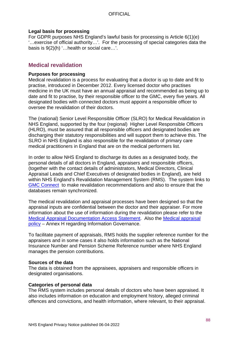#### **Legal basis for processing**

For GDPR purposes NHS England's lawful basis for processing is Article 6(1)(e) '…exercise of official authority…'. For the processing of special categories data the basis is 9(2)(h) '…health or social care…'.

### **Medical revalidation**

#### **Purposes for processing**

Medical revalidation is a process for evaluating that a doctor is up to date and fit to practise, introduced in December 2012. Every licensed doctor who practises medicine in the UK must have an annual appraisal and recommended as being up to date and fit to practise, by their responsible officer to the GMC, every five years. All designated bodies with connected doctors must appoint a responsible officer to oversee the revalidation of their doctors.

The (national) Senior Level Responsible Officer (SLRO) for Medical Revalidation in NHS England, supported by the four (regional) Higher Level Responsible Officers (HLRO), must be assured that all responsible officers and designated bodies are discharging their statutory responsibilities and will support them to achieve this. The SLRO in NHS England is also responsible for the revalidation of primary care medical practitioners in England that are on the medical performers list.

In order to allow NHS England to discharge its duties as a designated body, the personal details of all doctors in England, appraisers and responsible officers, (together with the contact details of administrators, Medical Directors, Clinical Appraisal Leads and Chief Executives of designated bodies in England), are held within NHS England's Revalidation Management System (RMS). The system links to [GMC Connect](http://www.gmc-uk.org/doctors/revalidation/13583.asp) to make revalidation recommendations and also to ensure that the databases remain synchronized.

The medical revalidation and appraisal processes have been designed so that the appraisal inputs are confidential between the doctor and their appraiser. For more information about the use of information during the revalidation please refer to the [Medical Appraisal Documentation Access Statement.](https://www.england.nhs.uk/revalidation/appraisers/access-statement/) Also the [Medical appraisal](https://www.england.nhs.uk/medical-revalidation/appraisers/app-pol/)  [policy](https://www.england.nhs.uk/medical-revalidation/appraisers/app-pol/) – Annex H regarding Information Governance.

To facilitate payment of appraisals, RMS holds the supplier reference number for the appraisers and in some cases it also holds information such as the National Insurance Number and Pension Scheme Reference number where NHS England manages the pension contributions.

#### **Sources of the data**

The data is obtained from the appraisees, appraisers and responsible officers in designated organisations.

#### **Categories of personal data**

The RMS system includes personal details of doctors who have been appraised. It also includes information on education and employment history, alleged criminal offences and convictions, and health information, where relevant, to their appraisal.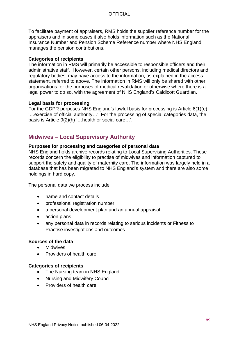To facilitate payment of appraisers, RMS holds the supplier reference number for the appraisers and in some cases it also holds information such as the National Insurance Number and Pension Scheme Reference number where NHS England manages the pension contributions.

#### **Categories of recipients**

The information in RMS will primarily be accessible to responsible officers and their administrative staff. However, certain other persons, including medical directors and regulatory bodies, may have access to the information, as explained in the access statement, referred to above. The information in RMS will only be shared with other organisations for the purposes of medical revalidation or otherwise where there is a legal power to do so, with the agreement of NHS England's Caldicott Guardian.

### **Legal basis for processing**

For the GDPR purposes NHS England's lawful basis for processing is Article 6(1)(e) '…exercise of official authority…'. For the processing of special categories data, the basis is Article 9(2)(h) '…health or social care…'.

# **Midwives – Local Supervisory Authority**

#### **Purposes for processing and categories of personal data**

NHS England holds archive records relating to Local Supervising Authorities. Those records concern the eligibility to practise of midwives and information captured to support the safety and quality of maternity care. The information was largely held in a database that has been migrated to NHS England's system and there are also some holdings in hard copy.

The personal data we process include:

- name and contact details
- professional registration number
- a personal development plan and an annual appraisal
- action plans
- any personal data in records relating to serious incidents or Fitness to Practise investigations and outcomes

#### **Sources of the data**

- **Midwives**
- Providers of health care

#### **Categories of recipients**

- The Nursing team in NHS England
- Nursing and Midwifery Council
- Providers of health care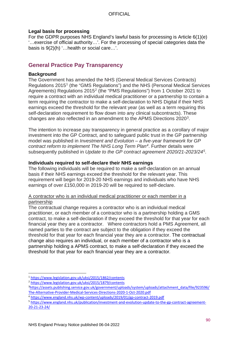#### **Legal basis for processing**

For the GDPR purposes NHS England's lawful basis for processing is Article 6(1)(e) '…exercise of official authority…'. For the processing of special categories data the basis is 9(2)(h) '…health or social care…'.

# **General Practice Pay Transparency**

### **Background**

The Government has amended the NHS (General Medical Services Contracts) Regulations 2015[1](#page-89-0) (the "GMS Regulations") and the NHS (Personal Medical Services Agreements) Regulations 2015[2](#page-89-1) (the "PMS Regulations") from 1 October 2021 to require a contract with an individual medical practitioner or a partnership to contain a term requiring the contractor to make a self-declaration to NHS Digital if their NHS earnings exceed the threshold for the relevant year (as well as a term requiring this self-declaration requirement to flow down into any clinical subcontracts). These changes are also reflected in an amendment to the APMS Directions 2020[3](#page-89-2).

The intention to increase pay transparency in general practice as a corollary of major investment into the GP Contract, and to safeguard public trust in the GP partnership model was published in *Investment and Evolution – a five-year framework for GP contract reform to implement The NHS Long Term Plan[4](#page-89-3)*. Further details were subsequently published in *Update to the GP contract agreement 2020/21-2023/24[5](#page-89-4)*.

### **Individuals required to self-declare their NHS earnings**

The following individuals will be required to make a self-declaration on an annual basis if their NHS earnings exceed the threshold for the relevant year. This requirement will begin for 2019-20 NHS earnings and individuals who have NHS earnings of over £150,000 in 2019-20 will be required to self-declare.

### A contractor who is an individual medical practitioner or each member in a partnership

The contractual change requires a contractor who is an individual medical practitioner, or each member of a contractor who is a partnership holding a GMS contract, to make a self-declaration if they exceed the threshold for that year for each financial year they are a contractor. Where contractors hold a PMS Agreement, all named parties to the contract are subject to the obligation if they exceed the threshold for that year for each financial year they are a contractor. The contractual change also requires an individual, or each member of a contractor who is a partnership holding a APMS contract, to make a self-declaration if they exceed the threshold for that year for each financial year they are a contractor*.*

<span id="page-89-0"></span><sup>1</sup> <https://www.legislation.gov.uk/uksi/2015/1862/contents>

<span id="page-89-1"></span><sup>2</sup> <https://www.legislation.gov.uk/uksi/2015/1879/contents>

<span id="page-89-2"></span><sup>&</sup>lt;sup>3</sup>[https://assets.publishing.service.gov.uk/government/uploads/system/uploads/attachment\\_data/file/923596/](https://assets.publishing.service.gov.uk/government/uploads/system/uploads/attachment_data/file/923596/The-Alternative-Provider-Medical-Services-Directions-2020-1-Oct-2020.pdf) [The-Alternative-Provider-Medical-Services-Directions-2020-1-Oct-2020.pdf](https://assets.publishing.service.gov.uk/government/uploads/system/uploads/attachment_data/file/923596/The-Alternative-Provider-Medical-Services-Directions-2020-1-Oct-2020.pdf)

<span id="page-89-3"></span><sup>4</sup> <https://www.england.nhs.uk/wp-content/uploads/2019/01/gp-contract-2019.pdf>

<span id="page-89-4"></span><sup>5</sup> [https://www.england.nhs.uk/publication/investment-and-evolution-update-to-the-gp-contract-agreement-](https://www.england.nhs.uk/publication/investment-and-evolution-update-to-the-gp-contract-agreement-20-21-23-24/)[20-21-23-24/](https://www.england.nhs.uk/publication/investment-and-evolution-update-to-the-gp-contract-agreement-20-21-23-24/)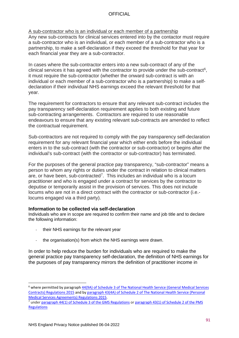#### A sub-contractor who is an individual or each member of a partnership Any new sub-contracts for clinical services entered into by the contactor must require a sub-contractor who is an individual, or each member of a sub-contractor who is a partnership, to make a self-declaration if they exceed the threshold for that year for each financial year they are a sub-contractor.

In cases where the sub-contractor enters into a new sub-contract of any of the clinical services it has agreed with the contractor to provide under the sub-contract<sup>6</sup>, it must require the sub-contractor (whether the onward sub-contract is with an individual or each member of a sub-contractor who is a partnership) to make a selfdeclaration if their individual NHS earnings exceed the relevant threshold for that year.

The requirement for contractors to ensure that any relevant sub-contract includes the pay transparency self-declaration requirement applies to both existing and future sub-contracting arrangements. Contractors are required to use reasonable endeavours to ensure that any existing relevant sub-contracts are amended to reflect the contractual requirement.

Sub-contractors are not required to comply with the pay transparency self-declaration requirement for any relevant financial year which either ends before the individual enters in to the sub-contract (with the contractor or sub-contractor) or begins after the individual's sub-contract (with the contractor or sub-contractor) has terminated.

For the purposes of the general practice pay transparency, "sub-contractor" means a person to whom any rights or duties under the contract in relation to clinical matters are, or have been, sub-contracted[7.](#page-90-1) This includes an individual who is a locum practitioner and who is engaged under a contract for services by the contractor to deputise or temporarily assist in the provision of services. This does not include locums who are not in a direct contract with the contractor or sub-contractor (i.e. locums engaged via a third party).

### **Information to be collected via self-declaration**

Individuals who are in scope are required to confirm their name and job title and to declare the following information:

- their NHS earnings for the relevant year
- the organisation(s) from which the NHS earnings were drawn.

In order to help reduce the burden for individuals who are required to make the general practice pay transparency self-declaration, the definition of NHS earnings for the purposes of pay transparency mirrors the definition of practitioner income in

<span id="page-90-0"></span><sup>&</sup>lt;sup>6</sup> where permitted by paragraph 44(9A) of Schedule 3 of The National Health Service (General Medical Services [Contracts\) Regulations 2015](https://www.legislation.gov.uk/uksi/2015/1862/schedule/3) and by [paragraph 43\(4A\) of Schedule 2 of The National Health Service \(Personal](https://www.legislation.gov.uk/uksi/2015/1879/schedule/2)  [Medical Services Agreements\) Regulations 2015.](https://www.legislation.gov.uk/uksi/2015/1879/schedule/2)<br><sup>7</sup> under [paragraph 44\(1\) of Schedule 3 of the GMS Regulations](https://www.legislation.gov.uk/uksi/2015/1862/schedule/3) or paragraph 43(1) of Schedule 2 of the PMS

<span id="page-90-1"></span>**[Regulations](https://www.legislation.gov.uk/uksi/2015/1879/schedule/2)**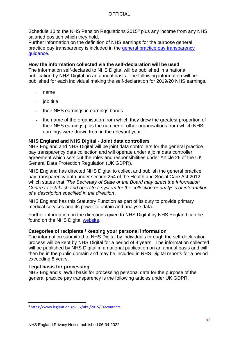Schedule 10 to the NHS Pension Regulations 2015<sup>[8](#page-91-0)</sup> plus any income from any NHS salaried position which they hold.

Further information on the definition of NHS earnings for the purpose general practice pay transparency is included in the [general practice pay transparency](https://www.england.nhs.uk/publication/general-practice-pay-transparency-guidance/)  [guidance.](https://www.england.nhs.uk/publication/general-practice-pay-transparency-guidance/)

**How the information collected via the self-declaration will be used**  The information self-declared to NHS Digital will be published in a national publication by NHS Digital on an annual basis. The following information will be published for each individual making the self-declaration for 2019/20 NHS earnings.

- name
- job title
- their NHS earnings in earnings bands
- the name of the organisation from which they drew the greatest proportion of their NHS earnings plus the number of other organisations from which NHS earnings were drawn from in the relevant year.

### **NHS England and NHS Digital - Joint data controllers**

NHS England and NHS Digital will be joint data controllers for the general practice pay transparency data collection and will operate under a joint data controller agreement which sets out the roles and responsibilities under Article 26 of the UK General Data Protection Regulation (UK GDPR).

NHS England has directed NHS Digital to collect and publish the general practice pay transparency data under section 254 of the Health and Social Care Act 2012 which states that '*The Secretary of State or the Board may direct the Information Centre to establish and operate a system for the collection or analysis of information of a description specified in the direction'*.

NHS England has this Statutory Function as part of its duty to provide primary medical services and its power to obtain and analyse data.

Further information on the directions given to NHS Digital by NHS England can be found on the NHS Digital [website.](https://digital.nhs.uk/about-nhs-digital/corporate-information-and-documents/directions-and-data-provision-notices/nhs-england-directions/establishment-of-information-systems-for-nhs-services-general-practice-contract-data-collections)

#### **Categories of recipients / keeping your personal information**

The information submitted to NHS Digital by individuals through the self-declaration process will be kept by NHS Digital for a period of 8 years. The information collected will be published by NHS Digital in a national publication on an annual basis and will then be in the public domain and may be included in NHS Digital reports for a period exceeding 8 years.

#### **Legal basis for processing**

NHS England's lawful basis for processing personal data for the purpose of the general practice pay transparency is the following articles under UK GDPR:

<span id="page-91-0"></span><sup>8</sup> <https://www.legislation.gov.uk/uksi/2015/94/contents>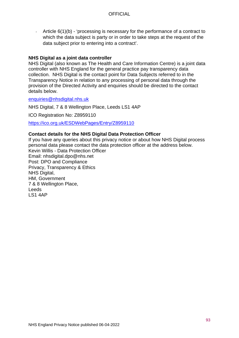Article 6(1)(b) - 'processing is necessary for the performance of a contract to which the data subject is party or in order to take steps at the request of the data subject prior to entering into a contract'.

#### **NHS Digital as a joint data controller**

NHS Digital (also known as The Health and Care Information Centre) is a joint data controller with NHS England for the general practice pay transparency data collection. NHS Digital is the contact point for Data Subjects referred to in the Transparency Notice in relation to any processing of personal data through the provision of the Directed Activity and enquiries should be directed to the contact details below.

[enquiries@nhsdigital.nhs.uk](mailto:enquiries@nhsdigital.nhs.uk)

NHS Digital, 7 & 8 Wellington Place, Leeds LS1 4AP

ICO Registration No: Z8959110

<https://ico.org.uk/ESDWebPages/Entry/Z8959110>

#### **Contact details for the NHS Digital Data Protection Officer**

If you have any queries about this privacy notice or about how NHS Digital process personal data please contact the data protection officer at the address below. Kevin Willis - Data Protection Officer Email: nhsdigital.dpo@nhs.net Post: DPO and Compliance Privacy, Transparency & Ethics NHS Digital, HM, Government 7 & 8 Wellington Place, Leeds LS1 4AP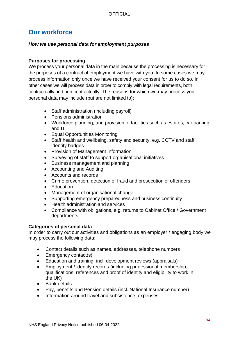# **Our workforce**

### *How we use personal data for employment purposes*

### **Purposes for processing**

We process your personal data in the main because the processing is necessary for the purposes of a contract of employment we have with you. In some cases we may process information only once we have received your consent for us to do so. In other cases we will process data in order to comply with legal requirements, both contractually and non-contractually. The reasons for which we may process your personal data may include (but are not limited to):

- Staff administration (including payroll)
- Pensions administration
- Workforce planning, and provision of facilities such as estates, car parking and IT
- Equal Opportunities Monitoring
- Staff health and wellbeing, safety and security, e.g. CCTV and staff identity badges
- Provision of Management Information
- Surveying of staff to support organisational initiatives
- Business management and planning
- Accounting and Auditing
- Accounts and records
- Crime prevention, detection of fraud and prosecution of offenders
- Education
- Management of organisational change
- Supporting emergency preparedness and business continuity
- Health administration and services
- Compliance with obligations, e.g. returns to Cabinet Office / Government departments

#### **Categories of personal data**

In order to carry out our activities and obligations as an employer / engaging body we may process the following data:

- Contact details such as names, addresses, telephone numbers
- Emergency contact(s)
- Education and training, incl. development reviews (appraisals)
- Employment / identity records (including professional membership, qualifications, references and proof of identity and eligibility to work in the UK)
- Bank details
- Pay, benefits and Pension details (incl. National Insurance number)
- Information around travel and subsistence; expenses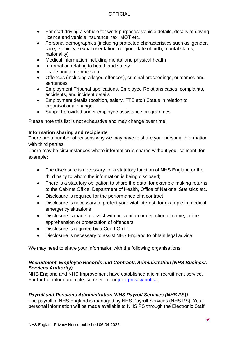- For staff driving a vehicle for work purposes: vehicle details, details of driving licence and vehicle insurance, tax, MOT etc.
- Personal demographics (including protected characteristics such as gender, race, ethnicity, sexual orientation, religion, date of birth, marital status, nationality)
- Medical information including mental and physical health
- Information relating to health and safety
- Trade union membership
- Offences (including alleged offences), criminal proceedings, outcomes and sentences
- Employment Tribunal applications, Employee Relations cases, complaints, accidents, and incident details
- Employment details (position, salary, FTE etc.) Status in relation to organisational change
- Support provided under employee assistance programmes

Please note this list is not exhaustive and may change over time.

### **Information sharing and recipients**

There are a number of reasons why we may have to share your personal information with third parties.

There may be circumstances where information is shared without your consent, for example:

- The disclosure is necessary for a statutory function of NHS England or the third party to whom the information is being disclosed;
- There is a statutory obligation to share the data; for example making returns to the Cabinet Office, Department of Health, Office of National Statistics etc.
- Disclosure is required for the performance of a contract
- Disclosure is necessary to protect your vital interest; for example in medical emergency situations
- Disclosure is made to assist with prevention or detection of crime, or the apprehension or prosecution of offenders
- Disclosure is required by a Court Order
- Disclosure is necessary to assist NHS England to obtain legal advice

We may need to share your information with the following organisations:

### *Recruitment, Employee Records and Contracts Administration (NHS Business Services Authority)*

NHS England and NHS Improvement have established a joint recruitment service. For further information please refer to our [joint privacy notice.](https://www.england.nhs.uk/nhse-nhsi-privacy-notice/joint/how-we-use-your-information/)

## *Payroll and Pensions Administration (NHS Payroll Services (NHS PS))*

The payroll of NHS England is managed by NHS Payroll Services (NHS PS). Your personal information will be made available to NHS PS through the Electronic Staff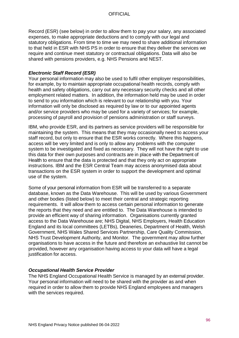Record (ESR) (see below) in order to allow them to pay your salary, any associated expenses, to make appropriate deductions and to comply with our legal and statutory obligations. From time to time we may need to share additional information to that held in ESR with NHS PS in order to ensure that they deliver the services we require and continue meet statutory or contractual obligations. Data will also be shared with pensions providers, e.g. NHS Pensions and NEST.

### *Electronic Staff Record (ESR)*

Your personal information may also be used to fulfil other employer responsibilities, for example, by to maintain appropriate occupational health records, comply with health and safety obligations, carry out any necessary security checks and all other employment related matters. In addition, the information held may be used in order to send to you information which is relevant to our relationship with you. Your information will only be disclosed as required by law or to our appointed agents and/or service providers who may be used for a variety of services; for example, processing of payroll and provision of pensions administration or staff surveys.

IBM, who provide ESR, and its partners as service providers will be responsible for maintaining the system. This means that they may occasionally need to access your staff record, but only to ensure that the ESR works correctly. Where this happens, access will be very limited and is only to allow any problems with the computer system to be investigated and fixed as necessary. They will not have the right to use this data for their own purposes and contracts are in place with the Department of Health to ensure that the data is protected and that they only act on appropriate instructions. IBM and the ESR Central Team may access anonymised data about transactions on the ESR system in order to support the development and optimal use of the system.

Some of your personal information from ESR will be transferred to a separate database, known as the Data Warehouse. This will be used by various Government and other bodies (listed below) to meet their central and strategic reporting requirements. It will allow them to access certain personal information to generate the reports that they need and are entitled to. The Data Warehouse is intended to provide an efficient way of sharing information. Organisations currently granted access to the Data Warehouse are; NHS Digital, NHS Employers, Health Education England and its local committees (LETBs), Deaneries, Department of Health, Welsh Government, NHS Wales Shared Services Partnership, Care Quality Commission, NHS Trust Development Authority, and Monitor. The government may allow further organisations to have access in the future and therefore an exhaustive list cannot be provided, however any organisation having access to your data will have a legal justification for access.

#### *Occupational Health Service Provider*

The NHS England Occupational Health Service is managed by an external provider. Your personal information will need to be shared with the provider as and when required in order to allow them to provide NHS England employees and managers with the services required.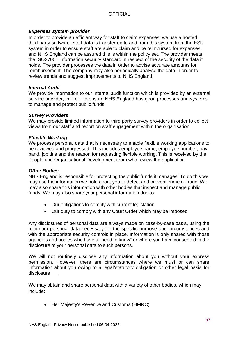### *Expenses system provider*

In order to provide an efficient way for staff to claim expenses, we use a hosted third-party software. Staff data is transferred to and from this system from the ESR system in order to ensure staff are able to claim and be reimbursed for expenses and NHS England can be assured this is within the policy set. The provider meets the ISO27001 information security standard in respect of the security of the data it holds. The provider processes the data in order to advise accurate amounts for reimbursement. The company may also periodically analyse the data in order to review trends and suggest improvements to NHS England.

#### *Internal Audit*

We provide information to our internal audit function which is provided by an external service provider, in order to ensure NHS England has good processes and systems to manage and protect public funds.

#### *Survey Providers*

We may provide limited information to third party survey providers in order to collect views from our staff and report on staff engagement within the organisation.

### *Flexible Working*

We process personal data that is necessary to enable flexible working applications to be reviewed and progressed. This includes employee name, employee number, pay band, job title and the reason for requesting flexible working. This is received by the People and Organisational Development team who review the application.

#### *Other Bodies*

NHS England is responsible for protecting the public funds it manages. To do this we may use the information we hold about you to detect and prevent crime or fraud. We may also share this information with other bodies that inspect and manage public funds. We may also share your personal information due to:

- Our obligations to comply with current legislation
- Our duty to comply with any Court Order which may be imposed

Any disclosures of personal data are always made on case-by-case basis, using the minimum personal data necessary for the specific purpose and circumstances and with the appropriate security controls in place. Information is only shared with those agencies and bodies who have a "need to know" or where you have consented to the disclosure of your personal data to such persons.

We will not routinely disclose any information about you without your express permission. However, there are circumstances where we must or can share information about you owing to a legal/statutory obligation or other legal basis for disclosure .

We may obtain and share personal data with a variety of other bodies, which may include:

• Her Majesty's Revenue and Customs (HMRC)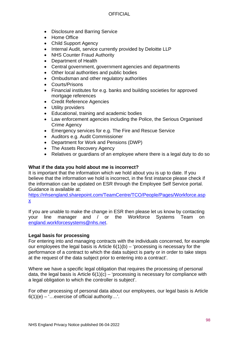- Disclosure and Barring Service
- Home Office
- Child Support Agency
- Internal Audit, service currently provided by Deloitte LLP
- NHS Counter Fraud Authority
- Department of Health
- Central government, government agencies and departments
- Other local authorities and public bodies
- Ombudsman and other regulatory authorities
- Courts/Prisons
- Financial institutes for e.g. banks and building societies for approved mortgage references
- Credit Reference Agencies
- Utility providers
- Educational, training and academic bodies
- Law enforcement agencies including the Police, the Serious Organised Crime Agency
- Emergency services for e.g. The Fire and Rescue Service
- Auditors e.g. Audit Commissioner
- Department for Work and Pensions (DWP)
- The Assets Recovery Agency
- Relatives or guardians of an employee where there is a legal duty to do so

### **What if the data you hold about me is incorrect?**

It is important that the information which we hold about you is up to date. If you believe that the information we hold is incorrect, in the first instance please check if the information can be updated on ESR through the Employee Self Service portal. Guidance is available at:

[https://nhsengland.sharepoint.com/TeamCentre/TCO/People/Pages/Workforce.asp](https://nhsengland.sharepoint.com/TeamCentre/TCO/People/Pages/Workforce.aspx) [x](https://nhsengland.sharepoint.com/TeamCentre/TCO/People/Pages/Workforce.aspx)

If you are unable to make the change in ESR then please let us know by contacting your line manager and / or the Workforce Systems Team on [england.workforcesystems@nhs.net.](mailto:england.workforcesystems@nhs.net)

### **Legal basis for processing**

For entering into and managing contracts with the individuals concerned, for example our employees the legal basis is Article  $6(1)(b)$  – 'processing is necessary for the performance of a contract to which the data subject is party or in order to take steps at the request of the data subject prior to entering into a contract'.

Where we have a specific legal obligation that requires the processing of personal data, the legal basis is Article  $6(1)(c)$  – 'processing is necessary for compliance with a legal obligation to which the controller is subject'.

For other processing of personal data about our employees, our legal basis is Article  $6(1)(e) -$  ... exercise of official authority...'.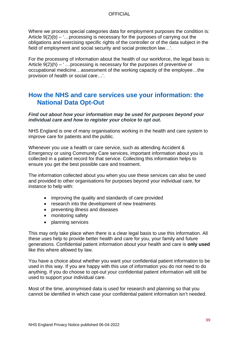Where we process special categories data for employment purposes the condition is: Article  $9(2)(b) -$ ...processing is necessary for the purposes of carrying out the obligations and exercising specific rights of the controller or of the data subject in the field of employment and social security and social protection law…'.

For the processing of information about the health of our workforce, the legal basis is: Article  $9(2)(h) - 1$ ... processing is necessary for the purposes of preventive or occupational medicine…assessment of the working capacity of the employee…the provision of health or social care…'.

# **How the NHS and care services use your information: the National Data Opt-Out**

*Find out about how your information may be used for purposes beyond your individual care and how to register your choice to opt out.*

NHS England is one of many organisations working in the health and care system to improve care for patients and the public.

Whenever you use a health or care service, such as attending Accident & Emergency or using Community Care services, important information about you is collected in a patient record for that service. Collecting this information helps to ensure you get the best possible care and treatment.

The information collected about you when you use these services can also be used and provided to other organisations for purposes beyond your individual care, for instance to help with:

- improving the quality and standards of care provided
- research into the development of new treatments
- preventing illness and diseases
- monitoring safety
- planning services

This may only take place when there is a clear legal basis to use this information. All these uses help to provide better health and care for you, your family and future generations. Confidential patient information about your health and care is **only used** like this where allowed by law.

You have a choice about whether you want your confidential patient information to be used in this way. If you are happy with this use of information you do not need to do anything. If you do choose to opt-out your confidential patient information will still be used to support your individual care.

Most of the time, anonymised data is used for research and planning so that you cannot be identified in which case your confidential patient information isn't needed.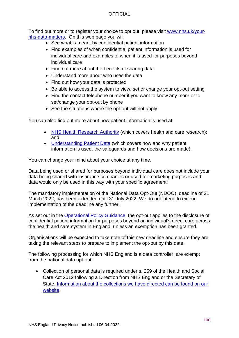To find out more or to register your choice to opt out, please visit [www.nhs.uk/your](http://www.nhs.uk/your-nhs-data-matters)[nhs-data-matters.](http://www.nhs.uk/your-nhs-data-matters) On this web page you will:

- See what is meant by confidential patient information
- Find examples of when confidential patient information is used for individual care and examples of when it is used for purposes beyond individual care
- Find out more about the benefits of sharing data
- Understand more about who uses the data
- Find out how your data is protected
- Be able to access the system to view, set or change your opt-out setting
- Find the contact telephone number if you want to know any more or to set/change your opt-out by phone
- See the situations where the opt-out will not apply

You can also find out more about how patient information is used at:

- [NHS Health Research Authority](https://www.hra.nhs.uk/information-about-patients/) (which covers health and care research); and
- [Understanding Patient Data](https://understandingpatientdata.org.uk/what-you-need-know) (which covers how and why patient information is used, the safeguards and how decisions are made).

You can change your mind about your choice at any time.

Data being used or shared for purposes beyond individual care does not include your data being shared with insurance companies or used for marketing purposes and data would only be used in this way with your specific agreement.

The mandatory implementation of the National Data Opt-Out (NDOO), deadline of 31 March 2022, has been extended until 31 July 2022. We do not intend to extend implementation of the deadline any further.

As set out in the [Operational Policy Guidance,](https://digital.nhs.uk/services/national-data-opt-out/operational-policy-guidance-document) the opt-out applies to the disclosure of confidential patient information for purposes beyond an individual's direct care across the health and care system in England, unless an exemption has been granted.

Organisations will be expected to take note of this new deadline and ensure they are taking the relevant steps to prepare to implement the opt-out by this date.

The following processing for which NHS England is a data controller, are exempt from the national data opt-out:

• Collection of personal data is required under s, 259 of the Health and Social Care Act 2012 following a Direction from NHS England or the Secretary of State. [Information about the collections we have directed can be found on our](https://www.england.nhs.uk/contact-us/privacy-notice/how-we-use-your-information/our-services/national-collections/)  [website.](https://www.england.nhs.uk/contact-us/privacy-notice/how-we-use-your-information/our-services/national-collections/)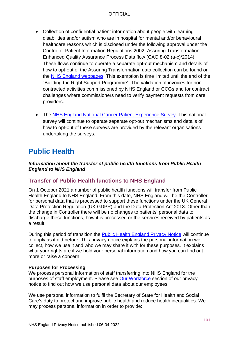- Collection of confidential patient information about people with learning disabilities and/or autism who are in hospital for mental and/or behavioural healthcare reasons which is disclosed under the following approval under the Control of Patient Information Regulations 2002: Assuring Transformation: Enhanced Quality Assurance Process Data flow (CAG 8-02 (a-c)/2014). These flows continue to operate a separate opt-out mechanism and details of how to opt-out of the Assuring Transformation data collection can be found on the [NHS England webpages.](https://www.england.nhs.uk/learning-disabilities/care/atd/) This exemption is time limited until the end of the "Building the Right Support Programme". The validation of invoices for noncontracted activities commissioned by NHS England or CCGs and for contract challenges where commissioners need to verify payment requests from care providers.
- The [NHS England National Cancer Patient Experience Survey.](https://www.england.nhs.uk/contact-us/privacy-notice/how-we-use-your-information/public-and-partners/those-completing-surveys-or-questionnaires/) This national survey will continue to operate separate opt-out mechanisms and details of how to opt-out of these surveys are provided by the relevant organisations undertaking the surveys.

# **Public Health**

### *Information about the transfer of public health functions from Public Health England to NHS England*

# **Transfer of Public Health functions to NHS England**

On 1 October 2021 a number of public health functions will transfer from Public Health England to NHS England. From this date, NHS England will be the Controller for personal data that is processed to support these functions under the UK General Data Protection Regulation (UK GDPR) and the Data Protection Act 2018. Other than the change in Controller there will be no changes to patients' personal data to discharge these functions, how it is processed or the services received by patients as a result.

During this period of transition the [Public Health England Privacy Notice](https://www.gov.uk/government/publications/phe-privacy-information/privacy-information) will continue to apply as it did before. This privacy notice explains the personal information we collect, how we use it and who we may share it with for these purposes. It explains what your rights are if we hold your personal information and how you can find out more or raise a concern.

### **Purposes for Processing**

We process personal information of staff transferring into NHS England for the purposes of staff employment. Please see [Our Workforce s](https://www.england.nhs.uk/contact-us/privacy-notice/how-we-use-your-information/our-workforce/)ection of our privacy notice to find out how we use personal data about our employees.

We use personal information to fulfil the Secretary of State for Health and Social Care's duty to protect and improve public health and reduce health inequalities. We may process personal information in order to provide: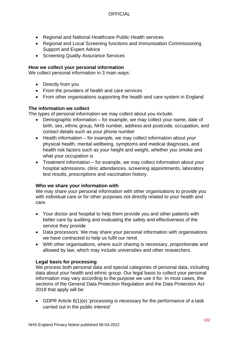- Regional and National Healthcare Public Health services
- Regional and Local Screening functions and Immunisation Commissioning Support and Expert Advice
- Screening Quality Assurance Services

### **How we collect your personal information**

We collect personal information in 3 main ways:

- Directly from you
- From the providers of health and care services
- From other organisations supporting the health and care system in England

### **The information we collect**

The types of personal information we may collect about you include:

- Demographic information for example, we may collect your name, date of birth, sex, ethnic group, NHS number, address and postcode, occupation, and contact details such as your phone number
- Health information for example, we may collect information about your physical health, mental wellbeing, symptoms and medical diagnoses, and health risk factors such as your height and weight, whether you smoke and what your occupation is
- Treatment information for example, we may collect information about your hospital admissions, clinic attendances, screening appointments, laboratory test results, prescriptions and vaccination history.

### **Who we share your information with**

We may share your personal information with other organisations to provide you with individual care or for other purposes not directly related to your health and care.

- Your doctor and hospital to help them provide you and other patients with better care by auditing and evaluating the safety and effectiveness of the service they provide
- Data processors: We may share your personal information with organisations we have contracted to help us fulfil our remit
- With other organisations, where such sharing is necessary, proportionate and allowed by law, which may include universities and other researchers.

### **Legal basis for processing**

We process both personal data and special categories of personal data, including data about your health and ethnic group. Our legal basis to collect your personal information may vary according to the purpose we use it for. In most cases, the sections of the General Data Protection Regulation and the Data Protection Act 2018 that apply will be:

• GDPR Article 6(1)(e) 'processing is necessary for the performance of a task carried out in the public interest'